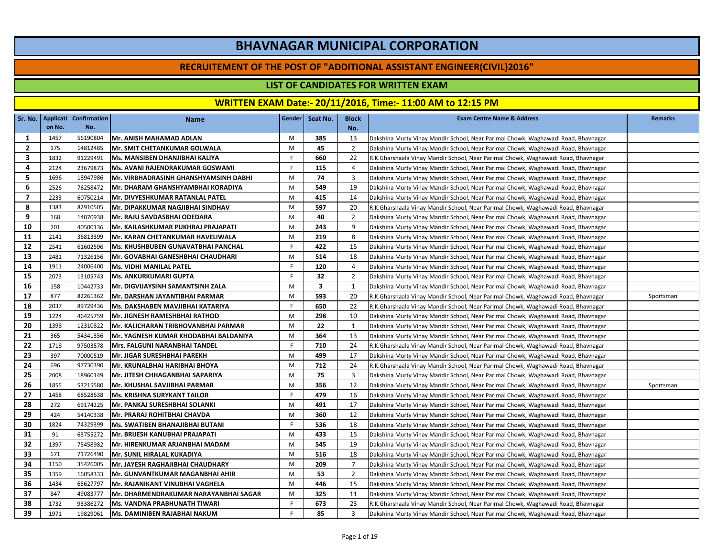#### **RECRUITEMENT OF THE POST OF "ADDITIONAL ASSISTANT ENGINEER(CIVIL)2016"**

## **LIST OF CANDIDATES FOR WRITTEN EXAM**

|                |        | Sr. No.   Applicati   Confirmation | <b>Name</b>                           | Gender | Seat No.                | <b>Block</b>   | <b>Exam Centre Name &amp; Address</b>                                             | <b>Remarks</b> |
|----------------|--------|------------------------------------|---------------------------------------|--------|-------------------------|----------------|-----------------------------------------------------------------------------------|----------------|
|                | on No. | No.                                |                                       |        |                         | No.            |                                                                                   |                |
| 1              | 1457   | 56190804                           | Mr. ANISH MAHAMAD ADLAN               | M      | 385                     | 13             | Dakshina Murty Vinay Mandir School, Near Parimal Chowk, Waghawadi Road, Bhavnagar |                |
| $\overline{2}$ | 175    | 14812485                           | <b>Mr. SMIT CHETANKUMAR GOLWALA</b>   | M      | 45                      | $\overline{2}$ | Dakshina Murty Vinay Mandir School, Near Parimal Chowk, Waghawadi Road, Bhavnagar |                |
| 3              | 1832   | 91229491                           | Ms. MANSIBEN DHANJIBHAI KALIYA        | F      | 660                     | 22             | R.K.Gharshaala Vinay Mandir School, Near Parimal Chowk, Waghawadi Road, Bhavnagar |                |
| 4              | 2124   | 23679873                           | Ms. AVANI RAJENDRAKUMAR GOSWAMI       | F      | 115                     | 4              | Dakshina Murty Vinay Mandir School, Near Parimal Chowk, Waghawadi Road, Bhavnagar |                |
| 5              | 1696   | 18947986                           | Mr. VIRBHADRASINH GHANSHYAMSINH DABHI | M      | 74                      | 3              | Dakshina Murty Vinay Mandir School, Near Parimal Chowk, Waghawadi Road, Bhavnagar |                |
| 6              | 2526   | 76258472                           | Mr. DHARAM GHANSHYAMBHAI KORADIYA     | M      | 549                     | 19             | Dakshina Murty Vinay Mandir School, Near Parimal Chowk, Waghawadi Road, Bhavnagar |                |
| $\overline{7}$ | 2233   | 60750214                           | Mr. DIVYESHKUMAR RATANLAL PATEL       | M      | 415                     | 14             | Dakshina Murty Vinay Mandir School, Near Parimal Chowk, Waghawadi Road, Bhavnagar |                |
| 8              | 1383   | 82910505                           | Mr. DIPAKKUMAR NAGJIBHAI SINDHAV      | M      | 597                     | 20             | R.K.Gharshaala Vinay Mandir School, Near Parimal Chowk, Waghawadi Road, Bhavnagar |                |
| 9              | 168    | 14070938                           | Mr. RAJU SAVDASBHAI ODEDARA           | M      | 40                      | $\overline{2}$ | Dakshina Murty Vinay Mandir School, Near Parimal Chowk, Waghawadi Road, Bhavnagar |                |
| 10             | 201    | 40500136                           | Mr. KAILASHKUMAR PUKHRAJ PRAJAPATI    | M      | 243                     | 9              | Dakshina Murty Vinay Mandir School, Near Parimal Chowk, Waghawadi Road, Bhavnagar |                |
| 11             | 2141   | 36813399                           | Mr. KARAN CHETANKUMAR HAVELIWALA      | M      | 219                     | 8              | Dakshina Murty Vinay Mandir School, Near Parimal Chowk, Waghawadi Road, Bhavnagar |                |
| 12             | 2541   | 61602596                           | Ms. KHUSHBUBEN GUNAVATBHAI PANCHAL    | F      | 422                     | 15             | Dakshina Murty Vinay Mandir School, Near Parimal Chowk, Waghawadi Road, Bhavnagar |                |
| 13             | 2481   | 71326156                           | Mr. GOVABHAI GANESHBHAI CHAUDHARI     | M      | 514                     | 18             | Dakshina Murty Vinay Mandir School, Near Parimal Chowk, Waghawadi Road, Bhavnagar |                |
| 14             | 1911   | 24006400                           | <b>Ms. VIDHI MANILAL PATEL</b>        | F      | 120                     | 4              | Dakshina Murty Vinay Mandir School, Near Parimal Chowk, Waghawadi Road, Bhavnagar |                |
| 15             | 2073   | 13105743                           | <b>Ms. ANKURKUMARI GUPTA</b>          | F.     | 32                      | $\overline{2}$ | Dakshina Murty Vinay Mandir School, Near Parimal Chowk, Waghawadi Road, Bhavnagar |                |
| 16             | 158    | 10442733                           | Mr. DIGVIJAYSINH SAMANTSINH ZALA      | M      | $\overline{\mathbf{3}}$ | 1              | Dakshina Murty Vinay Mandir School, Near Parimal Chowk, Waghawadi Road, Bhavnagar |                |
| 17             | 877    | 82261362                           | Mr. DARSHAN JAYANTIBHAI PARMAR        | M      | 593                     | 20             | R.K.Gharshaala Vinay Mandir School, Near Parimal Chowk, Waghawadi Road, Bhavnagar | Sportsman      |
| 18             | 2037   | 89729436                           | Ms. DAKSHABEN MAVJIBHAI KATARIYA      | F.     | 650                     | 22             | R.K.Gharshaala Vinay Mandir School, Near Parimal Chowk, Waghawadi Road, Bhavnagar |                |
| 19             | 1224   | 46425759                           | Mr. JIGNESH RAMESHBHAI RATHOD         | M      | 298                     | 10             | Dakshina Murty Vinay Mandir School, Near Parimal Chowk, Waghawadi Road, Bhavnagar |                |
| 20             | 1398   | 12310822                           | Mr. KALICHARAN TRIBHOVANBHAI PARMAR   | M      | 22                      | 1              | Dakshina Murty Vinay Mandir School, Near Parimal Chowk, Waghawadi Road, Bhavnagar |                |
| 21             | 365    | 54341356                           | Mr. YAGNESH KUMAR KHODABHAI BALDANIYA | M      | 364                     | 13             | Dakshina Murty Vinay Mandir School, Near Parimal Chowk, Waghawadi Road, Bhavnagar |                |
| 22             | 1718   | 97503578                           | Mrs. FALGUNI NARANBHAI TANDEL         | F.     | 710                     | 24             | R.K.Gharshaala Vinay Mandir School, Near Parimal Chowk, Waghawadi Road, Bhavnagar |                |
| 23             | 397    | 70000519                           | Mr. JIGAR SURESHBHAI PAREKH           | M      | 499                     | 17             | Dakshina Murty Vinay Mandir School, Near Parimal Chowk, Waghawadi Road, Bhavnagar |                |
| 24             | 696    | 97730390                           | Mr. KRUNALBHAI HARIBHAI BHOYA         | M      | 712                     | 24             | R.K.Gharshaala Vinay Mandir School, Near Parimal Chowk, Waghawadi Road, Bhavnagar |                |
| 25             | 2008   | 18960149                           | Mr. JITESH CHHAGANBHAI SAPARIYA       | M      | 75                      | 3              | Dakshina Murty Vinay Mandir School, Near Parimal Chowk, Waghawadi Road, Bhavnagar |                |
| 26             | 1855   | 53215580                           | Mr. KHUSHAL SAVJIBHAI PARMAR          | M      | 356                     | 12             | Dakshina Murty Vinay Mandir School, Near Parimal Chowk, Waghawadi Road, Bhavnagar | Sportsman      |
| 27             | 1458   | 68528638                           | <b>Ms. KRISHNA SURYKANT TAILOR</b>    | F      | 479                     | 16             | Dakshina Murty Vinay Mandir School, Near Parimal Chowk, Waghawadi Road, Bhavnagar |                |
| 28             | 272    | 69174225                           | Mr. PANKAJ SURESHBHAI SOLANKI         | M      | 491                     | 17             | Dakshina Murty Vinay Mandir School, Near Parimal Chowk, Waghawadi Road, Bhavnagar |                |
| 29             | 424    | 54140338                           | Mr. PRARAJ ROHITBHAI CHAVDA           | M      | 360                     | 12             | Dakshina Murty Vinay Mandir School, Near Parimal Chowk, Waghawadi Road, Bhavnagar |                |
| 30             | 1824   | 74329399                           | Ms. SWATIBEN BHANAJIBHAI BUTANI       | F.     | 536                     | 18             | Dakshina Murty Vinay Mandir School, Near Parimal Chowk, Waghawadi Road, Bhavnagar |                |
| 31             | 91     | 63755272                           | Mr. BRIJESH KANUBHAI PRAJAPATI        | M      | 433                     | 15             | Dakshina Murty Vinay Mandir School, Near Parimal Chowk, Waghawadi Road, Bhavnagar |                |
| 32             | 1397   | 75458982                           | Mr. HIRENKUMAR ARJANBHAI MADAM        | M      | 545                     | 19             | Dakshina Murty Vinay Mandir School, Near Parimal Chowk, Waghawadi Road, Bhavnagar |                |
| 33             | 671    | 71726490                           | Mr. SUNIL HIRALAL KUKADIYA            | M      | 516                     | 18             | Dakshina Murty Vinay Mandir School, Near Parimal Chowk, Waghawadi Road, Bhavnagar |                |
| 34             | 1150   | 35426005                           | Mr. JAYESH RAGHAJIBHAI CHAUDHARY      | M      | 209                     | $\overline{7}$ | Dakshina Murty Vinay Mandir School, Near Parimal Chowk, Waghawadi Road, Bhavnagar |                |
| 35             | 1359   | 16058333                           | Mr. GUNVANTKUMAR MAGANBHAI AHIR       | M      | 53                      | $\overline{2}$ | Dakshina Murty Vinay Mandir School, Near Parimal Chowk, Waghawadi Road, Bhavnagar |                |
| 36             | 1434   | 65627797                           | Mr. RAJANIKANT VINUBHAI VAGHELA       | M      | 446                     | 15             | Dakshina Murty Vinay Mandir School, Near Parimal Chowk, Waghawadi Road, Bhavnagar |                |
| 37             | 847    | 49083777                           | Mr. DHARMENDRAKUMAR NARAYANBHAI SAGAR | M      | 325                     | 11             | Dakshina Murty Vinay Mandir School, Near Parimal Chowk, Waghawadi Road, Bhavnagar |                |
| 38             | 1732   | 93386272                           | <b>Ms. VANDNA PRABHUNATH TIWARI</b>   | F.     | 673                     | 23             | R.K.Gharshaala Vinay Mandir School, Near Parimal Chowk, Waghawadi Road, Bhavnagar |                |
| 39             | 1971   | 19829061                           | Ms. DAMINIBEN RAJABHAI NAKUM          | F.     | 85                      | 3              | Dakshina Murty Vinay Mandir School, Near Parimal Chowk, Waghawadi Road, Bhavnagar |                |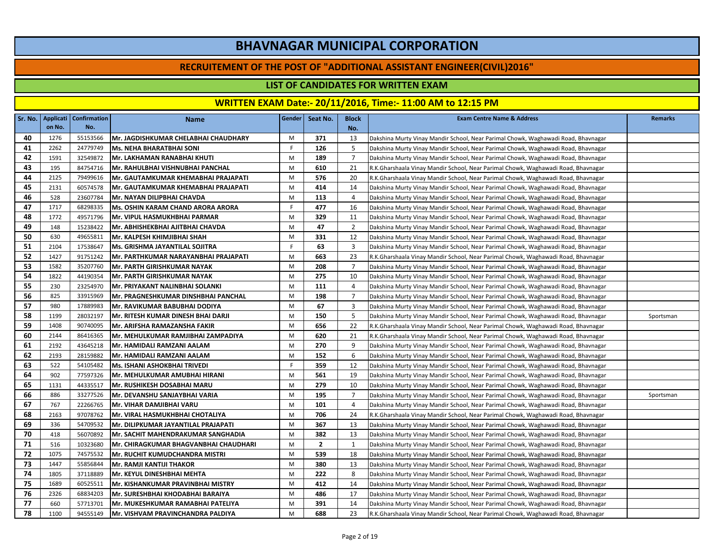#### **RECRUITEMENT OF THE POST OF "ADDITIONAL ASSISTANT ENGINEER(CIVIL)2016"**

### **LIST OF CANDIDATES FOR WRITTEN EXAM**

|    |        | Sr. No.   Applicati   Confirmation | <b>Name</b>                           | Gender | Seat No.       | <b>Block</b>   | <b>Exam Centre Name &amp; Address</b>                                             | <b>Remarks</b> |
|----|--------|------------------------------------|---------------------------------------|--------|----------------|----------------|-----------------------------------------------------------------------------------|----------------|
|    | on No. | No.                                |                                       |        |                | No.            |                                                                                   |                |
| 40 | 1276   | 55153566                           | Mr. JAGDISHKUMAR CHELABHAI CHAUDHARY  | M      | 371            | 13             | Dakshina Murty Vinay Mandir School, Near Parimal Chowk, Waghawadi Road, Bhavnagar |                |
| 41 | 2262   | 24779749                           | <b>Ms. NEHA BHARATBHAI SONI</b>       | F.     | 126            | 5              | Dakshina Murty Vinay Mandir School, Near Parimal Chowk, Waghawadi Road, Bhavnagar |                |
| 42 | 1591   | 32549872                           | Mr. LAKHAMAN RANABHAI KHUTI           | M      | 189            | $\overline{7}$ | Dakshina Murty Vinay Mandir School, Near Parimal Chowk, Waghawadi Road, Bhavnagar |                |
| 43 | 195    | 84754716                           | Mr. RAHULBHAI VISHNUBHAI PANCHAL      | M      | 610            | 21             | R.K.Gharshaala Vinay Mandir School, Near Parimal Chowk, Waghawadi Road, Bhavnagar |                |
| 44 | 2125   | 79499616                           | Mr. GAUTAMKUMAR KHEMABHAI PRAJAPATI   | M      | 576            | 20             | R.K.Gharshaala Vinay Mandir School, Near Parimal Chowk, Waghawadi Road, Bhavnagar |                |
| 45 | 2131   | 60574578                           | Mr. GAUTAMKUMAR KHEMABHAI PRAJAPATI   | M      | 414            | 14             | Dakshina Murty Vinay Mandir School, Near Parimal Chowk, Waghawadi Road, Bhavnagar |                |
| 46 | 528    | 23607784                           | Mr. NAYAN DILIPBHAI CHAVDA            | M      | 113            | $\overline{4}$ | Dakshina Murty Vinay Mandir School, Near Parimal Chowk, Waghawadi Road, Bhavnagar |                |
| 47 | 1717   | 68298335                           | Ms. OSHIN KARAM CHAND ARORA ARORA     | F.     | 477            | 16             | Dakshina Murty Vinay Mandir School, Near Parimal Chowk, Waghawadi Road, Bhavnagar |                |
| 48 | 1772   | 49571796                           | Mr. VIPUL HASMUKHBHAI PARMAR          | M      | 329            | 11             | Dakshina Murty Vinay Mandir School, Near Parimal Chowk, Waghawadi Road, Bhavnagar |                |
| 49 | 148    | 15238422                           | Mr. ABHISHEKBHAI AJITBHAI CHAVDA      | M      | 47             | $\overline{2}$ | Dakshina Murty Vinay Mandir School, Near Parimal Chowk, Waghawadi Road, Bhavnagar |                |
| 50 | 630    | 49655811                           | Mr. KALPESH KHIMJIBHAI SHAH           | M      | 331            | 12             | Dakshina Murty Vinay Mandir School, Near Parimal Chowk, Waghawadi Road, Bhavnagar |                |
| 51 | 2104   | 17538647                           | Ms. GRISHMA JAYANTILAL SOJITRA        | F.     | 63             | 3              | Dakshina Murty Vinay Mandir School, Near Parimal Chowk, Waghawadi Road, Bhavnagar |                |
| 52 | 1427   | 91751242                           | Mr. PARTHKUMAR NARAYANBHAI PRAJAPATI  | M      | 663            | 23             | R.K.Gharshaala Vinay Mandir School, Near Parimal Chowk, Waghawadi Road, Bhavnagar |                |
| 53 | 1582   | 35207760                           | Mr. PARTH GIRISHKUMAR NAYAK           | M      | 208            | $\overline{7}$ | Dakshina Murty Vinay Mandir School, Near Parimal Chowk, Waghawadi Road, Bhavnagar |                |
| 54 | 1822   | 44190354                           | Mr. PARTH GIRISHKUMAR NAYAK           | M      | 275            | 10             | Dakshina Murty Vinay Mandir School, Near Parimal Chowk, Waghawadi Road, Bhavnagar |                |
| 55 | 230    | 23254970                           | Mr. PRIYAKANT NALINBHAI SOLANKI       | M      | 111            | 4              | Dakshina Murty Vinay Mandir School, Near Parimal Chowk, Waghawadi Road, Bhavnagar |                |
| 56 | 825    | 33915969                           | Mr. PRAGNESHKUMAR DINSHBHAI PANCHAL   | M      | 198            | $\overline{7}$ | Dakshina Murty Vinay Mandir School, Near Parimal Chowk, Waghawadi Road, Bhavnagar |                |
| 57 | 980    | 17889983                           | Mr. RAVIKUMAR BABUBHAI DODIYA         | M      | 67             | 3              | Dakshina Murty Vinay Mandir School, Near Parimal Chowk, Waghawadi Road, Bhavnagar |                |
| 58 | 1199   | 28032197                           | Mr. RITESH KUMAR DINESH BHAI DARJI    | M      | 150            | 5              | Dakshina Murty Vinay Mandir School, Near Parimal Chowk, Waghawadi Road, Bhavnagar | Sportsman      |
| 59 | 1408   | 90740095                           | Mr. ARIFSHA RAMAZANSHA FAKIR          | M      | 656            | 22             | R.K.Gharshaala Vinay Mandir School, Near Parimal Chowk, Waghawadi Road, Bhavnagar |                |
| 60 | 2144   | 86416365                           | Mr. MEHULKUMAR RAMJIBHAI ZAMPADIYA    | M      | 620            | 21             | R.K.Gharshaala Vinay Mandir School, Near Parimal Chowk, Waghawadi Road, Bhavnagar |                |
| 61 | 2192   | 43645218                           | Mr. HAMIDALI RAMZANI AALAM            | M      | 270            | 9              | Dakshina Murty Vinay Mandir School, Near Parimal Chowk, Waghawadi Road, Bhavnagar |                |
| 62 | 2193   | 28159882                           | Mr. HAMIDALI RAMZANI AALAM            | M      | 152            | 6              | Dakshina Murty Vinay Mandir School, Near Parimal Chowk, Waghawadi Road, Bhavnagar |                |
| 63 | 522    | 54105482                           | <b>Ms. ISHANI ASHOKBHAI TRIVEDI</b>   | F.     | 359            | 12             | Dakshina Murty Vinay Mandir School, Near Parimal Chowk, Waghawadi Road, Bhavnagar |                |
| 64 | 902    | 77597326                           | Mr. MEHULKUMAR AMUBHAI HIRANI         | M      | 561            | 19             | Dakshina Murty Vinay Mandir School, Near Parimal Chowk, Waghawadi Road, Bhavnagar |                |
| 65 | 1131   | 44335517                           | Mr. RUSHIKESH DOSABHAI MARU           | M      | 279            | 10             | Dakshina Murty Vinay Mandir School, Near Parimal Chowk, Waghawadi Road, Bhavnagar |                |
| 66 | 886    | 33277526                           | Mr. DEVANSHU SANJAYBHAI VARIA         | M      | 195            | $\overline{7}$ | Dakshina Murty Vinay Mandir School, Near Parimal Chowk, Waghawadi Road, Bhavnagar | Sportsman      |
| 67 | 767    | 22266765                           | Mr. VIHAR DAMJIBHAI VARU              | M      | 101            | $\overline{4}$ | Dakshina Murty Vinay Mandir School, Near Parimal Chowk, Waghawadi Road, Bhavnagar |                |
| 68 | 2163   | 97078762                           | Mr. VIRAL HASMUKHBHAI CHOTALIYA       | M      | 706            | 24             | R.K.Gharshaala Vinay Mandir School, Near Parimal Chowk, Waghawadi Road, Bhavnagar |                |
| 69 | 336    | 54709532                           | Mr. DILIPKUMAR JAYANTILAL PRAJAPATI   | M      | 367            | 13             | Dakshina Murty Vinay Mandir School, Near Parimal Chowk, Waghawadi Road, Bhavnagar |                |
| 70 | 418    | 56070892                           | Mr. SACHIT MAHENDRAKUMAR SANGHADIA    | M      | 382            | 13             | Dakshina Murty Vinay Mandir School, Near Parimal Chowk, Waghawadi Road, Bhavnagar |                |
| 71 | 516    | 10323680                           | Mr. CHIRAGKUMAR BHAGVANBHAI CHAUDHARI | M      | $\overline{2}$ | 1              | Dakshina Murty Vinay Mandir School, Near Parimal Chowk, Waghawadi Road, Bhavnagar |                |
| 72 | 1075   | 74575532                           | Mr. RUCHIT KUMUDCHANDRA MISTRI        | M      | 539            | 18             | Dakshina Murty Vinay Mandir School, Near Parimal Chowk, Waghawadi Road, Bhavnagar |                |
| 73 | 1447   | 55856844                           | Mr. RAMJI KANTIJI THAKOR              | M      | 380            | 13             | Dakshina Murty Vinay Mandir School, Near Parimal Chowk, Waghawadi Road, Bhavnagar |                |
| 74 | 1805   | 37118889                           | Mr. KEYUL DINESHBHAI MEHTA            | M      | 222            | 8              | Dakshina Murty Vinay Mandir School, Near Parimal Chowk, Waghawadi Road, Bhavnagar |                |
| 75 | 1689   | 60525511                           | Mr. KISHANKUMAR PRAVINBHAI MISTRY     | M      | 412            | 14             | Dakshina Murty Vinay Mandir School, Near Parimal Chowk, Waghawadi Road, Bhavnagar |                |
| 76 | 2326   | 68834203                           | Mr. SURESHBHAI KHODABHAI BARAIYA      | M      | 486            | 17             | Dakshina Murty Vinay Mandir School, Near Parimal Chowk, Waghawadi Road, Bhavnagar |                |
| 77 | 660    | 57713701                           | Mr. MUKESHKUMAR RAMABHAI PATELIYA     | M      | 391            | 14             | Dakshina Murty Vinay Mandir School, Near Parimal Chowk, Waghawadi Road, Bhavnagar |                |
| 78 | 1100   | 94555149                           | Mr. VISHVAM PRAVINCHANDRA PALDIYA     | M      | 688            | 23             | R.K.Gharshaala Vinay Mandir School, Near Parimal Chowk, Waghawadi Road, Bhavnagar |                |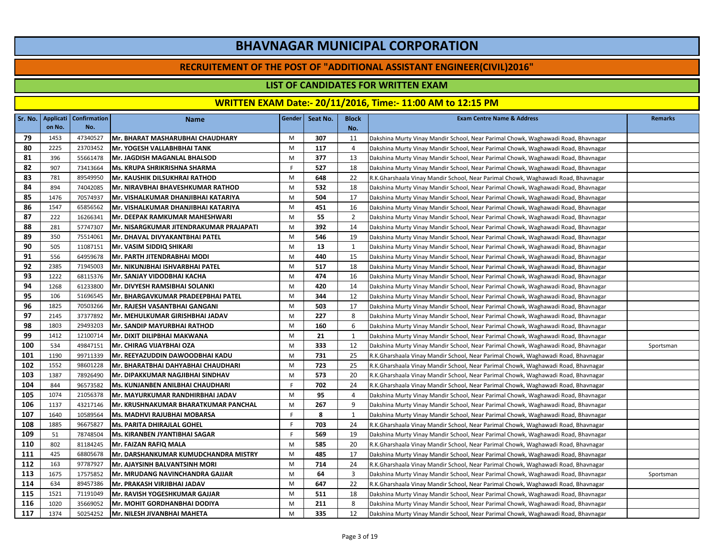#### **RECRUITEMENT OF THE POST OF "ADDITIONAL ASSISTANT ENGINEER(CIVIL)2016"**

### **LIST OF CANDIDATES FOR WRITTEN EXAM**

|     |        | Sr. No.   Applicati   Confirmation | <b>Name</b>                             | Gender | Seat No. | <b>Block</b> | <b>Exam Centre Name &amp; Address</b>                                             | <b>Remarks</b> |
|-----|--------|------------------------------------|-----------------------------------------|--------|----------|--------------|-----------------------------------------------------------------------------------|----------------|
|     | on No. | No.                                |                                         |        |          | No.          |                                                                                   |                |
| 79  | 1453   | 47340527                           | Mr. BHARAT MASHARUBHAI CHAUDHARY        | M      | 307      | 11           | Dakshina Murty Vinay Mandir School, Near Parimal Chowk, Waghawadi Road, Bhavnagar |                |
| 80  | 2225   | 23703452                           | Mr. YOGESH VALLABHBHAI TANK             | M      | 117      | 4            | Dakshina Murty Vinay Mandir School, Near Parimal Chowk, Waghawadi Road, Bhavnagar |                |
| 81  | 396    | 55661478                           | Mr. JAGDISH MAGANLAL BHALSOD            | M      | 377      | 13           | Dakshina Murty Vinay Mandir School, Near Parimal Chowk, Waghawadi Road, Bhavnagar |                |
| 82  | 907    | 73413664                           | Ms. KRUPA SHRIKRISHNA SHARMA            | F.     | 527      | 18           | Dakshina Murty Vinay Mandir School, Near Parimal Chowk, Waghawadi Road, Bhavnagar |                |
| 83  | 781    | 89549950                           | <b>Mr. KAUSHIK DILSUKHRAI RATHOD</b>    | M      | 648      | 22           | R.K.Gharshaala Vinay Mandir School, Near Parimal Chowk, Waghawadi Road, Bhavnagar |                |
| 84  | 894    | 74042085                           | Mr. NIRAVBHAI BHAVESHKUMAR RATHOD       | M      | 532      | 18           | Dakshina Murty Vinay Mandir School, Near Parimal Chowk, Waghawadi Road, Bhavnagar |                |
| 85  | 1476   | 70574937                           | Mr. VISHALKUMAR DHANJIBHAI KATARIYA     | M      | 504      | 17           | Dakshina Murty Vinay Mandir School, Near Parimal Chowk, Waghawadi Road, Bhavnagar |                |
| 86  | 1547   | 65856562                           | Mr. VISHALKUMAR DHANJIBHAI KATARIYA     | M      | 451      | 16           | Dakshina Murty Vinay Mandir School, Near Parimal Chowk, Waghawadi Road, Bhavnagar |                |
| 87  | 222    | 16266341                           | Mr. DEEPAK RAMKUMAR MAHESHWARI          | M      | 55       | 2            | Dakshina Murty Vinay Mandir School, Near Parimal Chowk, Waghawadi Road, Bhavnagar |                |
| 88  | 281    | 57747307                           | Mr. NISARGKUMAR JITENDRAKUMAR PRAJAPATI | M      | 392      | 14           | Dakshina Murty Vinay Mandir School, Near Parimal Chowk, Waghawadi Road, Bhavnagar |                |
| 89  | 350    | 75514061                           | Mr. DHAVAL DIVYAKANTBHAI PATEL          | M      | 546      | 19           | Dakshina Murty Vinay Mandir School, Near Parimal Chowk, Waghawadi Road, Bhavnagar |                |
| 90  | 505    | 11087151                           | Mr. VASIM SIDDIQ SHIKARI                | M      | 13       | 1            | Dakshina Murty Vinay Mandir School, Near Parimal Chowk, Waghawadi Road, Bhavnagar |                |
| 91  | 556    | 64959678                           | Mr. PARTH JITENDRABHAI MODI             | M      | 440      | 15           | Dakshina Murty Vinay Mandir School, Near Parimal Chowk, Waghawadi Road, Bhavnagar |                |
| 92  | 2385   | 71945003                           | Mr. NIKUNJBHAI ISHVARBHAI PATEL         | M      | 517      | 18           | Dakshina Murty Vinay Mandir School, Near Parimal Chowk, Waghawadi Road, Bhavnagar |                |
| 93  | 1222   | 68115376                           | Mr. SANJAY VIDODBHAI KACHA              | M      | 474      | 16           | Dakshina Murty Vinay Mandir School, Near Parimal Chowk, Waghawadi Road, Bhavnagar |                |
| 94  | 1268   | 61233800                           | Mr. DIVYESH RAMSIBHAI SOLANKI           | M      | 420      | 14           | Dakshina Murty Vinay Mandir School, Near Parimal Chowk, Waghawadi Road, Bhavnagar |                |
| 95  | 106    | 51696545                           | Mr. BHARGAVKUMAR PRADEEPBHAI PATEL      | M      | 344      | 12           | Dakshina Murty Vinay Mandir School, Near Parimal Chowk, Waghawadi Road, Bhavnagar |                |
| 96  | 1825   | 70503266                           | Mr. RAJESH VASANTBHAI GANGANI           | M      | 503      | 17           | Dakshina Murty Vinay Mandir School, Near Parimal Chowk, Waghawadi Road, Bhavnagar |                |
| 97  | 2145   | 37377892                           | Mr. MEHULKUMAR GIRISHBHAI JADAV         | M      | 227      | 8            | Dakshina Murty Vinay Mandir School, Near Parimal Chowk, Waghawadi Road, Bhavnagar |                |
| 98  | 1803   | 29493203                           | Mr. SANDIP MAYURBHAI RATHOD             | M      | 160      | 6            | Dakshina Murty Vinay Mandir School, Near Parimal Chowk, Waghawadi Road, Bhavnagar |                |
| 99  | 1412   | 12100714                           | Mr. DIXIT DILIPBHAI MAKWANA             | M      | 21       | 1            | Dakshina Murty Vinay Mandir School, Near Parimal Chowk, Waghawadi Road, Bhavnagar |                |
| 100 | 534    | 49847151                           | Mr. CHIRAG VIJAYBHAI OZA                | M      | 333      | 12           | Dakshina Murty Vinay Mandir School, Near Parimal Chowk, Waghawadi Road, Bhavnagar | Sportsman      |
| 101 | 1190   | 99711339                           | Mr. REEYAZUDDIN DAWOODBHAI KADU         | M      | 731      | 25           | R.K.Gharshaala Vinay Mandir School, Near Parimal Chowk, Waghawadi Road, Bhavnagar |                |
| 102 | 1552   | 98601228                           | Mr. BHARATBHAI DAHYABHAI CHAUDHARI      | M      | 723      | 25           | R.K.Gharshaala Vinay Mandir School, Near Parimal Chowk, Waghawadi Road, Bhavnagar |                |
| 103 | 1387   | 78926490                           | Mr. DIPAKKUMAR NAGJIBHAI SINDHAV        | M      | 573      | 20           | R.K.Gharshaala Vinay Mandir School, Near Parimal Chowk, Waghawadi Road, Bhavnagar |                |
| 104 | 844    | 96573582                           | Ms. KUNJANBEN ANILBHAI CHAUDHARI        | F.     | 702      | 24           | R.K.Gharshaala Vinay Mandir School, Near Parimal Chowk, Waghawadi Road, Bhavnagar |                |
| 105 | 1074   | 21056378                           | Mr. MAYURKUMAR RANDHIRBHAI JADAV        | M      | 95       | 4            | Dakshina Murty Vinay Mandir School, Near Parimal Chowk, Waghawadi Road, Bhavnagar |                |
| 106 | 1137   | 43217146                           | Mr. KRUSHNAKUMAR BHARATKUMAR PANCHAL    | M      | 267      | 9            | Dakshina Murty Vinay Mandir School, Near Parimal Chowk, Waghawadi Road, Bhavnagar |                |
| 107 | 1640   | 10589564                           | Ms. MADHVI RAJUBHAI MOBARSA             | F.     | 8        | 1            | Dakshina Murty Vinay Mandir School, Near Parimal Chowk, Waghawadi Road, Bhavnagar |                |
| 108 | 1885   | 96675827                           | <b>Ms. PARITA DHIRAJLAL GOHEL</b>       | F.     | 703      | 24           | R.K.Gharshaala Vinay Mandir School, Near Parimal Chowk, Waghawadi Road, Bhavnagar |                |
| 109 | 51     | 78748504                           | Ms. KIRANBEN JYANTIBHAI SAGAR           | F.     | 569      | 19           | Dakshina Murty Vinay Mandir School, Near Parimal Chowk, Waghawadi Road, Bhavnagar |                |
| 110 | 802    | 81184245                           | Mr. FAIZAN RAFIQ MALA                   | M      | 585      | 20           | R.K.Gharshaala Vinay Mandir School, Near Parimal Chowk, Waghawadi Road, Bhavnagar |                |
| 111 | 425    | 68805678                           | Mr. DARSHANKUMAR KUMUDCHANDRA MISTRY    | M      | 485      | 17           | Dakshina Murty Vinay Mandir School, Near Parimal Chowk, Waghawadi Road, Bhavnagar |                |
| 112 | 163    | 97787927                           | Mr. AJAYSINH BALVANTSINH MORI           | M      | 714      | 24           | R.K.Gharshaala Vinay Mandir School, Near Parimal Chowk, Waghawadi Road, Bhavnagar |                |
| 113 | 1675   | 17575852                           | Mr. MRUDANG NAVINCHANDRA GAJJAR         | M      | 64       | 3            | Dakshina Murty Vinay Mandir School, Near Parimal Chowk, Waghawadi Road, Bhavnagar | Sportsman      |
| 114 | 634    | 89457386                           | Mr. PRAKASH VIRJIBHAI JADAV             | M      | 647      | 22           | R.K.Gharshaala Vinay Mandir School, Near Parimal Chowk, Waghawadi Road, Bhavnagar |                |
| 115 | 1521   | 71191049                           | Mr. RAVISH YOGESHKUMAR GAJJAR           | M      | 511      | 18           | Dakshina Murty Vinay Mandir School, Near Parimal Chowk, Waghawadi Road, Bhavnagar |                |
| 116 | 1020   | 35669052                           | Mr. MOHIT GORDHANBHAI DODIYA            | M      | 211      | 8            | Dakshina Murty Vinay Mandir School, Near Parimal Chowk, Waghawadi Road, Bhavnagar |                |
| 117 | 1374   | 50254252                           | Mr. NILESH JIVANBHAI MAHETA             | M      | 335      | 12           | Dakshina Murty Vinay Mandir School, Near Parimal Chowk, Waghawadi Road, Bhavnagar |                |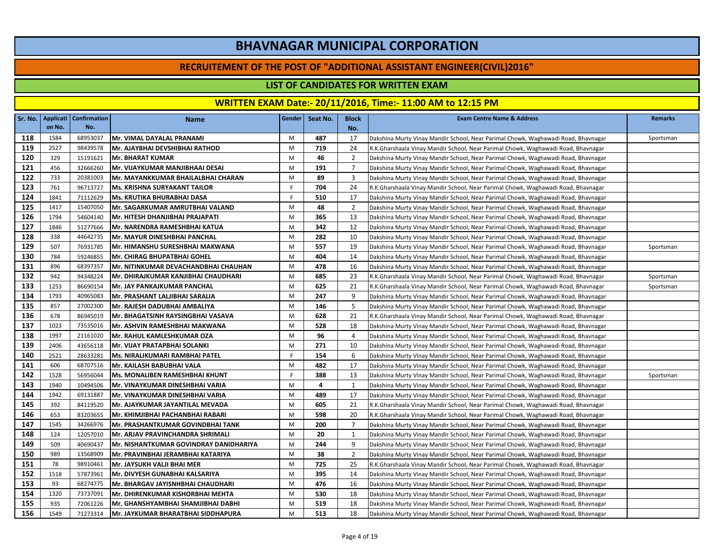#### **RECRUITEMENT OF THE POST OF "ADDITIONAL ASSISTANT ENGINEER(CIVIL)2016"**

### **LIST OF CANDIDATES FOR WRITTEN EXAM**

|     |        | Sr. No.   Applicati   Confirmation | <b>Name</b>                            | Gender | Seat No. | <b>Block</b>   | <b>Exam Centre Name &amp; Address</b>                                             | <b>Remarks</b> |
|-----|--------|------------------------------------|----------------------------------------|--------|----------|----------------|-----------------------------------------------------------------------------------|----------------|
|     | on No. | No.                                |                                        |        |          | No.            |                                                                                   |                |
| 118 | 1584   | 68953037                           | Mr. VIMAL DAYALAL PRANAMI              | M      | 487      | 17             | Dakshina Murty Vinay Mandir School, Near Parimal Chowk, Waghawadi Road, Bhavnagar | Sportsman      |
| 119 | 2527   | 98439578                           | Mr. AJAYBHAI DEVSHIBHAI RATHOD         | M      | 719      | 24             | R.K.Gharshaala Vinay Mandir School, Near Parimal Chowk, Waghawadi Road, Bhavnagar |                |
| 120 | 329    | 15191621                           | <b>Mr. BHARAT KUMAR</b>                | M      | 46       | $\overline{2}$ | Dakshina Murty Vinay Mandir School, Near Parimal Chowk, Waghawadi Road, Bhavnagar |                |
| 121 | 456    | 32666260                           | Mr. VIJAYKUMAR MANJIBHAAI DESAI        | M      | 191      | $\overline{7}$ | Dakshina Murty Vinay Mandir School, Near Parimal Chowk, Waghawadi Road, Bhavnagar |                |
| 122 | 733    | 20381003                           | Mr. MAYANKKUMAR BHAILALBHAI CHARAN     | M      | 89       | 3              | Dakshina Murty Vinay Mandir School, Near Parimal Chowk, Waghawadi Road, Bhavnagar |                |
| 123 | 761    | 96713727                           | <b>Ms. KRISHNA SURYAKANT TAILOR</b>    | F.     | 704      | 24             | R.K.Gharshaala Vinay Mandir School, Near Parimal Chowk, Waghawadi Road, Bhavnagar |                |
| 124 | 1841   | 71112629                           | Ms. KRUTIKA BHURABHAI DASA             | F      | 510      | 17             | Dakshina Murty Vinay Mandir School, Near Parimal Chowk, Waghawadi Road, Bhavnagar |                |
| 125 | 1417   | 15407050                           | Mr. SAGARKUMAR AMRUTBHAI VALAND        | M      | 48       | $\overline{2}$ | Dakshina Murty Vinay Mandir School, Near Parimal Chowk, Waghawadi Road, Bhavnagar |                |
| 126 | 1794   | 54604140                           | Mr. HITESH DHANJIBHAI PRAJAPATI        | M      | 365      | 13             | Dakshina Murty Vinay Mandir School, Near Parimal Chowk, Waghawadi Road, Bhavnagar |                |
| 127 | 1846   | 51277666                           | Mr. NARENDRA RAMESHBHAI KATUA          | M      | 342      | 12             | Dakshina Murty Vinay Mandir School, Near Parimal Chowk, Waghawadi Road, Bhavnagar |                |
| 128 | 338    | 44642735                           | Mr. MAYUR DINESHBHAI PANCHAL           | M      | 282      | 10             | Dakshina Murty Vinay Mandir School, Near Parimal Chowk, Waghawadi Road, Bhavnagar |                |
| 129 | 507    | 76931785                           | Mr. HIMANSHU SURESHBHAI MAKWANA        | M      | 557      | 19             | Dakshina Murty Vinay Mandir School, Near Parimal Chowk, Waghawadi Road, Bhavnagar | Sportsman      |
| 130 | 784    | 59246855                           | Mr. CHIRAG BHUPATBHAI GOHEL            | M      | 404      | 14             | Dakshina Murty Vinay Mandir School, Near Parimal Chowk, Waghawadi Road, Bhavnagar |                |
| 131 | 896    | 68397357                           | Mr. NITINKUMAR DEVACHANDBHAI CHAUHAN   | M      | 478      | 16             | Dakshina Murty Vinay Mandir School, Near Parimal Chowk, Waghawadi Road, Bhavnagar |                |
| 132 | 942    | 94348224                           | Mr. DHIRAJKUMAR KANJIBHAI CHAUDHARI    | M      | 685      | 23             | R.K.Gharshaala Vinay Mandir School, Near Parimal Chowk, Waghawadi Road, Bhavnagar | Sportsman      |
| 133 | 1253   | 86690154                           | Mr. JAY PANKAJKUMAR PANCHAL            | M      | 625      | 21             | R.K.Gharshaala Vinay Mandir School, Near Parimal Chowk, Waghawadi Road, Bhavnagar | Sportsman      |
| 134 | 1793   | 40965083                           | Mr. PRASHANT LALJIBHAI SARALIA         | M      | 247      | 9              | Dakshina Murty Vinay Mandir School, Near Parimal Chowk, Waghawadi Road, Bhavnagar |                |
| 135 | 857    | 27002300                           | Mr. RAJESH DADUBHAI AMBALIYA           | M      | 146      | 5              | Dakshina Murty Vinay Mandir School, Near Parimal Chowk, Waghawadi Road, Bhavnagar |                |
| 136 | 678    | 86945019                           | Mr. BHAGATSINH RAYSINGBHAI VASAVA      | M      | 628      | 21             | R.K.Gharshaala Vinay Mandir School, Near Parimal Chowk, Waghawadi Road, Bhavnagar |                |
| 137 | 1023   | 73535016                           | Mr. ASHVIN RAMESHBHAI MAKWANA          | M      | 528      | 18             | Dakshina Murty Vinay Mandir School, Near Parimal Chowk, Waghawadi Road, Bhavnagar |                |
| 138 | 1997   | 21161020                           | Mr. RAHUL KAMLESHKUMAR OZA             | M      | 96       | 4              | Dakshina Murty Vinay Mandir School, Near Parimal Chowk, Waghawadi Road, Bhavnagar |                |
| 139 | 2406   | 43656118                           | Mr. VIJAY PRATAPBHAI SOLANKI           | M      | 271      | 10             | Dakshina Murty Vinay Mandir School, Near Parimal Chowk, Waghawadi Road, Bhavnagar |                |
| 140 | 2521   | 28633281                           | Ms. NIRALIKUMARI RAMBHAI PATEL         | F.     | 154      | 6              | Dakshina Murty Vinay Mandir School, Near Parimal Chowk, Waghawadi Road, Bhavnagar |                |
| 141 | 606    | 68707516                           | Mr. KAILASH BABUBHAI VALA              | M      | 482      | 17             | Dakshina Murty Vinay Mandir School, Near Parimal Chowk, Waghawadi Road, Bhavnagar |                |
| 142 | 1528   | 56956044                           | Ms. MONALIBEN RAMESHBHAI KHUNT         | F.     | 388      | 13             | Dakshina Murty Vinay Mandir School, Near Parimal Chowk, Waghawadi Road, Bhavnagar | Sportsman      |
| 143 | 1940   | 10494506                           | Mr. VINAYKUMAR DINESHBHAI VARIA        | M      | 4        | 1              | Dakshina Murty Vinay Mandir School, Near Parimal Chowk, Waghawadi Road, Bhavnagar |                |
| 144 | 1942   | 69131887                           | Mr. VINAYKUMAR DINESHBHAI VARIA        | M      | 489      | 17             | Dakshina Murty Vinay Mandir School, Near Parimal Chowk, Waghawadi Road, Bhavnagar |                |
| 145 | 392    | 84119520                           | Mr. AJAYKUMAR JAYANTILAL MEVADA        | M      | 605      | 21             | R.K.Gharshaala Vinay Mandir School, Near Parimal Chowk, Waghawadi Road, Bhavnagar |                |
| 146 | 653    | 83203655                           | Mr. KHIMJIBHAI PACHANBHAI RABARI       | M      | 598      | 20             | R.K.Gharshaala Vinay Mandir School, Near Parimal Chowk, Waghawadi Road, Bhavnagar |                |
| 147 | 1545   | 34266976                           | Mr. PRASHANTKUMAR GOVINDBHAI TANK      | M      | 200      | $\overline{7}$ | Dakshina Murty Vinay Mandir School, Near Parimal Chowk, Waghawadi Road, Bhavnagar |                |
| 148 | 124    | 12057010                           | Mr. ARJAV PRAVINCHANDRA SHRIMALI       | M      | 20       | 1              | Dakshina Murty Vinay Mandir School, Near Parimal Chowk, Waghawadi Road, Bhavnagar |                |
| 149 | 509    | 40690437                           | Mr. NISHANTKUMAR GOVINDRAY DANIDHARIYA | M      | 244      | 9              | Dakshina Murty Vinay Mandir School, Near Parimal Chowk, Waghawadi Road, Bhavnagar |                |
| 150 | 989    | 13568909                           | Mr. PRAVINBHAI JERAMBHAI KATARIYA      | M      | 38       | $\overline{2}$ | Dakshina Murty Vinay Mandir School, Near Parimal Chowk, Waghawadi Road, Bhavnagar |                |
| 151 | 78     | 98910461                           | Mr. JAYSUKH VALJI BHAI MER             | M      | 725      | 25             | R.K.Gharshaala Vinay Mandir School, Near Parimal Chowk, Waghawadi Road, Bhavnagar |                |
| 152 | 1518   | 57873961                           | Mr. DIVYESH GUNABHAI KALSARIYA         | M      | 395      | 14             | Dakshina Murty Vinay Mandir School, Near Parimal Chowk, Waghawadi Road, Bhavnagar |                |
| 153 | 93     | 68274775                           | Mr. BHARGAV JAYISNHBHAI CHAUDHARI      | M      | 476      | 16             | Dakshina Murty Vinay Mandir School, Near Parimal Chowk, Waghawadi Road, Bhavnagar |                |
| 154 | 1320   | 73737091                           | Mr. DHIRENKUMAR KISHORBHAI MEHTA       | M      | 530      | 18             | Dakshina Murty Vinay Mandir School, Near Parimal Chowk, Waghawadi Road, Bhavnagar |                |
| 155 | 935    | 72061226                           | Mr. GHANSHYAMBHAI SHAMJIBHAI DABHI     | M      | 519      | 18             | Dakshina Murty Vinay Mandir School, Near Parimal Chowk, Waghawadi Road, Bhavnagar |                |
| 156 | 1549   | 71273314                           | Mr. JAYKUMAR BHARATBHAI SIDDHAPURA     | M      | 513      | 18             | Dakshina Murty Vinay Mandir School, Near Parimal Chowk, Waghawadi Road, Bhavnagar |                |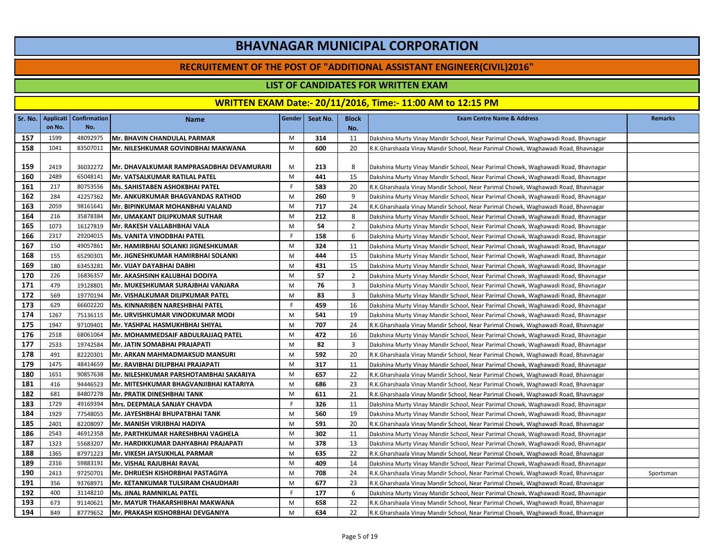#### **RECRUITEMENT OF THE POST OF "ADDITIONAL ASSISTANT ENGINEER(CIVIL)2016"**

### **LIST OF CANDIDATES FOR WRITTEN EXAM**

|     | Sr. No.   Applicati | Confirmation | <b>Name</b>                              | Gender | Seat No. | <b>Block</b>   | <b>Exam Centre Name &amp; Address</b>                                             | <b>Remarks</b> |
|-----|---------------------|--------------|------------------------------------------|--------|----------|----------------|-----------------------------------------------------------------------------------|----------------|
|     | on No.              | No.          |                                          |        |          | No.            |                                                                                   |                |
| 157 | 1599                | 48092975     | <b>Mr. BHAVIN CHANDULAL PARMAR</b>       | M      | 314      | 11             | Dakshina Murty Vinay Mandir School, Near Parimal Chowk, Waghawadi Road, Bhavnagar |                |
| 158 | 1041                | 83507011     | Mr. NILESHKUMAR GOVINDBHAI MAKWANA       | M      | 600      | 20             | R.K.Gharshaala Vinay Mandir School, Near Parimal Chowk, Waghawadi Road, Bhavnagar |                |
|     |                     |              |                                          |        |          |                |                                                                                   |                |
| 159 | 2419                | 36032272     | Mr. DHAVALKUMAR RAMPRASADBHAI DEVAMURARI | M      | 213      | 8              | Dakshina Murty Vinay Mandir School, Near Parimal Chowk, Waghawadi Road, Bhavnagar |                |
| 160 | 2489                | 65048141     | Mr. VATSALKUMAR RATILAL PATEL            | M      | 441      | 15             | Dakshina Murty Vinay Mandir School, Near Parimal Chowk, Waghawadi Road, Bhavnagar |                |
| 161 | 217                 | 80753556     | Ms. SAHISTABEN ASHOKBHAI PATEL           | F.     | 583      | 20             | R.K.Gharshaala Vinay Mandir School, Near Parimal Chowk, Waghawadi Road, Bhavnagar |                |
| 162 | 284                 | 42257362     | <b>Mr. ANKURKUMAR BHAGVANDAS RATHOD</b>  | M      | 260      | 9              | Dakshina Murty Vinay Mandir School, Near Parimal Chowk, Waghawadi Road, Bhavnagar |                |
| 163 | 2059                | 98161641     | Mr. BIPINKUMAR MOHANBHAI VALAND          | M      | 717      | 24             | R.K.Gharshaala Vinay Mandir School, Near Parimal Chowk, Waghawadi Road, Bhavnagar |                |
| 164 | 216                 | 35878384     | <b>Mr. UMAKANT DILIPKUMAR SUTHAR</b>     | M      | 212      | 8              | Dakshina Murty Vinay Mandir School, Near Parimal Chowk, Waghawadi Road, Bhavnagar |                |
| 165 | 1073                | 16127819     | Mr. RAKESH VALLABHBHAI VALA              | M      | 54       | $\overline{2}$ | Dakshina Murty Vinay Mandir School, Near Parimal Chowk, Waghawadi Road, Bhavnagar |                |
| 166 | 2317                | 29204015     | <b>Ms. VANITA VINODBHAI PATEL</b>        | F.     | 158      | 6              | Dakshina Murty Vinay Mandir School, Near Parimal Chowk, Waghawadi Road, Bhavnagar |                |
| 167 | 150                 | 49057861     | Mr. HAMIRBHAI SOLANKI JIGNESHKUMAR       | M      | 324      | 11             | Dakshina Murty Vinay Mandir School, Near Parimal Chowk, Waghawadi Road, Bhavnagar |                |
| 168 | 155                 | 65290301     | Mr. JIGNESHKUMAR HAMIRBHAI SOLANKI       | M      | 444      | 15             | Dakshina Murty Vinay Mandir School, Near Parimal Chowk, Waghawadi Road, Bhavnagar |                |
| 169 | 180                 | 63453281     | Mr. VIJAY DAYABHAI DABHI                 | M      | 431      | 15             | Dakshina Murty Vinay Mandir School, Near Parimal Chowk, Waghawadi Road, Bhavnagar |                |
| 170 | 226                 | 16836357     | Mr. AKASHSINH KALUBHAI DODIYA            | M      | 57       | $\overline{2}$ | Dakshina Murty Vinay Mandir School, Near Parimal Chowk, Waghawadi Road, Bhavnagar |                |
| 171 | 479                 | 19128801     | Mr. MUKESHKUMAR SURAJBHAI VANJARA        | M      | 76       | 3              | Dakshina Murty Vinay Mandir School, Near Parimal Chowk, Waghawadi Road, Bhavnagar |                |
| 172 | 569                 | 19770194     | Mr. VISHALKUMAR DILIPKUMAR PATEL         | M      | 83       | 3              | Dakshina Murty Vinay Mandir School, Near Parimal Chowk, Waghawadi Road, Bhavnagar |                |
| 173 | 629                 | 66602220     | Ms. KINNARIBEN NARESHBHAI PATEL          | F.     | 459      | 16             | Dakshina Murty Vinay Mandir School, Near Parimal Chowk, Waghawadi Road, Bhavnagar |                |
| 174 | 1267                | 75136115     | Mr. URVISHKUMAR VINODKUMAR MODI          | M      | 541      | 19             | Dakshina Murty Vinay Mandir School, Near Parimal Chowk, Waghawadi Road, Bhavnagar |                |
| 175 | 1947                | 97109401     | Mr. YASHPAL HASMUKHBHAI SHIYAL           | M      | 707      | 24             | R.K.Gharshaala Vinay Mandir School, Near Parimal Chowk, Waghawadi Road, Bhavnagar |                |
| 176 | 2518                | 68061064     | Mr. MOHAMMEDSAIF ABDULRAJJAQ PATEL       | M      | 472      | 16             | Dakshina Murty Vinay Mandir School, Near Parimal Chowk, Waghawadi Road, Bhavnagar |                |
| 177 | 2533                | 19742584     | Mr. JATIN SOMABHAI PRAJAPATI             | M      | 82       | 3              | Dakshina Murty Vinay Mandir School, Near Parimal Chowk, Waghawadi Road, Bhavnagar |                |
| 178 | 491                 | 82220301     | Mr. ARKAN MAHMADMAKSUD MANSURI           | M      | 592      | 20             | R.K.Gharshaala Vinay Mandir School, Near Parimal Chowk, Waghawadi Road, Bhavnagar |                |
| 179 | 1475                | 48414659     | Mr. RAVIBHAI DILIPBHAI PRAJAPATI         | M      | 317      | 11             | Dakshina Murty Vinay Mandir School, Near Parimal Chowk, Waghawadi Road, Bhavnagar |                |
| 180 | 1651                | 90857638     | Mr. NILESHKUMAR PARSHOTAMBHAI SAKARIYA   | M      | 657      | 22             | R.K.Gharshaala Vinay Mandir School, Near Parimal Chowk, Waghawadi Road, Bhavnagar |                |
| 181 | 416                 | 94446523     | Mr. MITESHKUMAR BHAGVANJIBHAI KATARIYA   | M      | 686      | 23             | R.K.Gharshaala Vinay Mandir School, Near Parimal Chowk, Waghawadi Road, Bhavnagar |                |
| 182 | 681                 | 84807278     | Mr. PRATIK DINESHBHAI TANK               | M      | 611      | 21             | R.K.Gharshaala Vinay Mandir School, Near Parimal Chowk, Waghawadi Road, Bhavnagar |                |
| 183 | 1729                | 49169394     | Mrs. DEEPMALA SANJAY CHAVDA              | F.     | 326      | 11             | Dakshina Murty Vinay Mandir School, Near Parimal Chowk, Waghawadi Road, Bhavnagar |                |
| 184 | 1929                | 77548055     | Mr. JAYESHBHAI BHUPATBHAI TANK           | M      | 560      | 19             | Dakshina Murty Vinay Mandir School, Near Parimal Chowk, Waghawadi Road, Bhavnagar |                |
| 185 | 2401                | 82208097     | Mr. MANISH VIRJIBHAI HADIYA              | M      | 591      | 20             | R.K.Gharshaala Vinay Mandir School, Near Parimal Chowk, Waghawadi Road, Bhavnagar |                |
| 186 | 2543                | 46912358     | Mr. PARTHKUMAR HARESHBHAI VAGHELA        | M      | 302      | 11             | Dakshina Murty Vinay Mandir School, Near Parimal Chowk, Waghawadi Road, Bhavnagar |                |
| 187 | 1323                | 55683207     | Mr. HARDIKKUMAR DAHYABHAI PRAJAPATI      | M      | 378      | 13             | Dakshina Murty Vinay Mandir School, Near Parimal Chowk, Waghawadi Road, Bhavnagar |                |
| 188 | 1365                | 87971223     | Mr. VIKESH JAYSUKHLAL PARMAR             | M      | 635      | 22             | R.K.Gharshaala Vinay Mandir School, Near Parimal Chowk, Waghawadi Road, Bhavnagar |                |
| 189 | 2316                | 59883191     | Mr. VISHAL RAJUBHAI RAVAL                | M      | 409      | 14             | Dakshina Murty Vinay Mandir School, Near Parimal Chowk, Waghawadi Road, Bhavnagar |                |
| 190 | 2413                | 97250701     | Mr. DHRIJESH KISHORBHAI PASTAGIYA        | M      | 708      | 24             | R.K.Gharshaala Vinay Mandir School, Near Parimal Chowk, Waghawadi Road, Bhavnagar | Sportsman      |
| 191 | 356                 | 93768971     | Mr. KETANKUMAR TULSIRAM CHAUDHARI        | M      | 677      | 23             | R.K.Gharshaala Vinay Mandir School, Near Parimal Chowk, Waghawadi Road, Bhavnagar |                |
| 192 | 400                 | 31148210     | <b>Ms. JINAL RAMNIKLAL PATEL</b>         | F      | 177      | 6              | Dakshina Murty Vinay Mandir School, Near Parimal Chowk, Waghawadi Road, Bhavnagar |                |
| 193 | 673                 | 91140621     | Mr. MAYUR THAKARSHIBHAI MAKWANA          | M      | 658      | 22             | R.K.Gharshaala Vinay Mandir School, Near Parimal Chowk, Waghawadi Road, Bhavnagar |                |
| 194 | 849                 | 87779652     | <b>Mr. PRAKASH KISHORBHAI DEVGANIYA</b>  | M      | 634      | 22             | R.K.Gharshaala Vinay Mandir School, Near Parimal Chowk, Waghawadi Road, Bhavnagar |                |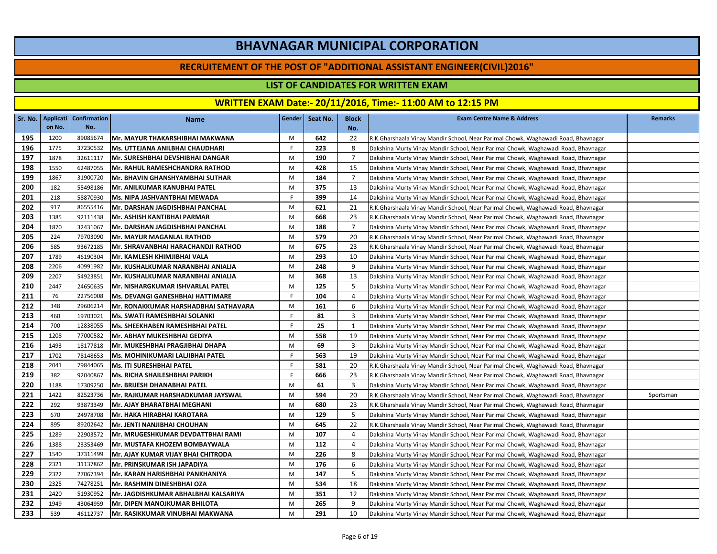#### **RECRUITEMENT OF THE POST OF "ADDITIONAL ASSISTANT ENGINEER(CIVIL)2016"**

### **LIST OF CANDIDATES FOR WRITTEN EXAM**

|     |        | Sr. No.   Applicati   Confirmation | <b>Name</b>                          | Gender | Seat No. | <b>Block</b>   | <b>Exam Centre Name &amp; Address</b>                                             | <b>Remarks</b> |
|-----|--------|------------------------------------|--------------------------------------|--------|----------|----------------|-----------------------------------------------------------------------------------|----------------|
|     | on No. | No.                                |                                      |        |          | No.            |                                                                                   |                |
| 195 | 1200   | 89085674                           | Mr. MAYUR THAKARSHIBHAI MAKWANA      | M      | 642      | 22             | R.K.Gharshaala Vinay Mandir School, Near Parimal Chowk, Waghawadi Road, Bhavnagar |                |
| 196 | 1775   | 37230532                           | Ms. UTTEJANA ANILBHAI CHAUDHARI      | F.     | 223      | 8              | Dakshina Murty Vinay Mandir School, Near Parimal Chowk, Waghawadi Road, Bhavnagar |                |
| 197 | 1878   | 32611117                           | Mr. SURESHBHAI DEVSHIBHAI DANGAR     | M      | 190      | $\overline{7}$ | Dakshina Murty Vinay Mandir School, Near Parimal Chowk, Waghawadi Road, Bhavnagar |                |
| 198 | 1550   | 62487055                           | Mr. RAHUL RAMESHCHANDRA RATHOD       | M      | 428      | 15             | Dakshina Murty Vinay Mandir School, Near Parimal Chowk, Waghawadi Road, Bhavnagar |                |
| 199 | 1867   | 31900720                           | Mr. BHAVIN GHANSHYAMBHAI SUTHAR      | M      | 184      | $\overline{7}$ | Dakshina Murty Vinay Mandir School, Near Parimal Chowk, Waghawadi Road, Bhavnagar |                |
| 200 | 182    | 55498186                           | Mr. ANILKUMAR KANUBHAI PATEL         | M      | 375      | 13             | Dakshina Murty Vinay Mandir School, Near Parimal Chowk, Waghawadi Road, Bhavnagar |                |
| 201 | 218    | 58870930                           | Ms. NIPA JASHVANTBHAI MEWADA         | F.     | 399      | 14             | Dakshina Murty Vinay Mandir School, Near Parimal Chowk, Waghawadi Road, Bhavnagar |                |
| 202 | 917    | 86555416                           | Mr. DARSHAN JAGDISHBHAI PANCHAL      | M      | 621      | 21             | R.K.Gharshaala Vinay Mandir School, Near Parimal Chowk, Waghawadi Road, Bhavnagar |                |
| 203 | 1385   | 92111438                           | Mr. ASHISH KANTIBHAI PARMAR          | M      | 668      | 23             | R.K.Gharshaala Vinay Mandir School, Near Parimal Chowk, Waghawadi Road, Bhavnagar |                |
| 204 | 1870   | 32431067                           | Mr. DARSHAN JAGDISHBHAI PANCHAL      | M      | 188      | $\overline{7}$ | Dakshina Murty Vinay Mandir School, Near Parimal Chowk, Waghawadi Road, Bhavnagar |                |
| 205 | 224    | 79703090                           | <b>Mr. MAYUR MAGANLAL RATHOD</b>     | M      | 579      | 20             | R.K.Gharshaala Vinay Mandir School, Near Parimal Chowk, Waghawadi Road, Bhavnagar |                |
| 206 | 585    | 93672185                           | Mr. SHRAVANBHAI HARACHANDJI RATHOD   | M      | 675      | 23             | R.K.Gharshaala Vinay Mandir School, Near Parimal Chowk, Waghawadi Road, Bhavnagar |                |
| 207 | 1789   | 46190304                           | Mr. KAMLESH KHIMJIBHAI VALA          | M      | 293      | 10             | Dakshina Murty Vinay Mandir School, Near Parimal Chowk, Waghawadi Road, Bhavnagar |                |
| 208 | 2206   | 40991982                           | Mr. KUSHALKUMAR NARANBHAI ANIALIA    | M      | 248      | 9              | Dakshina Murty Vinay Mandir School, Near Parimal Chowk, Waghawadi Road, Bhavnagar |                |
| 209 | 2207   | 54923851                           | Mr. KUSHALKUMAR NARANBHAI ANIALIA    | M      | 368      | 13             | Dakshina Murty Vinay Mandir School, Near Parimal Chowk, Waghawadi Road, Bhavnagar |                |
| 210 | 2447   | 24650635                           | Mr. NISHARGKUMAR ISHVARLAL PATEL     | M      | 125      | 5              | Dakshina Murty Vinay Mandir School, Near Parimal Chowk, Waghawadi Road, Bhavnagar |                |
| 211 | 76     | 22756008                           | Ms. DEVANGI GANESHBHAI HATTIMARE     | F.     | 104      | 4              | Dakshina Murty Vinay Mandir School, Near Parimal Chowk, Waghawadi Road, Bhavnagar |                |
| 212 | 348    | 29606214                           | Mr. RONAKKUMAR HARSHADBHAI SATHAVARA | M      | 161      | 6              | Dakshina Murty Vinay Mandir School, Near Parimal Chowk, Waghawadi Road, Bhavnagar |                |
| 213 | 460    | 19703021                           | Ms. SWATI RAMESHBHAI SOLANKI         | F.     | 81       | 3              | Dakshina Murty Vinay Mandir School, Near Parimal Chowk, Waghawadi Road, Bhavnagar |                |
| 214 | 700    | 12838055                           | Ms. SHEEKHABEN RAMESHBHAI PATEL      | F.     | 25       | 1              | Dakshina Murty Vinay Mandir School, Near Parimal Chowk, Waghawadi Road, Bhavnagar |                |
| 215 | 1208   | 77000582                           | Mr. ABHAY MUKESHBHAI GEDIYA          | M      | 558      | 19             | Dakshina Murty Vinay Mandir School, Near Parimal Chowk, Waghawadi Road, Bhavnagar |                |
| 216 | 1493   | 18177818                           | Mr. MUKESHBHAI PRAGJIBHAI DHAPA      | M      | 69       | 3              | Dakshina Murty Vinay Mandir School, Near Parimal Chowk, Waghawadi Road, Bhavnagar |                |
| 217 | 1702   | 78148653                           | Ms. MOHINIKUMARI LALJIBHAI PATEL     | F.     | 563      | 19             | Dakshina Murty Vinay Mandir School, Near Parimal Chowk, Waghawadi Road, Bhavnagar |                |
| 218 | 2041   | 79844065                           | Ms. ITI SURESHBHAI PATEL             | F      | 581      | 20             | R.K.Gharshaala Vinay Mandir School, Near Parimal Chowk, Waghawadi Road, Bhavnagar |                |
| 219 | 382    | 92040867                           | Ms. RICHA SHAILESHBHAI PARIKH        | F.     | 666      | 23             | R.K.Gharshaala Vinay Mandir School, Near Parimal Chowk, Waghawadi Road, Bhavnagar |                |
| 220 | 1188   | 17309250                           | Mr. BRIJESH DHANABHAI PATEL          | M      | 61       | 3              | Dakshina Murty Vinay Mandir School, Near Parimal Chowk, Waghawadi Road, Bhavnagar |                |
| 221 | 1422   | 82523736                           | Mr. RAJKUMAR HARSHADKUMAR JAYSWAL    | M      | 594      | 20             | R.K.Gharshaala Vinay Mandir School, Near Parimal Chowk, Waghawadi Road, Bhavnagar | Sportsman      |
| 222 | 292    | 93873349                           | Mr. AJAY BHARATBHAI MEGHANI          | M      | 680      | 23             | R.K.Gharshaala Vinay Mandir School, Near Parimal Chowk, Waghawadi Road, Bhavnagar |                |
| 223 | 670    | 24978708                           | Mr. HAKA HIRABHAI KAROTARA           | M      | 129      | 5              | Dakshina Murty Vinay Mandir School, Near Parimal Chowk, Waghawadi Road, Bhavnagar |                |
| 224 | 895    | 89202642                           | Mr. JENTI NANJIBHAI CHOUHAN          | M      | 645      | 22             | R.K.Gharshaala Vinay Mandir School, Near Parimal Chowk, Waghawadi Road, Bhavnagar |                |
| 225 | 1289   | 22903572                           | Mr. MRUGESHKUMAR DEVDATTBHAI RAMI    | M      | 107      | 4              | Dakshina Murty Vinay Mandir School, Near Parimal Chowk, Waghawadi Road, Bhavnagar |                |
| 226 | 1388   | 23353469                           | Mr. MUSTAFA KHOZEM BOMBAYWALA        | M      | 112      | $\overline{4}$ | Dakshina Murty Vinay Mandir School, Near Parimal Chowk, Waghawadi Road, Bhavnagar |                |
| 227 | 1540   | 37311499                           | Mr. AJAY KUMAR VIJAY BHAI CHITRODA   | M      | 226      | 8              | Dakshina Murty Vinay Mandir School, Near Parimal Chowk, Waghawadi Road, Bhavnagar |                |
| 228 | 2321   | 31137862                           | Mr. PRINSKUMAR ISH JAPADIYA          | M      | 176      | 6              | Dakshina Murty Vinay Mandir School, Near Parimal Chowk, Waghawadi Road, Bhavnagar |                |
| 229 | 2322   | 27067394                           | Mr. KARAN HARISHBHAI PANKHANIYA      | M      | 147      | 5              | Dakshina Murty Vinay Mandir School, Near Parimal Chowk, Waghawadi Road, Bhavnagar |                |
| 230 | 2325   | 74278251                           | Mr. RASHMIN DINESHBHAI OZA           | M      | 534      | 18             | Dakshina Murty Vinay Mandir School, Near Parimal Chowk, Waghawadi Road, Bhavnagar |                |
| 231 | 2420   | 51930952                           | Mr. JAGDISHKUMAR ABHALBHAI KALSARIYA | M      | 351      | 12             | Dakshina Murty Vinay Mandir School, Near Parimal Chowk, Waghawadi Road, Bhavnagar |                |
| 232 | 1949   | 43064959                           | Mr. DIPEN MANOJKUMAR BHILOTA         | M      | 265      | 9              | Dakshina Murty Vinay Mandir School, Near Parimal Chowk, Waghawadi Road, Bhavnagar |                |
| 233 | 539    | 46112737                           | Mr. RASIKKUMAR VINUBHAI MAKWANA      | M      | 291      | 10             | Dakshina Murty Vinay Mandir School, Near Parimal Chowk, Waghawadi Road, Bhavnagar |                |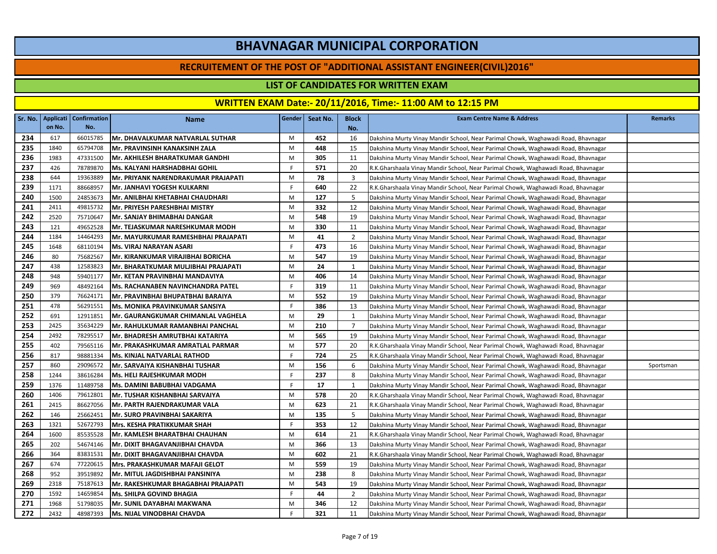#### **RECRUITEMENT OF THE POST OF "ADDITIONAL ASSISTANT ENGINEER(CIVIL)2016"**

### **LIST OF CANDIDATES FOR WRITTEN EXAM**

|     | Sr. No.   Applicati | <b>Confirmation</b> | <b>Name</b>                                | Gender | Seat No. | <b>Block</b>   | <b>Exam Centre Name &amp; Address</b>                                             | <b>Remarks</b> |
|-----|---------------------|---------------------|--------------------------------------------|--------|----------|----------------|-----------------------------------------------------------------------------------|----------------|
|     | on No.              | No.                 |                                            |        |          | No.            |                                                                                   |                |
| 234 | 617                 | 66015785            | Mr. DHAVALKUMAR NATVARLAL SUTHAR           | M      | 452      | 16             | Dakshina Murty Vinay Mandir School, Near Parimal Chowk, Waghawadi Road, Bhavnagar |                |
| 235 | 1840                | 65794708            | Mr. PRAVINSINH KANAKSINH ZALA              | M      | 448      | 15             | Dakshina Murty Vinay Mandir School, Near Parimal Chowk, Waghawadi Road, Bhavnagar |                |
| 236 | 1983                | 47331500            | <b>Mr. AKHILESH BHARATKUMAR GANDHI</b>     | M      | 305      | 11             | Dakshina Murty Vinay Mandir School, Near Parimal Chowk, Waghawadi Road, Bhavnagar |                |
| 237 | 426                 | 78789870            | Ms. KALYANI HARSHADBHAI GOHIL              | F.     | 571      | 20             | R.K.Gharshaala Vinay Mandir School, Near Parimal Chowk, Waghawadi Road, Bhavnagar |                |
| 238 | 644                 | 19363889            | Mr. PRIYANK NARENDRAKUMAR PRAJAPATI        | M      | 78       | 3              | Dakshina Murty Vinay Mandir School, Near Parimal Chowk, Waghawadi Road, Bhavnagar |                |
| 239 | 1171                | 88668957            | Mr. JANHAVI YOGESH KULKARNI                | -F.    | 640      | 22             | R.K.Gharshaala Vinay Mandir School, Near Parimal Chowk, Waghawadi Road, Bhavnagar |                |
| 240 | 1500                | 24853673            | Mr. ANILBHAI KHETABHAI CHAUDHARI           | M      | 127      | 5              | Dakshina Murty Vinay Mandir School, Near Parimal Chowk, Waghawadi Road, Bhavnagar |                |
| 241 | 2411                | 49815732            | Mr. PRIYESH PARESHBHAI MISTRY              | M      | 332      | 12             | Dakshina Murty Vinay Mandir School, Near Parimal Chowk, Waghawadi Road, Bhavnagar |                |
| 242 | 2520                | 75710647            | Mr. SANJAY BHIMABHAI DANGAR                | M      | 548      | 19             | Dakshina Murty Vinay Mandir School, Near Parimal Chowk, Waghawadi Road, Bhavnagar |                |
| 243 | 121                 | 49652528            | <b>Mr. TEJASKUMAR NARESHKUMAR MODH</b>     | M      | 330      | 11             | Dakshina Murty Vinay Mandir School, Near Parimal Chowk, Waghawadi Road, Bhavnagar |                |
| 244 | 1184                | 14464293            | <b>Mr. MAYURKUMAR RAMESHBHAI PRAJAPATI</b> | M      | 41       | 2              | Dakshina Murty Vinay Mandir School, Near Parimal Chowk, Waghawadi Road, Bhavnagar |                |
| 245 | 1648                | 68110194            | Ms. VIRAJ NARAYAN ASARI                    | F.     | 473      | 16             | Dakshina Murty Vinay Mandir School, Near Parimal Chowk, Waghawadi Road, Bhavnagar |                |
| 246 | 80                  | 75682567            | Mr. KIRANKUMAR VIRAJIBHAI BORICHA          | M      | 547      | 19             | Dakshina Murty Vinay Mandir School, Near Parimal Chowk, Waghawadi Road, Bhavnagar |                |
| 247 | 438                 | 12583823            | Mr. BHARATKUMAR MULJIBHAI PRAJAPATI        | M      | 24       | 1              | Dakshina Murty Vinay Mandir School, Near Parimal Chowk, Waghawadi Road, Bhavnagar |                |
| 248 | 948                 | 59401177            | Mr. KETAN PRAVINBHAI MANDAVIYA             | M      | 406      | 14             | Dakshina Murty Vinay Mandir School, Near Parimal Chowk, Waghawadi Road, Bhavnagar |                |
| 249 | 969                 | 48492164            | <b>Ms. RACHANABEN NAVINCHANDRA PATEL</b>   | F      | 319      | 11             | Dakshina Murty Vinay Mandir School, Near Parimal Chowk, Waghawadi Road, Bhavnagar |                |
| 250 | 379                 | 76624171            | Mr. PRAVINBHAI BHUPATBHAI BARAIYA          | M      | 552      | 19             | Dakshina Murty Vinay Mandir School, Near Parimal Chowk, Waghawadi Road, Bhavnagar |                |
| 251 | 478                 | 56291551            | <b>Ms. MONIKA PRAVINKUMAR SANSIYA</b>      | F.     | 386      | 13             | Dakshina Murty Vinay Mandir School, Near Parimal Chowk, Waghawadi Road, Bhavnagar |                |
| 252 | 691                 | 12911851            | Mr. GAURANGKUMAR CHIMANLAL VAGHELA         | M      | 29       | 1              | Dakshina Murty Vinay Mandir School, Near Parimal Chowk, Waghawadi Road, Bhavnagar |                |
| 253 | 2425                | 35634229            | Mr. RAHULKUMAR RAMANBHAI PANCHAL           | M      | 210      | 7              | Dakshina Murty Vinay Mandir School, Near Parimal Chowk, Waghawadi Road, Bhavnagar |                |
| 254 | 2492                | 78295517            | Mr. BHADRESH AMRUTBHAI KATARIYA            | M      | 565      | 19             | Dakshina Murty Vinay Mandir School, Near Parimal Chowk, Waghawadi Road, Bhavnagar |                |
| 255 | 402                 | 79565116            | Mr. PRAKASHKUMAR AMRATLAL PARMAR           | M      | 577      | 20             | R.K.Gharshaala Vinay Mandir School, Near Parimal Chowk, Waghawadi Road, Bhavnagar |                |
| 256 | 817                 | 98881334            | Ms. KINJAL NATVARLAL RATHOD                | F.     | 724      | 25             | R.K.Gharshaala Vinay Mandir School, Near Parimal Chowk, Waghawadi Road, Bhavnagar |                |
| 257 | 860                 | 29096572            | Mr. SARVAIYA KISHANBHAI TUSHAR             | M      | 156      | 6              | Dakshina Murty Vinay Mandir School, Near Parimal Chowk, Waghawadi Road, Bhavnagar | Sportsman      |
| 258 | 1244                | 38616284            | <b>Ms. HELI RAJESHKUMAR MODH</b>           | F.     | 237      | 8              | Dakshina Murty Vinay Mandir School, Near Parimal Chowk, Waghawadi Road, Bhavnagar |                |
| 259 | 1376                | 11489758            | Ms. DAMINI BABUBHAI VADGAMA                | F.     | 17       | 1              | Dakshina Murty Vinay Mandir School, Near Parimal Chowk, Waghawadi Road, Bhavnagar |                |
| 260 | 1406                | 79612801            | Mr. TUSHAR KISHANBHAI SARVAIYA             | M      | 578      | 20             | R.K.Gharshaala Vinay Mandir School, Near Parimal Chowk, Waghawadi Road, Bhavnagar |                |
| 261 | 2415                | 86627056            | Mr. PARTH RAJENDRAKUMAR VALA               | M      | 623      | 21             | R.K.Gharshaala Vinay Mandir School, Near Parimal Chowk, Waghawadi Road, Bhavnagar |                |
| 262 | 146                 | 25662451            | Mr. SURO PRAVINBHAI SAKARIYA               | M      | 135      | 5              | Dakshina Murty Vinay Mandir School, Near Parimal Chowk, Waghawadi Road, Bhavnagar |                |
| 263 | 1321                | 52672793            | <b>Mrs. KESHA PRATIKKUMAR SHAH</b>         | F.     | 353      | 12             | Dakshina Murty Vinay Mandir School, Near Parimal Chowk, Waghawadi Road, Bhavnagar |                |
| 264 | 1600                | 85535528            | Mr. KAMLESH BHARATBHAI CHAUHAN             | M      | 614      | 21             | R.K.Gharshaala Vinay Mandir School, Near Parimal Chowk, Waghawadi Road, Bhavnagar |                |
| 265 | 202                 | 54674146            | İMr. DIXIT BHAGAVANJIBHAI CHAVDA           | M      | 366      | 13             | Dakshina Murty Vinay Mandir School, Near Parimal Chowk, Waghawadi Road, Bhavnagar |                |
| 266 | 364                 | 83831531            | Mr. DIXIT BHAGAVANJIBHAI CHAVDA            | M      | 602      | 21             | R.K.Gharshaala Vinay Mandir School, Near Parimal Chowk, Waghawadi Road, Bhavnagar |                |
| 267 | 674                 | 77220615            | Mrs. PRAKASHKUMAR MAFAJI GELOT             | M      | 559      | 19             | Dakshina Murty Vinay Mandir School, Near Parimal Chowk, Waghawadi Road, Bhavnagar |                |
| 268 | 952                 | 39519892            | Mr. MITUL JAGDISHBHAI PANSINIYA            | M      | 238      | 8              | Dakshina Murty Vinay Mandir School, Near Parimal Chowk, Waghawadi Road, Bhavnagar |                |
| 269 | 2318                | 75187613            | Mr. RAKESHKUMAR BHAGABHAI PRAJAPATI        | M      | 543      | 19             | Dakshina Murty Vinay Mandir School, Near Parimal Chowk, Waghawadi Road, Bhavnagar |                |
| 270 | 1592                | 14659854            | Ms. SHILPA GOVIND BHAGIA                   | F.     | 44       | $\overline{2}$ | Dakshina Murty Vinay Mandir School, Near Parimal Chowk, Waghawadi Road, Bhavnagar |                |
| 271 | 1968                | 51798035            | Mr. SUNIL DAYABHAI MAKWANA                 | M      | 346      | 12             | Dakshina Murty Vinay Mandir School, Near Parimal Chowk, Waghawadi Road, Bhavnagar |                |
| 272 | 2432                | 48987393            | <b>Ms. NIJAL VINODBHAI CHAVDA</b>          | F.     | 321      | 11             | Dakshina Murty Vinay Mandir School, Near Parimal Chowk, Waghawadi Road, Bhavnagar |                |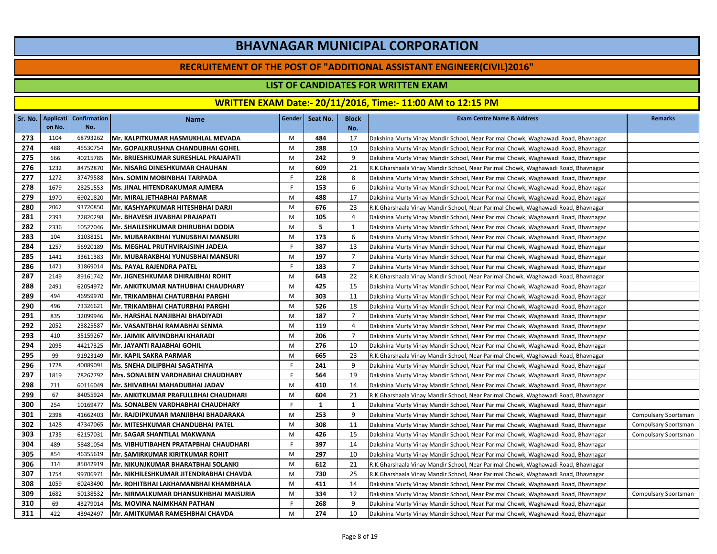#### **RECRUITEMENT OF THE POST OF "ADDITIONAL ASSISTANT ENGINEER(CIVIL)2016"**

### **LIST OF CANDIDATES FOR WRITTEN EXAM**

|     | Sr. No.   Applicati | <b>Confirmation</b> | <b>Name</b>                                  | Gender | Seat No. | <b>Block</b>   | <b>Exam Centre Name &amp; Address</b>                                             | <b>Remarks</b>       |
|-----|---------------------|---------------------|----------------------------------------------|--------|----------|----------------|-----------------------------------------------------------------------------------|----------------------|
|     | on No.              | No.                 |                                              |        |          | No.            |                                                                                   |                      |
| 273 | 1104                | 68793262            | Mr. KALPITKUMAR HASMUKHLAL MEVADA            | M      | 484      | 17             | Dakshina Murty Vinay Mandir School, Near Parimal Chowk, Waghawadi Road, Bhavnagar |                      |
| 274 | 488                 | 45530754            | lMr. GOPALKRUSHNA CHANDUBHAI GOHEL           | M      | 288      | 10             | Dakshina Murty Vinay Mandir School, Near Parimal Chowk, Waghawadi Road, Bhavnagar |                      |
| 275 | 666                 | 40215785            | Mr. BRIJESHKUMAR SURESHLAL PRAJAPATI         | M      | 242      | 9              | Dakshina Murty Vinay Mandir School, Near Parimal Chowk, Waghawadi Road, Bhavnagar |                      |
| 276 | 1232                | 84752870            | Mr. NISARG DINESHKUMAR CHAUHAN               | M      | 609      | 21             | R.K.Gharshaala Vinay Mandir School, Near Parimal Chowk, Waghawadi Road, Bhavnagar |                      |
| 277 | 1272                | 37479588            | Mrs. SOMIN MOBINBHAI TARPADA                 | F.     | 228      | 8              | Dakshina Murty Vinay Mandir School, Near Parimal Chowk, Waghawadi Road, Bhavnagar |                      |
| 278 | 1679                | 28251553            | lMs. JINAL HITENDRAKUMAR AJMERA              | F.     | 153      | 6              | Dakshina Murty Vinay Mandir School, Near Parimal Chowk, Waghawadi Road, Bhavnagar |                      |
| 279 | 1970                | 69021820            | IMr. MIRAL JETHABHAI PARMAR                  | M      | 488      | 17             | Dakshina Murty Vinay Mandir School, Near Parimal Chowk, Waghawadi Road, Bhavnagar |                      |
| 280 | 2062                | 93720850            | Mr. KASHYAPKUMAR HITESHBHAI DARJI            | M      | 676      | 23             | R.K.Gharshaala Vinay Mandir School, Near Parimal Chowk, Waghawadi Road, Bhavnagar |                      |
| 281 | 2393                | 22820298            | Mr. BHAVESH JIVABHAI PRAJAPATI               | M      | 105      | $\overline{4}$ | Dakshina Murty Vinay Mandir School, Near Parimal Chowk, Waghawadi Road, Bhavnagar |                      |
| 282 | 2336                | 10527046            | <b>Mr. SHAILESHKUMAR DHIRUBHAI DODIA</b>     | M      | 5        | 1              | Dakshina Murty Vinay Mandir School, Near Parimal Chowk, Waghawadi Road, Bhavnagar |                      |
| 283 | 104                 | 31038151            | İMr. MUBARAKBHAI YUNUSBHAI MANSURI           | M      | 173      | 6              | Dakshina Murty Vinay Mandir School, Near Parimal Chowk, Waghawadi Road, Bhavnagar |                      |
| 284 | 1257                | 56920189            | Ms. MEGHAL PRUTHVIRAJSINH JADEJA             | F.     | 387      | 13             | Dakshina Murty Vinay Mandir School, Near Parimal Chowk, Waghawadi Road, Bhavnagar |                      |
| 285 | 1441                | 33611383            | Mr. MUBARAKBHAI YUNUSBHAI MANSURI            | M      | 197      | $\overline{7}$ | Dakshina Murty Vinay Mandir School, Near Parimal Chowk, Waghawadi Road, Bhavnagar |                      |
| 286 | 1471                | 31869014            | Ms. PAYAL RAJENDRA PATEL                     | F.     | 183      | $\overline{7}$ | Dakshina Murty Vinay Mandir School, Near Parimal Chowk, Waghawadi Road, Bhavnagar |                      |
| 287 | 2149                | 89161742            | Mr. JIGNESHKUMAR DHIRAJBHAI ROHIT            | M      | 643      | 22             | R.K.Gharshaala Vinay Mandir School, Near Parimal Chowk, Waghawadi Road, Bhavnagar |                      |
| 288 | 2491                | 62054972            | <b>IMr. ANKITKUMAR NATHUBHAI CHAUDHARY</b>   | M      | 425      | 15             | Dakshina Murty Vinay Mandir School, Near Parimal Chowk, Waghawadi Road, Bhavnagar |                      |
| 289 | 494                 | 46959970            | Mr. TRIKAMBHAI CHATURBHAI PARGHI             | M      | 303      | 11             | Dakshina Murty Vinay Mandir School, Near Parimal Chowk, Waghawadi Road, Bhavnagar |                      |
| 290 | 496                 | 73326621            | Mr. TRIKAMBHAI CHATURBHAI PARGHI             | M      | 526      | 18             | Dakshina Murty Vinay Mandir School, Near Parimal Chowk, Waghawadi Road, Bhavnagar |                      |
| 291 | 835                 | 32099946            | Mr. HARSHAL NANJIBHAI BHADIYADI              | M      | 187      | $\overline{7}$ | Dakshina Murty Vinay Mandir School, Near Parimal Chowk, Waghawadi Road, Bhavnagar |                      |
| 292 | 2052                | 23825587            | Mr. VASANTBHAI RAMABHAI SENMA                | M      | 119      | $\overline{4}$ | Dakshina Murty Vinay Mandir School, Near Parimal Chowk, Waghawadi Road, Bhavnagar |                      |
| 293 | 410                 | 35159267            | İMr. JAIMIK ARVINDBHAI KHARADI               | M      | 206      | $\overline{7}$ | Dakshina Murty Vinay Mandir School, Near Parimal Chowk, Waghawadi Road, Bhavnagar |                      |
| 294 | 2095                | 44217325            | Mr. JAYANTI RAJABHAI GOHIL                   | M      | 276      | 10             | Dakshina Murty Vinay Mandir School, Near Parimal Chowk, Waghawadi Road, Bhavnagar |                      |
| 295 | 99                  | 91923149            | Mr. KAPIL SAKRA PARMAR                       | M      | 665      | 23             | R.K.Gharshaala Vinay Mandir School, Near Parimal Chowk, Waghawadi Road, Bhavnagar |                      |
| 296 | 1728                | 40089091            | MS. SNEHA DILIPBHAI SAGATHIYA                | F.     | 241      | 9              | Dakshina Murty Vinay Mandir School, Near Parimal Chowk, Waghawadi Road, Bhavnagar |                      |
| 297 | 1819                | 78267792            | Mrs. SONALBEN VARDHABHAI CHAUDHARY           | F.     | 564      | 19             | Dakshina Murty Vinay Mandir School, Near Parimal Chowk, Waghawadi Road, Bhavnagar |                      |
| 298 | 711                 | 60116049            | Mr. SHIVABHAI MAHADUBHAI JADAV               | M      | 410      | 14             | Dakshina Murty Vinay Mandir School, Near Parimal Chowk, Waghawadi Road, Bhavnagar |                      |
| 299 | 67                  | 84055924            | Mr. ANKITKUMAR PRAFULLBHAI CHAUDHARI         | M      | 604      | 21             | R.K.Gharshaala Vinay Mandir School, Near Parimal Chowk, Waghawadi Road, Bhavnagar |                      |
| 300 | 254                 | 10169477            | Ms. SONALBEN VARDHABHAI CHAUDHARY            | F.     | 1        | 1              | Dakshina Murty Vinay Mandir School, Near Parimal Chowk, Waghawadi Road, Bhavnagar |                      |
| 301 | 2398                | 41662403            | Mr. RAJDIPKUMAR MANJIBHAI BHADARAKA          | M      | 253      | 9              | Dakshina Murty Vinay Mandir School, Near Parimal Chowk, Waghawadi Road, Bhavnagar | Compulsary Sportsman |
| 302 | 1428                | 47347065            | <b>Mr. MITESHKUMAR CHANDUBHAI PATEL</b>      | M      | 308      | 11             | Dakshina Murty Vinay Mandir School, Near Parimal Chowk, Waghawadi Road, Bhavnagar | Compulsary Sportsman |
| 303 | 1735                | 62157031            | Mr. SAGAR SHANTILAL MAKWANA                  | M      | 426      | 15             | Dakshina Murty Vinay Mandir School, Near Parimal Chowk, Waghawadi Road, Bhavnagar | Compulsary Sportsman |
| 304 | 489                 | 58481054            | <b>Ms. VIBHUTIBAHEN PRATAPBHAI CHAUDHARI</b> | F.     | 397      | 14             | Dakshina Murty Vinay Mandir School, Near Parimal Chowk, Waghawadi Road, Bhavnagar |                      |
| 305 | 854                 | 46355619            | <b>Mr. SAMIRKUMAR KIRITKUMAR ROHIT</b>       | M      | 297      | 10             | Dakshina Murty Vinay Mandir School, Near Parimal Chowk, Waghawadi Road, Bhavnagar |                      |
| 306 | 314                 | 85042919            | Mr. NIKUNJKUMAR BHARATBHAI SOLANKI           | M      | 612      | 21             | R.K.Gharshaala Vinay Mandir School, Near Parimal Chowk, Waghawadi Road, Bhavnagar |                      |
| 307 | 1754                | 99706971            | Mr. NIKHILESHKUMAR JITENDRABHAI CHAVDA       | M      | 730      | 25             | R.K.Gharshaala Vinay Mandir School, Near Parimal Chowk, Waghawadi Road, Bhavnagar |                      |
| 308 | 1059                | 60243490            | Mr. ROHITBHAI LAKHAMANBHAI KHAMBHALA         | M      | 411      | 14             | Dakshina Murty Vinay Mandir School, Near Parimal Chowk, Waghawadi Road, Bhavnagar |                      |
| 309 | 1682                | 50138532            | Mr. NIRMALKUMAR DHANSUKHBHAI MAISURIA        | M      | 334      | 12             | Dakshina Murty Vinay Mandir School, Near Parimal Chowk, Waghawadi Road, Bhavnagar | Compulsary Sportsman |
| 310 | 69                  | 43279014            | Ms. MOVINA NAIMKHAN PATHAN                   | -F     | 268      | 9              | Dakshina Murty Vinay Mandir School, Near Parimal Chowk, Waghawadi Road, Bhavnagar |                      |
| 311 | 422                 | 43942497            | Mr. AMITKUMAR RAMESHBHAI CHAVDA              | M      | 274      | 10             | Dakshina Murty Vinay Mandir School, Near Parimal Chowk, Waghawadi Road, Bhavnagar |                      |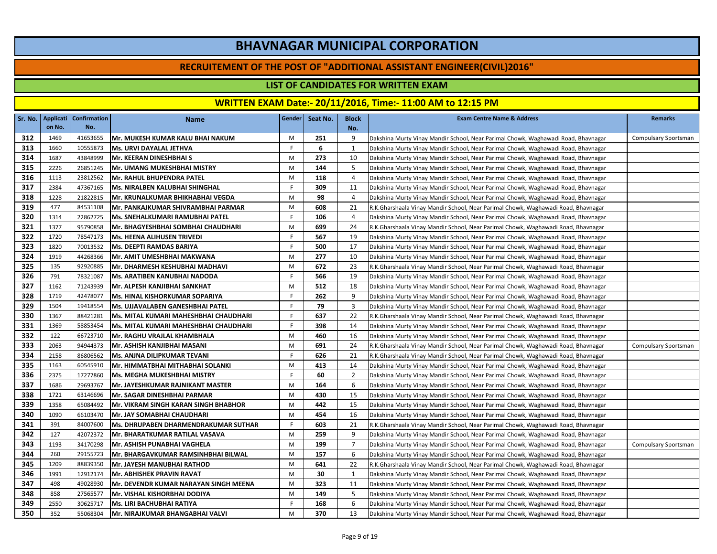#### **RECRUITEMENT OF THE POST OF "ADDITIONAL ASSISTANT ENGINEER(CIVIL)2016"**

### **LIST OF CANDIDATES FOR WRITTEN EXAM**

|     | Sr. No. Applicati | <b>Confirmation</b> | Name                                        | Gender | Seat No. | <b>Block</b>   | <b>Exam Centre Name &amp; Address</b>                                             | <b>Remarks</b>       |
|-----|-------------------|---------------------|---------------------------------------------|--------|----------|----------------|-----------------------------------------------------------------------------------|----------------------|
|     | on No.            | No.                 |                                             |        |          | No.            |                                                                                   |                      |
| 312 | 1469              | 41653655            | Mr. MUKESH KUMAR KALU BHAI NAKUM            | M      | 251      | 9              | Dakshina Murty Vinay Mandir School, Near Parimal Chowk, Waghawadi Road, Bhavnagar | Compulsary Sportsman |
| 313 | 1660              | 10555873            | Ms. URVI DAYALAL JETHVA                     | F.     | 6        | 1              | Dakshina Murty Vinay Mandir School, Near Parimal Chowk, Waghawadi Road, Bhavnagar |                      |
| 314 | 1687              | 43848999            | Mr. KEERAN DINESHBHAI S                     | M      | 273      | 10             | Dakshina Murty Vinay Mandir School, Near Parimal Chowk, Waghawadi Road, Bhavnagar |                      |
| 315 | 2226              | 26851245            | Mr. UMANG MUKESHBHAI MISTRY                 | M      | 144      | 5              | Dakshina Murty Vinay Mandir School, Near Parimal Chowk, Waghawadi Road, Bhavnagar |                      |
| 316 | 1113              | 23812562            | <b>IMr. RAHUL BHUPENDRA PATEL</b>           | M      | 118      | $\overline{4}$ | Dakshina Murty Vinay Mandir School, Near Parimal Chowk, Waghawadi Road, Bhavnagar |                      |
| 317 | 2384              | 47367165            | Ms. NIRALBEN KALUBHAI SHINGHAL              | F.     | 309      | 11             | Dakshina Murty Vinay Mandir School, Near Parimal Chowk, Waghawadi Road, Bhavnagar |                      |
| 318 | 1228              | 21822815            | Mr. KRUNALKUMAR BHIKHABHAI VEGDA            | M      | 98       | $\overline{4}$ | Dakshina Murty Vinay Mandir School, Near Parimal Chowk, Waghawadi Road, Bhavnagar |                      |
| 319 | 477               | 84531108            | Mr. PANKAJKUMAR SHIVRAMBHAI PARMAR          | M      | 608      | 21             | R.K.Gharshaala Vinay Mandir School, Near Parimal Chowk, Waghawadi Road, Bhavnagar |                      |
| 320 | 1314              | 22862725            | Ms. SNEHALKUMARI RAMUBHAI PATEL             | F.     | 106      | $\overline{4}$ | Dakshina Murty Vinay Mandir School, Near Parimal Chowk, Waghawadi Road, Bhavnagar |                      |
| 321 | 1377              | 95790858            | Mr. BHAGYESHBHAI SOMBHAI CHAUDHARI          | M      | 699      | 24             | R.K.Gharshaala Vinay Mandir School, Near Parimal Chowk, Waghawadi Road, Bhavnagar |                      |
| 322 | 1720              | 78547173            | <b>Ms. HEENA ALIHUSEN TRIVEDI</b>           | F.     | 567      | 19             | Dakshina Murty Vinay Mandir School, Near Parimal Chowk, Waghawadi Road, Bhavnagar |                      |
| 323 | 1820              | 70013532            | <b>Ms. DEEPTI RAMDAS BARIYA</b>             | F.     | 500      | 17             | Dakshina Murty Vinay Mandir School, Near Parimal Chowk, Waghawadi Road, Bhavnagar |                      |
| 324 | 1919              | 44268366            | Mr. AMIT UMESHBHAI MAKWANA                  | M      | 277      | 10             | Dakshina Murty Vinay Mandir School, Near Parimal Chowk, Waghawadi Road, Bhavnagar |                      |
| 325 | 135               | 92920885            | Mr. DHARMESH KESHUBHAI MADHAVI              | M      | 672      | 23             | R.K.Gharshaala Vinay Mandir School, Near Parimal Chowk, Waghawadi Road, Bhavnagar |                      |
| 326 | 791               | 78321087            | Ms. ARATIBEN KANUBHAI NADODA                | F.     | 566      | 19             | Dakshina Murty Vinay Mandir School, Near Parimal Chowk, Waghawadi Road, Bhavnagar |                      |
| 327 | 1162              | 71243939            | Mr. ALPESH KANJIBHAI SANKHAT                | M      | 512      | 18             | Dakshina Murty Vinay Mandir School, Near Parimal Chowk, Waghawadi Road, Bhavnagar |                      |
| 328 | 1719              | 42478077            | Ms. HINAL KISHORKUMAR SOPARIYA              | F.     | 262      | 9              | Dakshina Murty Vinay Mandir School, Near Parimal Chowk, Waghawadi Road, Bhavnagar |                      |
| 329 | 1504              | 19418554            | Ms. UJJAVALABEN GANESHBHAI PATEL            | F.     | 79       | 3              | Dakshina Murty Vinay Mandir School, Near Parimal Chowk, Waghawadi Road, Bhavnagar |                      |
| 330 | 1367              | 88421281            | Ms. MITAL KUMARI MAHESHBHAI CHAUDHARI       | F.     | 637      | 22             | R.K.Gharshaala Vinay Mandir School, Near Parimal Chowk, Waghawadi Road, Bhavnagar |                      |
| 331 | 1369              | 58853454            | Ms. MITAL KUMARI MAHESHBHAI CHAUDHARI       | F.     | 398      | 14             | Dakshina Murty Vinay Mandir School, Near Parimal Chowk, Waghawadi Road, Bhavnagar |                      |
| 332 | 122               | 66723710            | lMr. RAGHU VRAJLAL KHAMBHALA                | M      | 460      | 16             | Dakshina Murty Vinay Mandir School, Near Parimal Chowk, Waghawadi Road, Bhavnagar |                      |
| 333 | 2063              | 94944373            | Mr. ASHISH KANJIBHAI MASANI                 | M      | 691      | 24             | R.K.Gharshaala Vinay Mandir School, Near Parimal Chowk, Waghawadi Road, Bhavnagar | Compulsary Sportsman |
| 334 | 2158              | 86806562            | Ms. ANJNA DILIPKUMAR TEVANI                 | F.     | 626      | 21             | R.K.Gharshaala Vinay Mandir School, Near Parimal Chowk, Waghawadi Road, Bhavnagar |                      |
| 335 | 1163              | 60545910            | Mr. HIMMATBHAI MITHABHAI SOLANKI            | M      | 413      | 14             | Dakshina Murty Vinay Mandir School, Near Parimal Chowk, Waghawadi Road, Bhavnagar |                      |
| 336 | 2375              | 17277860            | Ms. MEGHA MUKESHBHAI MISTRY                 | E      | 60       | 2              | Dakshina Murty Vinay Mandir School, Near Parimal Chowk, Waghawadi Road, Bhavnagar |                      |
| 337 | 1686              | 29693767            | Mr. JAYESHKUMAR RAJNIKANT MASTER            | M      | 164      | 6              | Dakshina Murty Vinay Mandir School, Near Parimal Chowk, Waghawadi Road, Bhavnagar |                      |
| 338 | 1721              | 63146696            | Mr. SAGAR DINESHBHAI PARMAR                 | M      | 430      | 15             | Dakshina Murty Vinay Mandir School, Near Parimal Chowk, Waghawadi Road, Bhavnagar |                      |
| 339 | 1358              | 65084492            | Mr. VIKRAM SINGH KARAN SINGH BHABHOR        | M      | 442      | 15             | Dakshina Murty Vinay Mandir School, Near Parimal Chowk, Waghawadi Road, Bhavnagar |                      |
| 340 | 1090              | 66103470            | <b>Mr. JAY SOMABHAI CHAUDHARI</b>           | M      | 454      | 16             | Dakshina Murty Vinay Mandir School, Near Parimal Chowk, Waghawadi Road, Bhavnagar |                      |
| 341 | 391               | 84007600            | <b>Ms. DHRUPABEN DHARMENDRAKUMAR SUTHAR</b> | F.     | 603      | 21             | R.K.Gharshaala Vinay Mandir School, Near Parimal Chowk, Waghawadi Road, Bhavnagar |                      |
| 342 | 127               | 42072372            | Mr. BHARATKUMAR RATILAL VASAVA              | M      | 259      | 9              | Dakshina Murty Vinay Mandir School, Near Parimal Chowk, Waghawadi Road, Bhavnagar |                      |
| 343 | 1193              | 34170298            | Mr. ASHISH PUNABHAI VAGHELA                 | M      | 199      | $\overline{7}$ | Dakshina Murty Vinay Mandir School, Near Parimal Chowk, Waghawadi Road, Bhavnagar | Compulsary Sportsman |
| 344 | 260               | 29155723            | Mr. BHARGAVKUMAR RAMSINHBHAI BILWAL         | M      | 157      | 6              | Dakshina Murty Vinay Mandir School, Near Parimal Chowk, Waghawadi Road, Bhavnagar |                      |
| 345 | 1209              | 88839350            | Mr. JAYESH MANUBHAI RATHOD                  | M      | 641      | 22             | R.K.Gharshaala Vinay Mandir School, Near Parimal Chowk, Waghawadi Road, Bhavnagar |                      |
| 346 | 1991              | 12912174            | <b>Mr. ABHISHEK PRAVIN RAVAT</b>            | M      | 30       | 1              | Dakshina Murty Vinay Mandir School, Near Parimal Chowk, Waghawadi Road, Bhavnagar |                      |
| 347 | 498               | 49028930            | Mr. DEVENDR KUMAR NARAYAN SINGH MEENA       | M      | 323      | 11             | Dakshina Murty Vinay Mandir School, Near Parimal Chowk, Waghawadi Road, Bhavnagar |                      |
| 348 | 858               | 27565577            | Mr. VISHAL KISHORBHAI DODIYA                | M      | 149      | 5              | Dakshina Murty Vinay Mandir School, Near Parimal Chowk, Waghawadi Road, Bhavnagar |                      |
| 349 | 2550              | 30625717            | Ms. LIRI BACHUBHAI RATIYA                   | F.     | 168      | 6              | Dakshina Murty Vinay Mandir School, Near Parimal Chowk, Waghawadi Road, Bhavnagar |                      |
| 350 | 352               | 55068304            | İMr. NIRAJKUMAR BHANGABHAI VALVI            | M      | 370      | 13             | Dakshina Murty Vinay Mandir School, Near Parimal Chowk, Waghawadi Road, Bhavnagar |                      |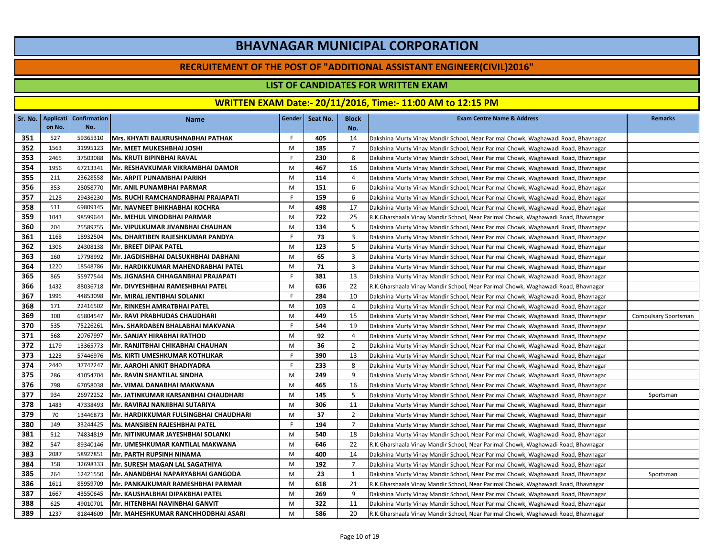#### **RECRUITEMENT OF THE POST OF "ADDITIONAL ASSISTANT ENGINEER(CIVIL)2016"**

### **LIST OF CANDIDATES FOR WRITTEN EXAM**

|            | Sr. No.   Applicati | <b>Confirmation</b> | <b>Name</b>                                | Gender  | Seat No. | <b>Block</b>   | <b>Exam Centre Name &amp; Address</b>                                             | <b>Remarks</b>       |
|------------|---------------------|---------------------|--------------------------------------------|---------|----------|----------------|-----------------------------------------------------------------------------------|----------------------|
|            | on No.              | No.                 |                                            |         |          | No.            |                                                                                   |                      |
| 351        | 527                 | 59365310            | Mrs. KHYATI BALKRUSHNABHAI PATHAK          | F.      | 405      | 14             | Dakshina Murty Vinay Mandir School, Near Parimal Chowk, Waghawadi Road, Bhavnagar |                      |
| 352        | 1563<br>2465        | 31995123            | Mr. MEET MUKESHBHAI JOSHI                  | M<br>F. | 185      | $\overline{7}$ | Dakshina Murty Vinay Mandir School, Near Parimal Chowk, Waghawadi Road, Bhavnagar |                      |
| 353        |                     | 37503088            | <b>Ms. KRUTI BIPINBHAI RAVAL</b>           |         | 230      | 8              | Dakshina Murty Vinay Mandir School, Near Parimal Chowk, Waghawadi Road, Bhavnagar |                      |
| 354        | 1956                | 67213341            | Mr. RESHAVKUMAR VIKRAMBHAI DAMOR           | M<br>M  | 467      | 16             | Dakshina Murty Vinay Mandir School, Near Parimal Chowk, Waghawadi Road, Bhavnagar |                      |
| 355        | 211<br>353          | 23628558            | Mr. ARPIT PUNAMBHAI PARIKH                 |         | 114      | 4              | Dakshina Murty Vinay Mandir School, Near Parimal Chowk, Waghawadi Road, Bhavnagar |                      |
| 356<br>357 |                     | 28058770            | Mr. ANIL PUNAMBHAI PARMAR                  | M       | 151      | 6              | Dakshina Murty Vinay Mandir School, Near Parimal Chowk, Waghawadi Road, Bhavnagar |                      |
|            | 2128                | 29436230            | Ms. RUCHI RAMCHANDRABHAI PRAJAPATI         | F.      | 159      | 6              | Dakshina Murty Vinay Mandir School, Near Parimal Chowk, Waghawadi Road, Bhavnagar |                      |
| 358        | 511                 | 69809145            | Mr. NAVNEET BHIKHABHAI KOCHRA              | M       | 498      | 17             | Dakshina Murty Vinay Mandir School, Near Parimal Chowk, Waghawadi Road, Bhavnagar |                      |
| 359        | 1043                | 98599644            | <b>Mr. MEHUL VINODBHAI PARMAR</b>          | M       | 722      | 25             | R.K.Gharshaala Vinay Mandir School, Near Parimal Chowk, Waghawadi Road, Bhavnagar |                      |
| 360        | 204                 | 25589755            | Mr. VIPULKUMAR JIVANBHAI CHAUHAN           | M<br>F  | 134      | 5              | Dakshina Murty Vinay Mandir School, Near Parimal Chowk, Waghawadi Road, Bhavnagar |                      |
| 361        | 1168                | 18932504            | <b>Ms. DHARTIBEN RAJESHKUMAR PANDYA</b>    |         | 73       | 3              | Dakshina Murty Vinay Mandir School, Near Parimal Chowk, Waghawadi Road, Bhavnagar |                      |
| 362        | 1306                | 24308138            | Mr. BREET DIPAK PATEL                      | M       | 123      | 5              | Dakshina Murty Vinay Mandir School, Near Parimal Chowk, Waghawadi Road, Bhavnagar |                      |
| 363        | 160                 | 17798992            | Mr. JAGDISHBHAI DALSUKHBHAI DABHANI        | M       | 65       | 3              | Dakshina Murty Vinay Mandir School, Near Parimal Chowk, Waghawadi Road, Bhavnagar |                      |
| 364        | 1220                | 18548786            | Mr. HARDIKKUMAR MAHENDRABHAI PATEL         | M       | 71       | 3              | Dakshina Murty Vinay Mandir School, Near Parimal Chowk, Waghawadi Road, Bhavnagar |                      |
| 365        | 865                 | 55977544            | Ms. JIGNASHA CHHAGANBHAI PRAJAPATI         | F.      | 381      | 13             | Dakshina Murty Vinay Mandir School, Near Parimal Chowk, Waghawadi Road, Bhavnagar |                      |
| 366        | 1432                | 88036718            | Mr. DIVYESHBHAI RAMESHBHAI PATEL           | M       | 636      | 22             | R.K.Gharshaala Vinay Mandir School, Near Parimal Chowk, Waghawadi Road, Bhavnagar |                      |
| 367        | 1995                | 44853098            | Mr. MIRAL JENTIBHAI SOLANKI                | F.      | 284      | 10             | Dakshina Murty Vinay Mandir School, Near Parimal Chowk, Waghawadi Road, Bhavnagar |                      |
| 368        | 171                 | 22416502            | Mr. RINKESH AMRATBHAI PATEL                | M       | 103      | $\overline{4}$ | Dakshina Murty Vinay Mandir School, Near Parimal Chowk, Waghawadi Road, Bhavnagar |                      |
| 369        | 300                 | 65804547            | Mr. RAVI PRABHUDAS CHAUDHARI               | M       | 449      | 15             | Dakshina Murty Vinay Mandir School, Near Parimal Chowk, Waghawadi Road, Bhavnagar | Compulsary Sportsman |
| 370        | 535                 | 75226261            | Mrs. SHARDABEN BHALABHAI MAKVANA           | F.      | 544      | 19             | Dakshina Murty Vinay Mandir School, Near Parimal Chowk, Waghawadi Road, Bhavnagar |                      |
| 371        | 568                 | 20767997            | Mr. SANJAY HIRABHAI RATHOD                 | M       | 92       | $\overline{4}$ | Dakshina Murty Vinay Mandir School, Near Parimal Chowk, Waghawadi Road, Bhavnagar |                      |
| 372        | 1179                | 13365773            | Mr. RANJITBHAI CHIKABHAI CHAUHAN           | M       | 36       | 2              | Dakshina Murty Vinay Mandir School, Near Parimal Chowk, Waghawadi Road, Bhavnagar |                      |
| 373        | 1223                | 57446976            | <b>Ms. KIRTI UMESHKUMAR KOTHLIKAR</b>      | F.      | 390      | 13             | Dakshina Murty Vinay Mandir School, Near Parimal Chowk, Waghawadi Road, Bhavnagar |                      |
| 374        | 2440                | 37742247            | <b>Mr. AAROHI ANKIT BHADIYADRA</b>         | F.      | 233      | 8              | Dakshina Murty Vinay Mandir School, Near Parimal Chowk, Waghawadi Road, Bhavnagar |                      |
| 375        | 286                 | 41054704            | <b>Mr. RAVIN SHANTILAL SINDHA</b>          | M       | 249      | 9              | Dakshina Murty Vinay Mandir School, Near Parimal Chowk, Waghawadi Road, Bhavnagar |                      |
| 376        | 798                 | 67058038            | Mr. VIMAL DANABHAI MAKWANA                 | M       | 465      | 16             | Dakshina Murty Vinay Mandir School, Near Parimal Chowk, Waghawadi Road, Bhavnagar |                      |
| 377        | 934                 | 26972252            | Mr. JATINKUMAR KARSANBHAI CHAUDHARI        | M       | 145      | 5              | Dakshina Murty Vinay Mandir School, Near Parimal Chowk, Waghawadi Road, Bhavnagar | Sportsman            |
| 378        | 1483                | 47338493            | Mr. RAVIRAJ NANJIBHAI SUTARIYA             | M       | 306      | 11             | Dakshina Murty Vinay Mandir School, Near Parimal Chowk, Waghawadi Road, Bhavnagar |                      |
| 379        | 70                  | 13446873            | Mr. HARDIKKUMAR FULSINGBHAI CHAUDHARI      | M       | 37       | $\overline{2}$ | Dakshina Murty Vinay Mandir School, Near Parimal Chowk, Waghawadi Road, Bhavnagar |                      |
| 380        | 149                 | 33244425            | Ms. MANSIBEN RAJESHBHAI PATEL              | F.      | 194      | $\overline{7}$ | Dakshina Murty Vinay Mandir School, Near Parimal Chowk, Waghawadi Road, Bhavnagar |                      |
| 381        | 512                 | 74834819            | Mr. NITINKUMAR JAYESHBHAI SOLANKI          | M       | 540      | 18             | Dakshina Murty Vinay Mandir School, Near Parimal Chowk, Waghawadi Road, Bhavnagar |                      |
| 382        | 547                 | 89340146            | IMr. UMESHKUMAR KANTILAL MAKWANA           | M       | 646      | 22             | R.K.Gharshaala Vinay Mandir School, Near Parimal Chowk, Waghawadi Road, Bhavnagar |                      |
| 383        | 2087                | 58927851            | Mr. PARTH RUPSINH NINAMA                   | M       | 400      | 14             | Dakshina Murty Vinay Mandir School, Near Parimal Chowk, Waghawadi Road, Bhavnagar |                      |
| 384        | 358                 | 32698333            | Mr. SURESH MAGAN LAL SAGATHIYA             | M       | 192      | $\overline{7}$ | Dakshina Murty Vinay Mandir School, Near Parimal Chowk, Waghawadi Road, Bhavnagar |                      |
| 385        | 264                 | 12421550            | Mr. ANANDBHAI NAPARYABHAI GANGODA          | M       | 23       | 1              | Dakshina Murty Vinay Mandir School, Near Parimal Chowk, Waghawadi Road, Bhavnagar | Sportsman            |
| 386        | 1611                | 85959709            | Mr. PANKAJKUMAR RAMESHBHAI PARMAR          | M       | 618      | 21             | R.K.Gharshaala Vinay Mandir School, Near Parimal Chowk, Waghawadi Road, Bhavnagar |                      |
| 387        | 1667                | 43550645            | Mr. KAUSHALBHAI DIPAKBHAI PATEL            | M       | 269      | 9              | Dakshina Murty Vinay Mandir School, Near Parimal Chowk, Waghawadi Road, Bhavnagar |                      |
| 388        | 625                 | 49010701            | Mr. HITENBHAI NAVINBHAI GANVIT             | M       | 322      | 11             | Dakshina Murty Vinay Mandir School, Near Parimal Chowk, Waghawadi Road, Bhavnagar |                      |
| 389        | 1237                | 81844609            | <b>IMr. MAHESHKUMAR RANCHHODBHAI ASARI</b> | M       | 586      | 20             | R.K.Gharshaala Vinay Mandir School, Near Parimal Chowk, Waghawadi Road, Bhavnagar |                      |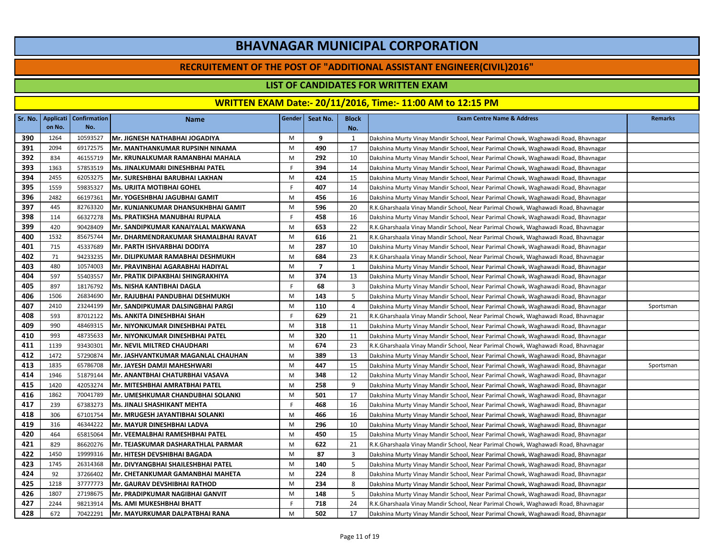#### **RECRUITEMENT OF THE POST OF "ADDITIONAL ASSISTANT ENGINEER(CIVIL)2016"**

### **LIST OF CANDIDATES FOR WRITTEN EXAM**

|     |        | Sr. No.   Applicati   Confirmation | <b>Name</b>                          | Gender | Seat No.       | <b>Block</b> | <b>Exam Centre Name &amp; Address</b>                                             | <b>Remarks</b> |
|-----|--------|------------------------------------|--------------------------------------|--------|----------------|--------------|-----------------------------------------------------------------------------------|----------------|
|     | on No. | No.                                |                                      |        |                | No.          |                                                                                   |                |
| 390 | 1264   | 10593527                           | Mr. JIGNESH NATHABHAI JOGADIYA       | M      | 9              | 1            | Dakshina Murty Vinay Mandir School, Near Parimal Chowk, Waghawadi Road, Bhavnagar |                |
| 391 | 2094   | 69172575                           | Mr. MANTHANKUMAR RUPSINH NINAMA      | M      | 490            | 17           | Dakshina Murty Vinay Mandir School, Near Parimal Chowk, Waghawadi Road, Bhavnagar |                |
| 392 | 834    | 46155719                           | Mr. KRUNALKUMAR RAMANBHAI MAHALA     | M      | 292            | 10           | Dakshina Murty Vinay Mandir School, Near Parimal Chowk, Waghawadi Road, Bhavnagar |                |
| 393 | 1363   | 57853519                           | Ms. JINALKUMARI DINESHBHAI PATEL     | F.     | 394            | 14           | Dakshina Murty Vinay Mandir School, Near Parimal Chowk, Waghawadi Road, Bhavnagar |                |
| 394 | 2455   | 62053275                           | Mr. SURESHBHAI BARUBHAI LAKHAN       | M      | 424            | 15           | Dakshina Murty Vinay Mandir School, Near Parimal Chowk, Waghawadi Road, Bhavnagar |                |
| 395 | 1559   | 59835327                           | <b>Ms. URJITA MOTIBHAI GOHEL</b>     | F.     | 407            | 14           | Dakshina Murty Vinay Mandir School, Near Parimal Chowk, Waghawadi Road, Bhavnagar |                |
| 396 | 2482   | 66197361                           | Mr. YOGESHBHAI JAGUBHAI GAMIT        | M      | 456            | 16           | Dakshina Murty Vinay Mandir School, Near Parimal Chowk, Waghawadi Road, Bhavnagar |                |
| 397 | 445    | 82763320                           | Mr. KUNJANKUMAR DHANSUKHBHAI GAMIT   | M      | 596            | 20           | R.K.Gharshaala Vinay Mandir School, Near Parimal Chowk, Waghawadi Road, Bhavnagar |                |
| 398 | 114    | 66327278                           | Ms. PRATIKSHA MANUBHAI RUPALA        | F.     | 458            | 16           | Dakshina Murty Vinay Mandir School, Near Parimal Chowk, Waghawadi Road, Bhavnagar |                |
| 399 | 420    | 90428409                           | Mr. SANDIPKUMAR KANAIYALAL MAKWANA   | M      | 653            | 22           | R.K.Gharshaala Vinay Mandir School, Near Parimal Chowk, Waghawadi Road, Bhavnagar |                |
| 400 | 1532   | 85675744                           | Mr. DHARMENDRAKUMAR SHAMALBHAI RAVAT | M      | 616            | 21           | R.K.Gharshaala Vinay Mandir School, Near Parimal Chowk, Waghawadi Road, Bhavnagar |                |
| 401 | 715    | 45337689                           | Mr. PARTH ISHVARBHAI DODIYA          | M      | 287            | 10           | Dakshina Murty Vinay Mandir School, Near Parimal Chowk, Waghawadi Road, Bhavnagar |                |
| 402 | 71     | 94233235                           | Mr. DILIPKUMAR RAMABHAI DESHMUKH     | M      | 684            | 23           | R.K.Gharshaala Vinay Mandir School, Near Parimal Chowk, Waghawadi Road, Bhavnagar |                |
| 403 | 480    | 10574003                           | Mr. PRAVINBHAI AGARABHAI HADIYAL     | M      | $\overline{7}$ | 1            | Dakshina Murty Vinay Mandir School, Near Parimal Chowk, Waghawadi Road, Bhavnagar |                |
| 404 | 597    | 55403557                           | Mr. PRATIK DIPAKBHAI SHINGRAKHIYA    | M      | 374            | 13           | Dakshina Murty Vinay Mandir School, Near Parimal Chowk, Waghawadi Road, Bhavnagar |                |
| 405 | 897    | 18176792                           | Ms. NISHA KANTIBHAI DAGLA            | F.     | 68             | 3            | Dakshina Murty Vinay Mandir School, Near Parimal Chowk, Waghawadi Road, Bhavnagar |                |
| 406 | 1506   | 26834690                           | Mr. RAJUBHAI PANDUBHAI DESHMUKH      | M      | 143            | 5            | Dakshina Murty Vinay Mandir School, Near Parimal Chowk, Waghawadi Road, Bhavnagar |                |
| 407 | 2410   | 23244199                           | Mr. SANDIPKUMAR DALSINGBHAI PARGI    | M      | 110            | 4            | Dakshina Murty Vinay Mandir School, Near Parimal Chowk, Waghawadi Road, Bhavnagar | Sportsman      |
| 408 | 593    | 87012122                           | Ms. ANKITA DINESHBHAI SHAH           | F.     | 629            | 21           | R.K.Gharshaala Vinay Mandir School, Near Parimal Chowk, Waghawadi Road, Bhavnagar |                |
| 409 | 990    | 48469315                           | Mr. NIYONKUMAR DINESHBHAI PATEL      | M      | 318            | 11           | Dakshina Murty Vinay Mandir School, Near Parimal Chowk, Waghawadi Road, Bhavnagar |                |
| 410 | 993    | 48735633                           | Mr. NIYONKUMAR DINESHBHAI PATEL      | M      | 320            | 11           | Dakshina Murty Vinay Mandir School, Near Parimal Chowk, Waghawadi Road, Bhavnagar |                |
| 411 | 1139   | 93430301                           | <b>Mr. NEVIL MILTRED CHAUDHARI</b>   | M      | 674            | 23           | R.K.Gharshaala Vinay Mandir School, Near Parimal Chowk, Waghawadi Road, Bhavnagar |                |
| 412 | 1472   | 57290874                           | Mr. JASHVANTKUMAR MAGANLAL CHAUHAN   | M      | 389            | 13           | Dakshina Murty Vinay Mandir School, Near Parimal Chowk, Waghawadi Road, Bhavnagar |                |
| 413 | 1835   | 65786708                           | Mr. JAYESH DAMJI MAHESHWARI          | M      | 447            | 15           | Dakshina Murty Vinay Mandir School, Near Parimal Chowk, Waghawadi Road, Bhavnagar | Sportsman      |
| 414 | 1946   | 51879144                           | Mr. ANANTBHAI CHATURBHAI VASAVA      | M      | 348            | 12           | Dakshina Murty Vinay Mandir School, Near Parimal Chowk, Waghawadi Road, Bhavnagar |                |
| 415 | 1420   | 42053274                           | Mr. MITESHBHAI AMRATBHAI PATEL       | M      | 258            | 9            | Dakshina Murty Vinay Mandir School, Near Parimal Chowk, Waghawadi Road, Bhavnagar |                |
| 416 | 1862   | 70041789                           | Mr. UMESHKUMAR CHANDUBHAI SOLANKI    | M      | 501            | 17           | Dakshina Murty Vinay Mandir School, Near Parimal Chowk, Waghawadi Road, Bhavnagar |                |
| 417 | 239    | 67383273                           | Ms. JINALI SHASHIKANT MEHTA          | F.     | 468            | 16           | Dakshina Murty Vinay Mandir School, Near Parimal Chowk, Waghawadi Road, Bhavnagar |                |
| 418 | 306    | 67101754                           | Mr. MRUGESH JAYANTIBHAI SOLANKI      | M      | 466            | 16           | Dakshina Murty Vinay Mandir School, Near Parimal Chowk, Waghawadi Road, Bhavnagar |                |
| 419 | 316    | 46344222                           | Mr. MAYUR DINESHBHAI LADVA           | M      | 296            | 10           | Dakshina Murty Vinay Mandir School, Near Parimal Chowk, Waghawadi Road, Bhavnagar |                |
| 420 | 464    | 65815064                           | Mr. VEEMALBHAI RAMESHBHAI PATEL      | M      | 450            | 15           | Dakshina Murty Vinay Mandir School, Near Parimal Chowk, Waghawadi Road, Bhavnagar |                |
| 421 | 829    | 86620276                           | Mr. TEJASKUMAR DASHARATHLAL PARMAR   | M      | 622            | 21           | R.K.Gharshaala Vinay Mandir School, Near Parimal Chowk, Waghawadi Road, Bhavnagar |                |
| 422 | 1450   | 19999316                           | Mr. HITESH DEVSHIBHAI BAGADA         | M      | 87             | 3            | Dakshina Murty Vinay Mandir School, Near Parimal Chowk, Waghawadi Road, Bhavnagar |                |
| 423 | 1745   | 26314368                           | Mr. DIVYANGBHAI SHAILESHBHAI PATEL   | M      | 140            | 5            | Dakshina Murty Vinay Mandir School, Near Parimal Chowk, Waghawadi Road, Bhavnagar |                |
| 424 | 92     | 37266402                           | Mr. CHETANKUMAR GAMANBHAI MAHETA     | M      | 224            | 8            | Dakshina Murty Vinay Mandir School, Near Parimal Chowk, Waghawadi Road, Bhavnagar |                |
| 425 | 1218   | 37777773                           | Mr. GAURAV DEVSHIBHAI RATHOD         | M      | 234            | 8            | Dakshina Murty Vinay Mandir School, Near Parimal Chowk, Waghawadi Road, Bhavnagar |                |
| 426 | 1807   | 27198675                           | Mr. PRADIPKUMAR NAGIBHAI GANVIT      | M      | 148            | 5            | Dakshina Murty Vinay Mandir School, Near Parimal Chowk, Waghawadi Road, Bhavnagar |                |
| 427 | 2244   | 98213914                           | Ms. AMI MUKESHBHAI BHATT             | F.     | 718            | 24           | R.K.Gharshaala Vinay Mandir School, Near Parimal Chowk, Waghawadi Road, Bhavnagar |                |
| 428 | 672    | 70422291                           | Mr. MAYURKUMAR DALPATBHAI RANA       | M      | 502            | 17           | Dakshina Murty Vinay Mandir School, Near Parimal Chowk, Waghawadi Road, Bhavnagar |                |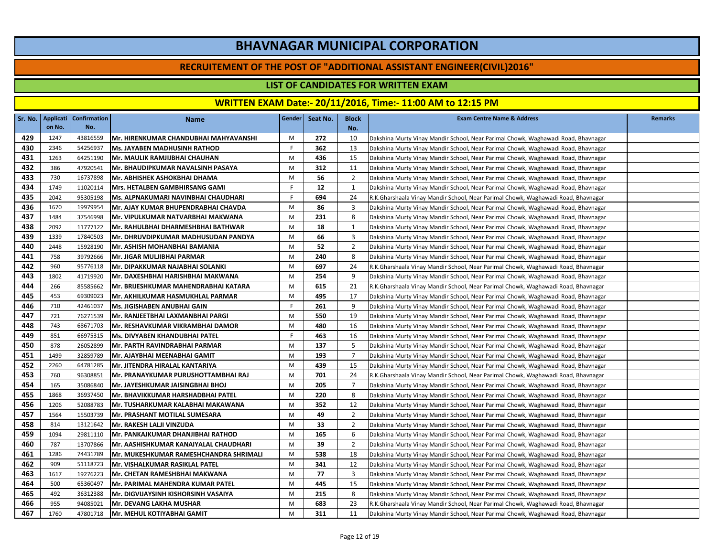#### **RECRUITEMENT OF THE POST OF "ADDITIONAL ASSISTANT ENGINEER(CIVIL)2016"**

### **LIST OF CANDIDATES FOR WRITTEN EXAM**

|     |        | Sr. No.   Applicati   Confirmation | <b>Name</b>                            | Gender | Seat No. | <b>Block</b>   | <b>Exam Centre Name &amp; Address</b>                                             | <b>Remarks</b> |
|-----|--------|------------------------------------|----------------------------------------|--------|----------|----------------|-----------------------------------------------------------------------------------|----------------|
|     | on No. | No.                                |                                        |        |          | No.            |                                                                                   |                |
| 429 | 1247   | 43816559                           | Mr. HIRENKUMAR CHANDUBHAI MAHYAVANSHI  | M      | 272      | 10             | Dakshina Murty Vinay Mandir School, Near Parimal Chowk, Waghawadi Road, Bhavnagar |                |
| 430 | 2346   | 54256937                           | Ms. JAYABEN MADHUSINH RATHOD           | F.     | 362      | 13             | Dakshina Murty Vinay Mandir School, Near Parimal Chowk, Waghawadi Road, Bhavnagar |                |
| 431 | 1263   | 64251190                           | Mr. MAULIK RAMJIJBHAI CHAUHAN          | M      | 436      | 15             | Dakshina Murty Vinay Mandir School, Near Parimal Chowk, Waghawadi Road, Bhavnagar |                |
| 432 | 386    | 47920541                           | Mr. BHAUDIPKUMAR NAVALSINH PASAYA      | M      | 312      | 11             | Dakshina Murty Vinay Mandir School, Near Parimal Chowk, Waghawadi Road, Bhavnagar |                |
| 433 | 730    | 16737898                           | Mr. ABHISHEK ASHOKBHAI DHAMA           | M      | 56       | $\overline{2}$ | Dakshina Murty Vinay Mandir School, Near Parimal Chowk, Waghawadi Road, Bhavnagar |                |
| 434 | 1749   | 11020114                           | Mrs. HETALBEN GAMBHIRSANG GAMI         | F      | 12       | 1              | Dakshina Murty Vinay Mandir School, Near Parimal Chowk, Waghawadi Road, Bhavnagar |                |
| 435 | 2042   | 95305198                           | Ms. ALPNAKUMARI NAVINBHAI CHAUDHARI    | F.     | 694      | 24             | R.K.Gharshaala Vinay Mandir School, Near Parimal Chowk, Waghawadi Road, Bhavnagar |                |
| 436 | 1670   | 19979954                           | Mr. AJAY KUMAR BHUPENDRABHAI CHAVDA    | M      | 86       | 3              | Dakshina Murty Vinay Mandir School, Near Parimal Chowk, Waghawadi Road, Bhavnagar |                |
| 437 | 1484   | 37546998                           | Mr. VIPULKUMAR NATVARBHAI MAKWANA      | M      | 231      | 8              | Dakshina Murty Vinay Mandir School, Near Parimal Chowk, Waghawadi Road, Bhavnagar |                |
| 438 | 2092   | 11777122                           | Mr. RAHULBHAI DHARMESHBHAI BATHWAR     | M      | 18       | 1              | Dakshina Murty Vinay Mandir School, Near Parimal Chowk, Waghawadi Road, Bhavnagar |                |
| 439 | 1339   | 17840503                           | Mr. DHRUVDIPKUMAR MADHUSUDAN PANDYA    | M      | 66       | 3              | Dakshina Murty Vinay Mandir School, Near Parimal Chowk, Waghawadi Road, Bhavnagar |                |
| 440 | 2448   | 15928190                           | Mr. ASHISH MOHANBHAI BAMANIA           | M      | 52       | $\overline{2}$ | Dakshina Murty Vinay Mandir School, Near Parimal Chowk, Waghawadi Road, Bhavnagar |                |
| 441 | 758    | 39792666                           | Mr. JIGAR MULJIBHAI PARMAR             | M      | 240      | 8              | Dakshina Murty Vinay Mandir School, Near Parimal Chowk, Waghawadi Road, Bhavnagar |                |
| 442 | 960    | 95776118                           | Mr. DIPAKKUMAR NAJABHAI SOLANKI        | M      | 697      | 24             | R.K.Gharshaala Vinay Mandir School, Near Parimal Chowk, Waghawadi Road, Bhavnagar |                |
| 443 | 1802   | 41719920                           | Mr. DAXESHBHAI HARISHBHAI MAKWANA      | M      | 254      | 9              | Dakshina Murty Vinay Mandir School, Near Parimal Chowk, Waghawadi Road, Bhavnagar |                |
| 444 | 266    | 85585662                           | Mr. BRIJESHKUMAR MAHENDRABHAI KATARA   | M      | 615      | 21             | R.K.Gharshaala Vinay Mandir School, Near Parimal Chowk, Waghawadi Road, Bhavnagar |                |
| 445 | 453    | 69309023                           | Mr. AKHILKUMAR HASMUKHLAL PARMAR       | M      | 495      | 17             | Dakshina Murty Vinay Mandir School, Near Parimal Chowk, Waghawadi Road, Bhavnagar |                |
| 446 | 710    | 42461037                           | Ms. JIGISHABEN ANUBHAI GAIN            | F.     | 261      | 9              | Dakshina Murty Vinay Mandir School, Near Parimal Chowk, Waghawadi Road, Bhavnagar |                |
| 447 | 721    | 76271539                           | Mr. RANJEETBHAI LAXMANBHAI PARGI       | M      | 550      | 19             | Dakshina Murty Vinay Mandir School, Near Parimal Chowk, Waghawadi Road, Bhavnagar |                |
| 448 | 743    | 68671703                           | Mr. RESHAVKUMAR VIKRAMBHAI DAMOR       | M      | 480      | 16             | Dakshina Murty Vinay Mandir School, Near Parimal Chowk, Waghawadi Road, Bhavnagar |                |
| 449 | 851    | 66975315                           | Ms. DIVYABEN KHANDUBHAI PATEL          | F.     | 463      | 16             | Dakshina Murty Vinay Mandir School, Near Parimal Chowk, Waghawadi Road, Bhavnagar |                |
| 450 | 878    | 26052899                           | Mr. PARTH RAVINDRABHAI PARMAR          | M      | 137      | 5              | Dakshina Murty Vinay Mandir School, Near Parimal Chowk, Waghawadi Road, Bhavnagar |                |
| 451 | 1499   | 32859789                           | Mr. AJAYBHAI MEENABHAI GAMIT           | M      | 193      | $\overline{7}$ | Dakshina Murty Vinay Mandir School, Near Parimal Chowk, Waghawadi Road, Bhavnagar |                |
| 452 | 2260   | 64781285                           | Mr. JITENDRA HIRALAL KANTARIYA         | M      | 439      | 15             | Dakshina Murty Vinay Mandir School, Near Parimal Chowk, Waghawadi Road, Bhavnagar |                |
| 453 | 760    | 96308851                           | Mr. PRANAYKUMAR PURUSHOTTAMBHAI RAJ    | M      | 701      | 24             | R.K.Gharshaala Vinay Mandir School, Near Parimal Chowk, Waghawadi Road, Bhavnagar |                |
| 454 | 165    | 35086840                           | Mr. JAYESHKUMAR JAISINGBHAI BHOJ       | M      | 205      | $\overline{7}$ | Dakshina Murty Vinay Mandir School, Near Parimal Chowk, Waghawadi Road, Bhavnagar |                |
| 455 | 1868   | 36937450                           | Mr. BHAVIKKUMAR HARSHADBHAI PATEL      | M      | 220      | 8              | Dakshina Murty Vinay Mandir School, Near Parimal Chowk, Waghawadi Road, Bhavnagar |                |
| 456 | 1206   | 52088783                           | Mr. TUSHARKUMAR KALABHAI MAKAWANA      | M      | 352      | 12             | Dakshina Murty Vinay Mandir School, Near Parimal Chowk, Waghawadi Road, Bhavnagar |                |
| 457 | 1564   | 15503739                           | Mr. PRASHANT MOTILAL SUMESARA          | M      | 49       | $\overline{2}$ | Dakshina Murty Vinay Mandir School, Near Parimal Chowk, Waghawadi Road, Bhavnagar |                |
| 458 | 814    | 13121642                           | Mr. RAKESH LALJI VINZUDA               | M      | 33       | $\overline{2}$ | Dakshina Murty Vinay Mandir School, Near Parimal Chowk, Waghawadi Road, Bhavnagar |                |
| 459 | 1094   | 29811110                           | Mr. PANKAJKUMAR DHANJIBHAI RATHOD      | M      | 165      | 6              | Dakshina Murty Vinay Mandir School, Near Parimal Chowk, Waghawadi Road, Bhavnagar |                |
| 460 | 787    | 13707866                           | Mr. AASHISHKUMAR KANAIYALAL CHAUDHARI  | M      | 39       | $\overline{2}$ | Dakshina Murty Vinay Mandir School, Near Parimal Chowk, Waghawadi Road, Bhavnagar |                |
| 461 | 1286   | 74431789                           | Mr. MUKESHKUMAR RAMESHCHANDRA SHRIMALI | M      | 538      | 18             | Dakshina Murty Vinay Mandir School, Near Parimal Chowk, Waghawadi Road, Bhavnagar |                |
| 462 | 909    | 51118723                           | Mr. VISHALKUMAR RASIKLAL PATEL         | M      | 341      | 12             | Dakshina Murty Vinay Mandir School, Near Parimal Chowk, Waghawadi Road, Bhavnagar |                |
| 463 | 1617   | 19276223                           | Mr. CHETAN RAMESHBHAI MAKWANA          | M      | 77       | 3              | Dakshina Murty Vinay Mandir School, Near Parimal Chowk, Waghawadi Road, Bhavnagar |                |
| 464 | 500    | 65360497                           | Mr. PARIMAL MAHENDRA KUMAR PATEL       | M      | 445      | 15             | Dakshina Murty Vinay Mandir School, Near Parimal Chowk, Waghawadi Road, Bhavnagar |                |
| 465 | 492    | 36312388                           | Mr. DIGVIJAYSINH KISHORSINH VASAIYA    | M      | 215      | 8              | Dakshina Murty Vinay Mandir School, Near Parimal Chowk, Waghawadi Road, Bhavnagar |                |
| 466 | 955    | 94085021                           | <b>Mr. DEVANG LAKHA MUSHAR</b>         | M      | 683      | 23             | R.K.Gharshaala Vinay Mandir School, Near Parimal Chowk, Waghawadi Road, Bhavnagar |                |
| 467 | 1760   | 47801718                           | İMr. MEHUL KOTIYABHAI GAMIT            | M      | 311      | 11             | Dakshina Murty Vinay Mandir School, Near Parimal Chowk, Waghawadi Road, Bhavnagar |                |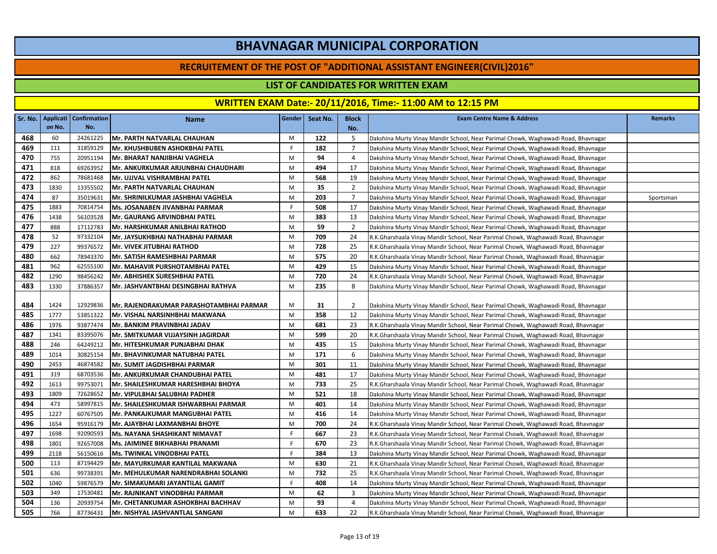#### **RECRUITEMENT OF THE POST OF "ADDITIONAL ASSISTANT ENGINEER(CIVIL)2016"**

### **LIST OF CANDIDATES FOR WRITTEN EXAM**

|     |        | Sr. No.   Applicati   Confirmation | <b>Name</b>                             | <b>Gender</b> | Seat No. | <b>Block</b>   | <b>Exam Centre Name &amp; Address</b>                                             | <b>Remarks</b> |
|-----|--------|------------------------------------|-----------------------------------------|---------------|----------|----------------|-----------------------------------------------------------------------------------|----------------|
|     | on No. | No.                                |                                         |               |          | No.            |                                                                                   |                |
| 468 | 60     | 24261225                           | Mr. PARTH NATVARLAL CHAUHAN             | M             | 122      | 5              | Dakshina Murty Vinay Mandir School, Near Parimal Chowk, Waghawadi Road, Bhavnagar |                |
| 469 | 111    | 31859129                           | Mr. KHUSHBUBEN ASHOKBHAI PATEL          | F.            | 182      | $\overline{7}$ | Dakshina Murty Vinay Mandir School, Near Parimal Chowk, Waghawadi Road, Bhavnagar |                |
| 470 | 755    | 20951194                           | Mr. BHARAT NANJIBHAI VAGHELA            | M             | 94       | 4              | Dakshina Murty Vinay Mandir School, Near Parimal Chowk, Waghawadi Road, Bhavnagar |                |
| 471 | 818    | 69263952                           | Mr. ANKURKUMAR ARJUNBHAI CHAUDHARI      | M             | 494      | 17             | Dakshina Murty Vinay Mandir School, Near Parimal Chowk, Waghawadi Road, Bhavnagar |                |
| 472 | 862    | 78681468                           | Mr. UJJVAL VISHRAMBHAI PATEL            | M             | 568      | 19             | Dakshina Murty Vinay Mandir School, Near Parimal Chowk, Waghawadi Road, Bhavnagar |                |
| 473 | 1830   | 13355502                           | IMr. PARTH NATVARLAL CHAUHAN            | M             | 35       | $\overline{2}$ | Dakshina Murty Vinay Mandir School, Near Parimal Chowk, Waghawadi Road, Bhavnagar |                |
| 474 | 87     | 35019631                           | Mr. SHRINILKUMAR JASHBHAI VAGHELA       | M             | 203      | $\overline{7}$ | Dakshina Murty Vinay Mandir School, Near Parimal Chowk, Waghawadi Road, Bhavnagar | Sportsman      |
| 475 | 1883   | 70814754                           | Ms. JOSANABEN JIVANBHAI PARMAR          | F.            | 508      | 17             | Dakshina Murty Vinay Mandir School, Near Parimal Chowk, Waghawadi Road, Bhavnagar |                |
| 476 | 1438   | 56103528                           | Mr. GAURANG ARVINDBHAI PATEL            | M             | 383      | 13             | Dakshina Murty Vinay Mandir School, Near Parimal Chowk, Waghawadi Road, Bhavnagar |                |
| 477 | 888    | 17112783                           | Mr. HARSHKUMAR ANILBHAI RATHOD          | M             | 59       | $\overline{2}$ | Dakshina Murty Vinay Mandir School, Near Parimal Chowk, Waghawadi Road, Bhavnagar |                |
| 478 | 52     | 97332104                           | Mr. JAYSUKHBHAI NATHABHAI PARMAR        | M             | 709      | 24             | R.K.Gharshaala Vinay Mandir School, Near Parimal Chowk, Waghawadi Road, Bhavnagar |                |
| 479 | 227    | 99376572                           | Mr. VIVEK JITUBHAI RATHOD               | M             | 728      | 25             | R.K.Gharshaala Vinay Mandir School, Near Parimal Chowk, Waghawadi Road, Bhavnagar |                |
| 480 | 662    | 78943370                           | Mr. SATISH RAMESHBHAI PARMAR            | M             | 575      | 20             | R.K.Gharshaala Vinay Mandir School, Near Parimal Chowk, Waghawadi Road, Bhavnagar |                |
| 481 | 962    | 62555100                           | Mr. MAHAVIR PURSHOTAMBHAI PATEL         | M             | 429      | 15             | Dakshina Murty Vinay Mandir School, Near Parimal Chowk, Waghawadi Road, Bhavnagar |                |
| 482 | 1290   | 98456242                           | Mr. ABHISHEK SURESHBHAI PATEL           | M             | 720      | 24             | R.K.Gharshaala Vinay Mandir School, Near Parimal Chowk, Waghawadi Road, Bhavnagar |                |
| 483 | 1330   | 37886357                           | Mr. JASHVANTBHAI DESINGBHAI RATHVA      | M             | 235      | 8              | Dakshina Murty Vinay Mandir School, Near Parimal Chowk, Waghawadi Road, Bhavnagar |                |
|     |        |                                    |                                         |               |          |                |                                                                                   |                |
| 484 | 1424   | 12929836                           | Mr. RAJENDRAKUMAR PARASHOTAMBHAI PARMAR | M             | 31       | $\overline{2}$ | Dakshina Murty Vinay Mandir School, Near Parimal Chowk, Waghawadi Road, Bhavnagar |                |
| 485 | 1777   | 53851322                           | Mr. VISHAL NARSINHBHAI MAKWANA          | M             | 358      | 12             | Dakshina Murty Vinay Mandir School, Near Parimal Chowk, Waghawadi Road, Bhavnagar |                |
| 486 | 1976   | 93877474                           | Mr. BANKIM PRAVINBHAI JADAV             | M             | 681      | 23             | R.K.Gharshaala Vinay Mandir School, Near Parimal Chowk, Waghawadi Road, Bhavnagar |                |
| 487 | 1341   | 83395076                           | Mr. SMITKUMAR VIJJAYSINH JAGIRDAR       | M             | 599      | 20             | R.K.Gharshaala Vinay Mandir School, Near Parimal Chowk, Waghawadi Road, Bhavnagar |                |
| 488 | 246    | 64249212                           | Mr. HITESHKUMAR PUNJABHAI DHAK          | M             | 435      | 15             | Dakshina Murty Vinay Mandir School, Near Parimal Chowk, Waghawadi Road, Bhavnagar |                |
| 489 | 1014   | 30825154                           | Mr. BHAVINKUMAR NATUBHAI PATEL          | M             | 171      | 6              | Dakshina Murty Vinay Mandir School, Near Parimal Chowk, Waghawadi Road, Bhavnagar |                |
| 490 | 2453   | 46874582                           | Mr. SUMIT JAGDISHBHAI PARMAR            | M             | 301      | 11             | Dakshina Murty Vinay Mandir School, Near Parimal Chowk, Waghawadi Road, Bhavnagar |                |
| 491 | 319    | 68703536                           | Mr. ANKURKUMAR CHANDUBHAI PATEL         | M             | 481      | 17             | Dakshina Murty Vinay Mandir School, Near Parimal Chowk, Waghawadi Road, Bhavnagar |                |
| 492 | 1613   | 99753071                           | Mr. SHAILESHKUMAR HARESHBHAI BHOYA      | M             | 733      | 25             | R.K.Gharshaala Vinay Mandir School, Near Parimal Chowk, Waghawadi Road, Bhavnagar |                |
| 493 | 1809   | 72628652                           | Mr. VIPULBHAI SALUBHAI PADHER           | M             | 521      | 18             | Dakshina Murty Vinay Mandir School, Near Parimal Chowk, Waghawadi Road, Bhavnagar |                |
| 494 | 473    | 58997815                           | Mr. SHAILESHKUMAR ISHWARBHAI PARMAR     | M             | 401      | 14             | Dakshina Murty Vinay Mandir School, Near Parimal Chowk, Waghawadi Road, Bhavnagar |                |
| 495 | 1227   | 60767505                           | Mr. PANKAJKUMAR MANGUBHAI PATEL         | M             | 416      | 14             | Dakshina Murty Vinay Mandir School, Near Parimal Chowk, Waghawadi Road, Bhavnagar |                |
| 496 | 1654   | 95916179                           | Mr. AJAYBHAI LAXMANBHAI BHOYE           | M             | 700      | 24             | R.K.Gharshaala Vinay Mandir School, Near Parimal Chowk, Waghawadi Road, Bhavnagar |                |
| 497 | 1698   | 92090593                           | Ms. NAYANA SHASHIKANT NIMAVAT           | F.            | 667      | 23             | R.K.Gharshaala Vinay Mandir School, Near Parimal Chowk, Waghawadi Road, Bhavnagar |                |
| 498 | 1801   | 92657008                           | Ms. JAIMINEE BIKHABHAI PRANAMI          | F.            | 670      | 23             | R.K.Gharshaala Vinay Mandir School, Near Parimal Chowk, Waghawadi Road, Bhavnagar |                |
| 499 | 2118   | 56150616                           | Ms. TWINKAL VINODBHAI PATEL             | F.            | 384      | 13             | Dakshina Murty Vinay Mandir School, Near Parimal Chowk, Waghawadi Road, Bhavnagar |                |
| 500 | 113    | 87194429                           | Mr. MAYURKUMAR KANTILAL MAKWANA         | M             | 630      | 21             | R.K.Gharshaala Vinay Mandir School, Near Parimal Chowk, Waghawadi Road, Bhavnagar |                |
| 501 | 636    | 99738391                           | Mr. MEHULKUMAR NARENDRABHAI SOLANKI     | M             | 732      | 25             | R.K.Gharshaala Vinay Mandir School, Near Parimal Chowk, Waghawadi Road, Bhavnagar |                |
| 502 | 1040   | 59876579                           | Mr. SIMAKUMARI JAYANTILAL GAMIT         | F.            | 408      | 14             | Dakshina Murty Vinay Mandir School, Near Parimal Chowk, Waghawadi Road, Bhavnagar |                |
| 503 | 349    | 17530481                           | Mr. RAJNIKANT VINODBHAI PARMAR          | M             | 62       | 3              | Dakshina Murty Vinay Mandir School, Near Parimal Chowk, Waghawadi Road, Bhavnagar |                |
| 504 | 136    | 20939754                           | İMr. CHETANKUMAR ASHOKBHAI BACHHAV      | M             | 93       | $\overline{4}$ | Dakshina Murty Vinay Mandir School, Near Parimal Chowk, Waghawadi Road, Bhavnagar |                |
| 505 | 766    | 87736431                           | lMr. NISHYAL JASHVANTLAL SANGANI        | M             | 633      | 22             | R.K.Gharshaala Vinay Mandir School, Near Parimal Chowk, Waghawadi Road, Bhavnagar |                |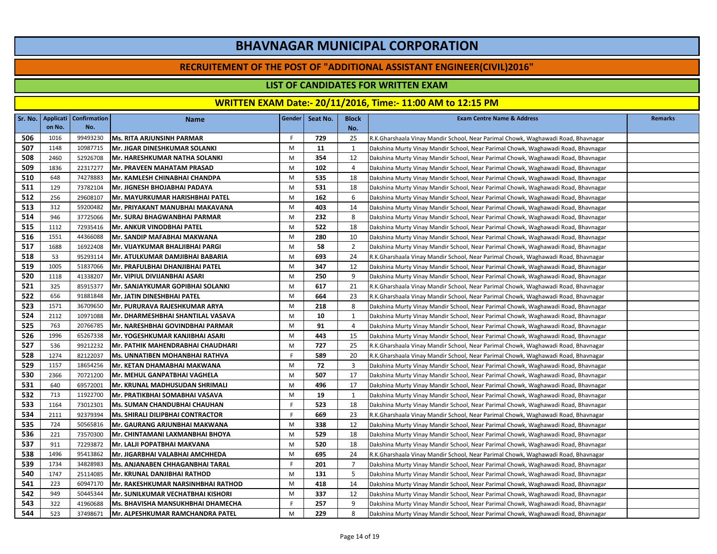#### **RECRUITEMENT OF THE POST OF "ADDITIONAL ASSISTANT ENGINEER(CIVIL)2016"**

### **LIST OF CANDIDATES FOR WRITTEN EXAM**

|     | Sr. No. Applicati | <b>Confirmation</b> | <b>Name</b>                               | Gender | Seat No. | <b>Block</b>   | <b>Exam Centre Name &amp; Address</b>                                             | Remarks |
|-----|-------------------|---------------------|-------------------------------------------|--------|----------|----------------|-----------------------------------------------------------------------------------|---------|
|     | on No.            | No.                 |                                           |        |          | No.            |                                                                                   |         |
| 506 | 1016              | 99493230            | <b>Ms. RITA ARJUNSINH PARMAR</b>          | F.     | 729      | 25             | R.K.Gharshaala Vinay Mandir School, Near Parimal Chowk, Waghawadi Road, Bhavnagar |         |
| 507 | 1148              | 10987715            | Mr. JIGAR DINESHKUMAR SOLANKI             | M      | 11       | 1              | Dakshina Murty Vinay Mandir School, Near Parimal Chowk, Waghawadi Road, Bhavnagar |         |
| 508 | 2460              | 52926708            | Mr. HARESHKUMAR NATHA SOLANKI             | M      | 354      | 12             | Dakshina Murty Vinay Mandir School, Near Parimal Chowk, Waghawadi Road, Bhavnagar |         |
| 509 | 1836              | 22317277            | Mr. PRAVEEN MAHATAM PRASAD                | M      | 102      | 4              | Dakshina Murty Vinay Mandir School, Near Parimal Chowk, Waghawadi Road, Bhavnagar |         |
| 510 | 648               | 74278883            | Mr. KAMLESH CHINABHAI CHANDPA             | M      | 535      | 18             | Dakshina Murty Vinay Mandir School, Near Parimal Chowk, Waghawadi Road, Bhavnagar |         |
| 511 | 129               | 73782104            | Mr. JIGNESH BHOJABHAI PADAYA              | M      | 531      | 18             | Dakshina Murty Vinay Mandir School, Near Parimal Chowk, Waghawadi Road, Bhavnagar |         |
| 512 | 256               | 29608107            | <b>Mr. MAYURKUMAR HARISHBHAI PATEL</b>    | M      | 162      | 6              | Dakshina Murty Vinay Mandir School, Near Parimal Chowk, Waghawadi Road, Bhavnagar |         |
| 513 | 312               | 59200482            | Mr. PRIYAKANT MANUBHAI MAKAVANA           | M      | 403      | 14             | Dakshina Murty Vinay Mandir School, Near Parimal Chowk, Waghawadi Road, Bhavnagar |         |
| 514 | 946               | 37725066            | Mr. SURAJ BHAGWANBHAI PARMAR              | M      | 232      | 8              | Dakshina Murty Vinay Mandir School, Near Parimal Chowk, Waghawadi Road, Bhavnagar |         |
| 515 | 1112              | 72935416            | Mr. ANKUR VINODBHAI PATEL                 | M      | 522      | 18             | Dakshina Murty Vinay Mandir School, Near Parimal Chowk, Waghawadi Road, Bhavnagar |         |
| 516 | 1551              | 44366088            | Mr. SANDIP MAFABHAI MAKWANA               | M      | 280      | 10             | Dakshina Murty Vinay Mandir School, Near Parimal Chowk, Waghawadi Road, Bhavnagar |         |
| 517 | 1688              | 16922408            | Mr. VIJAYKUMAR BHALJIBHAI PARGI           | M      | 58       | $\overline{2}$ | Dakshina Murty Vinay Mandir School, Near Parimal Chowk, Waghawadi Road, Bhavnagar |         |
| 518 | 53                | 95293114            | Mr. ATULKUMAR DAMJIBHAI BABARIA           | M      | 693      | 24             | R.K.Gharshaala Vinay Mandir School, Near Parimal Chowk, Waghawadi Road, Bhavnagar |         |
| 519 | 1005              | 51837066            | Mr. PRAFULBHAI DHANJIBHAI PATEL           | M      | 347      | 12             | Dakshina Murty Vinay Mandir School, Near Parimal Chowk, Waghawadi Road, Bhavnagar |         |
| 520 | 1118              | 41338207            | Mr. VIPIUL DIVIJANBHAI ASARI              | M      | 250      | 9              | Dakshina Murty Vinay Mandir School, Near Parimal Chowk, Waghawadi Road, Bhavnagar |         |
| 521 | 325               | 85915377            | Mr. SANJAYKUMAR GOPIBHAI SOLANKI          | M      | 617      | 21             | R.K.Gharshaala Vinay Mandir School, Near Parimal Chowk, Waghawadi Road, Bhavnagar |         |
| 522 | 656               | 91881848            | Mr. JATIN DINESHBHAI PATEL                | M      | 664      | 23             | R.K.Gharshaala Vinay Mandir School, Near Parimal Chowk, Waghawadi Road, Bhavnagar |         |
| 523 | 1571              | 36709650            | Mr. PURURAVA RAJESHKUMAR ARYA             | M      | 218      | 8              | Dakshina Murty Vinay Mandir School, Near Parimal Chowk, Waghawadi Road, Bhavnagar |         |
| 524 | 2112              | 10971088            | Mr. DHARMESHBHAI SHANTILAL VASAVA         | M      | 10       | $\mathbf{1}$   | Dakshina Murty Vinay Mandir School, Near Parimal Chowk, Waghawadi Road, Bhavnagar |         |
| 525 | 763               | 20766785            | <b>Mr. NARESHBHAI GOVINDBHAI PARMAR</b>   | M      | 91       | 4              | Dakshina Murty Vinay Mandir School, Near Parimal Chowk, Waghawadi Road, Bhavnagar |         |
| 526 | 1996              | 65267338            | Mr. YOGESHKUMAR KANJIBHAI ASARI           | M      | 443      | 15             | Dakshina Murty Vinay Mandir School, Near Parimal Chowk, Waghawadi Road, Bhavnagar |         |
| 527 | 536               | 99212232            | <b>IMr. PATHIK MAHENDRABHAI CHAUDHARI</b> | M      | 727      | 25             | R.K.Gharshaala Vinay Mandir School, Near Parimal Chowk, Waghawadi Road, Bhavnagar |         |
| 528 | 1274              | 82122037            | Ms. UNNATIBEN MOHANBHAI RATHVA            | F.     | 589      | 20             | R.K.Gharshaala Vinay Mandir School, Near Parimal Chowk, Waghawadi Road, Bhavnagar |         |
| 529 | 1157              | 18654256            | Mr. KETAN DHAMABHAI MAKWANA               | M      | 72       | 3              | Dakshina Murty Vinay Mandir School, Near Parimal Chowk, Waghawadi Road, Bhavnagar |         |
| 530 | 2366              | 70721200            | Mr. MEHUL GANPATBHAI VAGHELA              | M      | 507      | 17             | Dakshina Murty Vinay Mandir School, Near Parimal Chowk, Waghawadi Road, Bhavnagar |         |
| 531 | 640               | 69572001            | Mr. KRUNAL MADHUSUDAN SHRIMALI            | M      | 496      | 17             | Dakshina Murty Vinay Mandir School, Near Parimal Chowk, Waghawadi Road, Bhavnagar |         |
| 532 | 713               | 11922700            | Mr. PRATIKBHAI SOMABHAI VASAVA            | M      | 19       | 1              | Dakshina Murty Vinay Mandir School, Near Parimal Chowk, Waghawadi Road, Bhavnagar |         |
| 533 | 1164              | 73012301            | Ms. SUMAN CHANDUBHAI CHAUHAN              | F.     | 523      | 18             | Dakshina Murty Vinay Mandir School, Near Parimal Chowk, Waghawadi Road, Bhavnagar |         |
| 534 | 2111              | 92379394            | Ms. SHIRALI DILIPBHAI CONTRACTOR          | F.     | 669      | 23             | R.K.Gharshaala Vinay Mandir School, Near Parimal Chowk, Waghawadi Road, Bhavnagar |         |
| 535 | 724               | 50565816            | Mr. GAURANG ARJUNBHAI MAKWANA             | M      | 338      | 12             | Dakshina Murty Vinay Mandir School, Near Parimal Chowk, Waghawadi Road, Bhavnagar |         |
| 536 | 221               | 73570300            | Mr. CHINTAMANI LAXMANBHAI BHOYA           | M      | 529      | 18             | Dakshina Murty Vinay Mandir School, Near Parimal Chowk, Waghawadi Road, Bhavnagar |         |
| 537 | 911               | 72293872            | Mr. LALJI POPATBHAI MAKVANA               | M      | 520      | 18             | Dakshina Murty Vinay Mandir School, Near Parimal Chowk, Waghawadi Road, Bhavnagar |         |
| 538 | 1496              | 95413862            | Mr. JIGARBHAI VALABHAI AMCHHEDA           | M      | 695      | 24             | R.K.Gharshaala Vinay Mandir School, Near Parimal Chowk, Waghawadi Road, Bhavnagar |         |
| 539 | 1734              | 34828983            | <b>Ms. ANJANABEN CHHAGANBHAI TARAL</b>    | F.     | 201      | $\overline{7}$ | Dakshina Murty Vinay Mandir School, Near Parimal Chowk, Waghawadi Road, Bhavnagar |         |
| 540 | 1747              | 25114085            | Mr. KRUNAL DANJIBHAI RATHOD               | M      | 131      | 5              | Dakshina Murty Vinay Mandir School, Near Parimal Chowk, Waghawadi Road, Bhavnagar |         |
| 541 | 223               | 60947170            | Mr. RAKESHKUMAR NARSINHBHAI RATHOD        | M      | 418      | 14             | Dakshina Murty Vinay Mandir School, Near Parimal Chowk, Waghawadi Road, Bhavnagar |         |
| 542 | 949               | 50445344            | Mr. SUNILKUMAR VECHATBHAI KISHORI         | M      | 337      | 12             | Dakshina Murty Vinay Mandir School, Near Parimal Chowk, Waghawadi Road, Bhavnagar |         |
| 543 | 322               | 41960688            | <b>Ms. BHAVISHA MANSUKHBHAI DHAMECHA</b>  | F.     | 257      | 9              | Dakshina Murty Vinay Mandir School, Near Parimal Chowk, Waghawadi Road, Bhavnagar |         |
| 544 | 523               | 37498671            | <b>Mr. ALPESHKUMAR RAMCHANDRA PATEL</b>   | M      | 229      | 8              | Dakshina Murty Vinay Mandir School, Near Parimal Chowk, Waghawadi Road, Bhavnagar |         |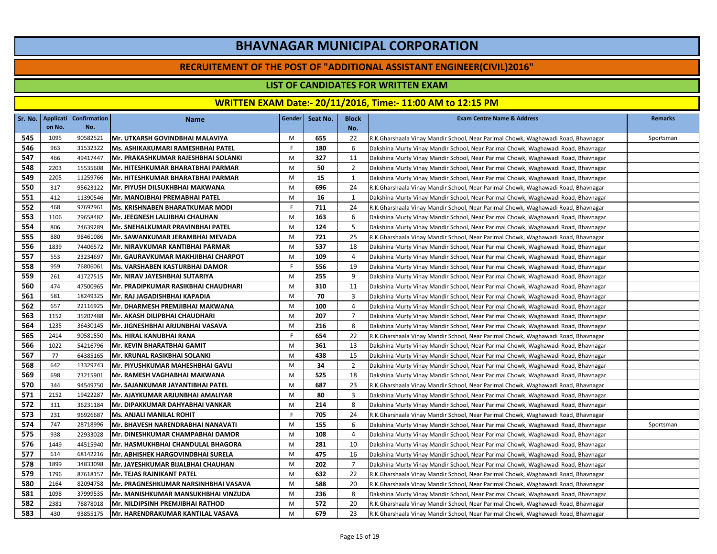#### **RECRUITEMENT OF THE POST OF "ADDITIONAL ASSISTANT ENGINEER(CIVIL)2016"**

### **LIST OF CANDIDATES FOR WRITTEN EXAM**

|     |        | Sr. No.   Applicati   Confirmation | Name                                    | Gender | Seat No. | <b>Block</b>   | <b>Exam Centre Name &amp; Address</b>                                             | <b>Remarks</b> |
|-----|--------|------------------------------------|-----------------------------------------|--------|----------|----------------|-----------------------------------------------------------------------------------|----------------|
|     | on No. | No.                                |                                         |        |          | No.            |                                                                                   |                |
| 545 | 1095   | 90582521                           | Mr. UTKARSH GOVINDBHAI MALAVIYA         | M      | 655      | 22             | R.K.Gharshaala Vinay Mandir School, Near Parimal Chowk, Waghawadi Road, Bhavnagar | Sportsman      |
| 546 | 963    | 31532322                           | Ms. ASHIKAKUMARI RAMESHBHAI PATEL       | F.     | 180      | 6              | Dakshina Murty Vinay Mandir School, Near Parimal Chowk, Waghawadi Road, Bhavnagar |                |
| 547 | 466    | 49417447                           | lMr. PRAKASHKUMAR RAJESHBHAI SOLANKI    | M      | 327      | 11             | Dakshina Murty Vinay Mandir School, Near Parimal Chowk, Waghawadi Road, Bhavnagar |                |
| 548 | 2203   | 15535608                           | Mr. HITESHKUMAR BHARATBHAI PARMAR       | M      | 50       | 2              | Dakshina Murty Vinay Mandir School, Near Parimal Chowk, Waghawadi Road, Bhavnagar |                |
| 549 | 2205   | 11259766                           | Mr. HITESHKUMAR BHARATBHAI PARMAR       | M      | 15       | 1              | Dakshina Murty Vinay Mandir School, Near Parimal Chowk, Waghawadi Road, Bhavnagar |                |
| 550 | 317    | 95623122                           | <b>Mr. PIYUSH DILSUKHBHAI MAKWANA</b>   | M      | 696      | 24             | R.K.Gharshaala Vinay Mandir School, Near Parimal Chowk, Waghawadi Road, Bhavnagar |                |
| 551 | 412    | 11390546                           | Mr. MANOJBHAI PREMABHAI PATEL           | M      | 16       | 1              | Dakshina Murty Vinay Mandir School, Near Parimal Chowk, Waghawadi Road, Bhavnagar |                |
| 552 | 468    | 97692961                           | Ms. KRISHNABEN BHARATKUMAR MODI         | F.     | 711      | 24             | R.K.Gharshaala Vinay Mandir School, Near Parimal Chowk, Waghawadi Road, Bhavnagar |                |
| 553 | 1106   | 29658482                           | Mr. JEEGNESH LALJIBHAI CHAUHAN          | M      | 163      | 6              | Dakshina Murty Vinay Mandir School, Near Parimal Chowk, Waghawadi Road, Bhavnagar |                |
| 554 | 806    | 24639289                           | Mr. SNEHALKUMAR PRAVINBHAI PATEL        | M      | 124      | 5              | Dakshina Murty Vinay Mandir School, Near Parimal Chowk, Waghawadi Road, Bhavnagar |                |
| 555 | 880    | 98461086                           | IMr. SAWANKUMAR JERAMBHAI MEVADA        | M      | 721      | 25             | R.K.Gharshaala Vinay Mandir School, Near Parimal Chowk, Waghawadi Road, Bhavnagar |                |
| 556 | 1839   | 74406572                           | Mr. NIRAVKUMAR KANTIBHAI PARMAR         | M      | 537      | 18             | Dakshina Murty Vinay Mandir School, Near Parimal Chowk, Waghawadi Road, Bhavnagar |                |
| 557 | 553    | 23234697                           | Mr. GAURAVKUMAR MAKHJIBHAI CHARPOT      | M      | 109      | 4              | Dakshina Murty Vinay Mandir School, Near Parimal Chowk, Waghawadi Road, Bhavnagar |                |
| 558 | 959    | 76806061                           | Ms. VARSHABEN KASTURBHAI DAMOR          | F.     | 556      | 19             | Dakshina Murty Vinay Mandir School, Near Parimal Chowk, Waghawadi Road, Bhavnagar |                |
| 559 | 261    | 41727515                           | Mr. NIRAV JAYESHBHAI SUTARIYA           | M      | 255      | 9              | Dakshina Murty Vinay Mandir School, Near Parimal Chowk, Waghawadi Road, Bhavnagar |                |
| 560 | 474    | 47500965                           | Mr. PRADIPKUMAR RASIKBHAI CHAUDHARI     | M      | 310      | 11             | Dakshina Murty Vinay Mandir School, Near Parimal Chowk, Waghawadi Road, Bhavnagar |                |
| 561 | 581    | 18249325                           | Mr. RAJ JAGADISHBHAI KAPADIA            | M      | 70       | 3              | Dakshina Murty Vinay Mandir School, Near Parimal Chowk, Waghawadi Road, Bhavnagar |                |
| 562 | 657    | 22116925                           | Mr. DHARMESH PREMJIBHAI MAKWANA         | M      | 100      | $\overline{4}$ | Dakshina Murty Vinay Mandir School, Near Parimal Chowk, Waghawadi Road, Bhavnagar |                |
| 563 | 1152   | 35207488                           | Mr. AKASH DILIPBHAI CHAUDHARI           | M      | 207      | $\overline{7}$ | Dakshina Murty Vinay Mandir School, Near Parimal Chowk, Waghawadi Road, Bhavnagar |                |
| 564 | 1235   | 36430145                           | Mr. JIGNESHBHAI ARJUNBHAI VASAVA        | M      | 216      | 8              | Dakshina Murty Vinay Mandir School, Near Parimal Chowk, Waghawadi Road, Bhavnagar |                |
| 565 | 2414   | 90581550                           | Ms. HIRAL KANUBHAI RANA                 | F.     | 654      | 22             | R.K.Gharshaala Vinay Mandir School, Near Parimal Chowk, Waghawadi Road, Bhavnagar |                |
| 566 | 1022   | 54216796                           | Mr. KEVIN BHARATBHAI GAMIT              | M      | 361      | 13             | Dakshina Murty Vinay Mandir School, Near Parimal Chowk, Waghawadi Road, Bhavnagar |                |
| 567 | 77     | 64385165                           | Mr. KRUNAL RASIKBHAI SOLANKI            | M      | 438      | 15             | Dakshina Murty Vinay Mandir School, Near Parimal Chowk, Waghawadi Road, Bhavnagar |                |
| 568 | 642    | 13329743                           | İMr. PIYUSHKUMAR MAHESHBHAI GAVLI       | M      | 34       | $\overline{2}$ | Dakshina Murty Vinay Mandir School, Near Parimal Chowk, Waghawadi Road, Bhavnagar |                |
| 569 | 698    | 73215901                           | Mr. RAMESH VAGHABHAI MAKWANA            | M      | 525      | 18             | Dakshina Murty Vinay Mandir School, Near Parimal Chowk, Waghawadi Road, Bhavnagar |                |
| 570 | 344    | 94549750                           | Mr. SAJANKUMAR JAYANTIBHAI PATEL        | M      | 687      | 23             | R.K.Gharshaala Vinay Mandir School, Near Parimal Chowk, Waghawadi Road, Bhavnagar |                |
| 571 | 2152   | 19422287                           | Mr. AJAYKUMAR ARJUNBHAI AMALIYAR        | M      | 80       | 3              | Dakshina Murty Vinay Mandir School, Near Parimal Chowk, Waghawadi Road, Bhavnagar |                |
| 572 | 311    | 36231184                           | Mr. DIPAKKUMAR DAHYABHAI VANKAR         | M      | 214      | 8              | Dakshina Murty Vinay Mandir School, Near Parimal Chowk, Waghawadi Road, Bhavnagar |                |
| 573 | 231    | 96926687                           | Ms. ANJALI MANILAL ROHIT                | F.     | 705      | 24             | R.K.Gharshaala Vinay Mandir School, Near Parimal Chowk, Waghawadi Road, Bhavnagar |                |
| 574 | 747    | 28718996                           | Mr. BHAVESH NARENDRABHAI NANAVATI       | M      | 155      | 6              | Dakshina Murty Vinay Mandir School, Near Parimal Chowk, Waghawadi Road, Bhavnagar | Sportsman      |
| 575 | 938    | 22933028                           | <b>Mr. DINESHKUMAR CHAMPABHAI DAMOR</b> | M      | 108      | $\overline{4}$ | Dakshina Murty Vinay Mandir School, Near Parimal Chowk, Waghawadi Road, Bhavnagar |                |
| 576 | 1449   | 44515940                           | IMr. HASMUKHBHAI CHANDULAL BHAGORA      | M      | 281      | 10             | Dakshina Murty Vinay Mandir School, Near Parimal Chowk, Waghawadi Road, Bhavnagar |                |
| 577 | 614    | 68142216                           | Mr. ABHISHEK HARGOVINDBHAI SURELA       | M      | 475      | 16             | Dakshina Murty Vinay Mandir School, Near Parimal Chowk, Waghawadi Road, Bhavnagar |                |
| 578 | 1899   | 34833098                           | Mr. JAYESHKUMAR BIJALBHAI CHAUHAN       | M      | 202      | $\overline{7}$ | Dakshina Murty Vinay Mandir School, Near Parimal Chowk, Waghawadi Road, Bhavnagar |                |
| 579 | 1796   | 87618157                           | <b>Mr. TEJAS RAJNIKANT PATEL</b>        | M      | 632      | 22             | R.K.Gharshaala Vinay Mandir School, Near Parimal Chowk, Waghawadi Road, Bhavnagar |                |
| 580 | 2164   | 82094758                           | Mr. PRAGNESHKUMAR NARSINHBHAI VASAVA    | M      | 588      | 20             | R.K.Gharshaala Vinay Mandir School, Near Parimal Chowk, Waghawadi Road, Bhavnagar |                |
| 581 | 1098   | 37999535                           | Mr. MANISHKUMAR MANSUKHBHAI VINZUDA     | M      | 236      | 8              | Dakshina Murty Vinay Mandir School, Near Parimal Chowk, Waghawadi Road, Bhavnagar |                |
| 582 | 2381   | 78878018                           | <b>Mr. NILDIPSINH PREMJIBHAI RATHOD</b> | M      | 572      | 20             | R.K.Gharshaala Vinay Mandir School, Near Parimal Chowk, Waghawadi Road, Bhavnagar |                |
| 583 | 430    | 93855175                           | Mr. HARENDRAKUMAR KANTILAL VASAVA       | M      | 679      | 23             | R.K.Gharshaala Vinay Mandir School, Near Parimal Chowk, Waghawadi Road, Bhavnagar |                |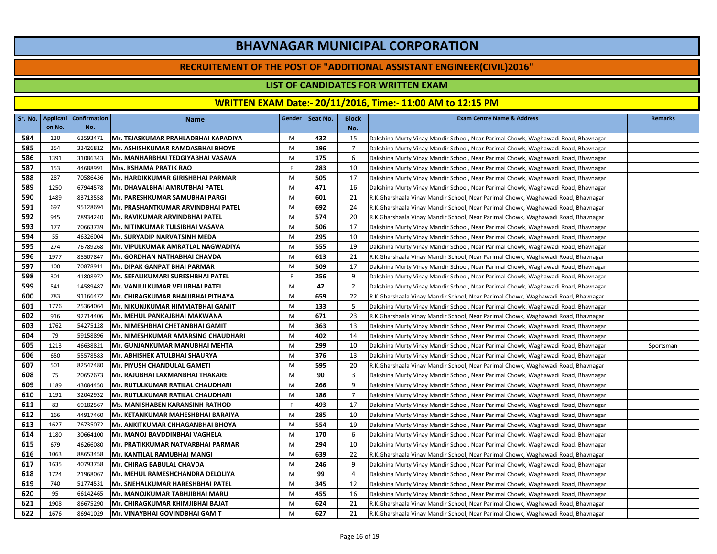#### **RECRUITEMENT OF THE POST OF "ADDITIONAL ASSISTANT ENGINEER(CIVIL)2016"**

### **LIST OF CANDIDATES FOR WRITTEN EXAM**

|     | Sr. No.   Applicati | <b>Confirmation</b> | <b>Name</b>                                | <b>Gender</b> | Seat No. | <b>Block</b>   | <b>Exam Centre Name &amp; Address</b>                                             | <b>Remarks</b> |
|-----|---------------------|---------------------|--------------------------------------------|---------------|----------|----------------|-----------------------------------------------------------------------------------|----------------|
|     | on No.              | No.                 |                                            |               |          | No.            |                                                                                   |                |
| 584 | 130                 | 63593471            | Mr. TEJASKUMAR PRAHLADBHAI KAPADIYA        | M             | 432      | 15             | Dakshina Murty Vinay Mandir School, Near Parimal Chowk, Waghawadi Road, Bhavnagar |                |
| 585 | 354                 | 33426812            | lMr. ASHISHKUMAR RAMDASBHAI BHOYE          | M             | 196      | $\overline{7}$ | Dakshina Murty Vinay Mandir School, Near Parimal Chowk, Waghawadi Road, Bhavnagar |                |
| 586 | 1391                | 31086343            | lMr. MANHARBHAI TEDGIYABHAI VASAVA         | M             | 175      | 6              | Dakshina Murty Vinay Mandir School, Near Parimal Chowk, Waghawadi Road, Bhavnagar |                |
| 587 | 153                 | 44688991            | <b>Mrs. KSHAMA PRATIK RAO</b>              | F.            | 283      | 10             | Dakshina Murty Vinay Mandir School, Near Parimal Chowk, Waghawadi Road, Bhavnagar |                |
| 588 | 287                 | 70586436            | <b>Mr. HARDIKKUMAR GIRISHBHAI PARMAR</b>   | M             | 505      | 17             | Dakshina Murty Vinay Mandir School, Near Parimal Chowk, Waghawadi Road, Bhavnagar |                |
| 589 | 1250                | 67944578            | Mr. DHAVALBHAI AMRUTBHAI PATEL             | M             | 471      | 16             | Dakshina Murty Vinay Mandir School, Near Parimal Chowk, Waghawadi Road, Bhavnagar |                |
| 590 | 1489                | 83713558            | <b>Mr. PARESHKUMAR SAMUBHAI PARGI</b>      | M             | 601      | 21             | R.K.Gharshaala Vinay Mandir School, Near Parimal Chowk, Waghawadi Road, Bhavnagar |                |
| 591 | 697                 | 95128694            | Mr. PRASHANTKUMAR ARVINDBHAI PATEL         | M             | 692      | 24             | R.K.Gharshaala Vinay Mandir School, Near Parimal Chowk, Waghawadi Road, Bhavnagar |                |
| 592 | 945                 | 78934240            | Mr. RAVIKUMAR ARVINDBHAI PATEL             | M             | 574      | 20             | R.K.Gharshaala Vinay Mandir School, Near Parimal Chowk, Waghawadi Road, Bhavnagar |                |
| 593 | 177                 | 70663739            | Mr. NITINKUMAR TULSIBHAI VASAVA            | M             | 506      | 17             | Dakshina Murty Vinay Mandir School, Near Parimal Chowk, Waghawadi Road, Bhavnagar |                |
| 594 | 55                  | 46326004            | <b>Mr. SURYADIP NARVATSINH MEDA</b>        | M             | 295      | 10             | Dakshina Murty Vinay Mandir School, Near Parimal Chowk, Waghawadi Road, Bhavnagar |                |
| 595 | 274                 | 76789268            | Mr. VIPULKUMAR AMRATLAL NAGWADIYA          | M             | 555      | 19             | Dakshina Murty Vinay Mandir School, Near Parimal Chowk, Waghawadi Road, Bhavnagar |                |
| 596 | 1977                | 85507847            | Mr. GORDHAN NATHABHAI CHAVDA               | M             | 613      | 21             | R.K.Gharshaala Vinay Mandir School, Near Parimal Chowk, Waghawadi Road, Bhavnagar |                |
| 597 | 100                 | 70878911            | Mr. DIPAK GANPAT BHAI PARMAR               | M             | 509      | 17             | Dakshina Murty Vinay Mandir School, Near Parimal Chowk, Waghawadi Road, Bhavnagar |                |
| 598 | 301                 | 41808972            | Ms. SEFALIKUMARI SURESHBHAI PATEL          | F.            | 256      | 9              | Dakshina Murty Vinay Mandir School, Near Parimal Chowk, Waghawadi Road, Bhavnagar |                |
| 599 | 541                 | 14589487            | Mr. VANJULKUMAR VELJIBHAI PATEL            | M             | 42       | $\overline{2}$ | Dakshina Murty Vinay Mandir School, Near Parimal Chowk, Waghawadi Road, Bhavnagar |                |
| 600 | 783                 | 91166472            | Mr. CHIRAGKUMAR BHAIJIBHAI PITHAYA         | M             | 659      | 22             | R.K.Gharshaala Vinay Mandir School, Near Parimal Chowk, Waghawadi Road, Bhavnagar |                |
| 601 | 1776                | 25364064            | Mr. NIKUNJKUMAR HIMMATBHAI GAMIT           | M             | 133      | 5              | Dakshina Murty Vinay Mandir School, Near Parimal Chowk, Waghawadi Road, Bhavnagar |                |
| 602 | 916                 | 92714406            | Mr. MEHUL PANKAJBHAI MAKWANA               | M             | 671      | 23             | R.K.Gharshaala Vinay Mandir School, Near Parimal Chowk, Waghawadi Road, Bhavnagar |                |
| 603 | 1762                | 54275128            | Mr. NIMESHBHAI CHETANBHAI GAMIT            | M             | 363      | 13             | Dakshina Murty Vinay Mandir School, Near Parimal Chowk, Waghawadi Road, Bhavnagar |                |
| 604 | 79                  | 59158896            | <b> Mr. NIMESHKUMAR AMARSING CHAUDHARI</b> | M             | 402      | 14             | Dakshina Murty Vinay Mandir School, Near Parimal Chowk, Waghawadi Road, Bhavnagar |                |
| 605 | 1213                | 46638821            | Mr. GUNJANKUMAR MANUBHAI MEHTA             | M             | 299      | 10             | Dakshina Murty Vinay Mandir School, Near Parimal Chowk, Waghawadi Road, Bhavnagar | Sportsman      |
| 606 | 650                 | 55578583            | İMr. ABHISHEK ATULBHAI SHAURYA             | M             | 376      | 13             | Dakshina Murty Vinay Mandir School, Near Parimal Chowk, Waghawadi Road, Bhavnagar |                |
| 607 | 501                 | 82547480            | Mr. PIYUSH CHANDULAL GAMETI                | M             | 595      | 20             | R.K.Gharshaala Vinay Mandir School, Near Parimal Chowk, Waghawadi Road, Bhavnagar |                |
| 608 | 75                  | 20657673            | Mr. RAJUBHAI LAXMANBHAI THAKARE            | M             | 90       | 3              | Dakshina Murty Vinay Mandir School, Near Parimal Chowk, Waghawadi Road, Bhavnagar |                |
| 609 | 1189                | 43084450            | <b>Mr. RUTULKUMAR RATILAL CHAUDHARI</b>    | M             | 266      | 9              | Dakshina Murty Vinay Mandir School, Near Parimal Chowk, Waghawadi Road, Bhavnagar |                |
| 610 | 1191                | 32042932            | <b>Mr. RUTULKUMAR RATILAL CHAUDHARI</b>    | M             | 186      | $\overline{7}$ | Dakshina Murty Vinay Mandir School, Near Parimal Chowk, Waghawadi Road, Bhavnagar |                |
| 611 | 83                  | 69182567            | Ms. MANISHABEN KARANSINH RATHOD            | F.            | 493      | 17             | Dakshina Murty Vinay Mandir School, Near Parimal Chowk, Waghawadi Road, Bhavnagar |                |
| 612 | 166                 | 44917460            | Mr. KETANKUMAR MAHESHBHAI BARAIYA          | M             | 285      | 10             | Dakshina Murty Vinay Mandir School, Near Parimal Chowk, Waghawadi Road, Bhavnagar |                |
| 613 | 1627                | 76735072            | <b> Mr. ANKITKUMAR CHHAGANBHAI BHOYA</b>   | M             | 554      | 19             | Dakshina Murty Vinay Mandir School, Near Parimal Chowk, Waghawadi Road, Bhavnagar |                |
| 614 | 1180                | 30664100            | Mr. MANOJ BAVDDINBHAI VAGHELA              | M             | 170      | 6              | Dakshina Murty Vinay Mandir School, Near Parimal Chowk, Waghawadi Road, Bhavnagar |                |
| 615 | 679                 | 46266080            | <b>Mr. PRATIKKUMAR NATVARBHAI PARMAR</b>   | M             | 294      | 10             | Dakshina Murty Vinay Mandir School, Near Parimal Chowk, Waghawadi Road, Bhavnagar |                |
| 616 | 1063                | 88653458            | Mr. KANTILAL RAMUBHAI MANGI                | M             | 639      | 22             | R.K.Gharshaala Vinay Mandir School, Near Parimal Chowk, Waghawadi Road, Bhavnagar |                |
| 617 | 1635                | 40793758            | Mr. CHIRAG BABULAL CHAVDA                  | M             | 246      | 9              | Dakshina Murty Vinay Mandir School, Near Parimal Chowk, Waghawadi Road, Bhavnagar |                |
| 618 | 1724                | 21968067            | Mr. MEHUL RAMESHCHANDRA DELOLIYA           | M             | 99       | 4              | Dakshina Murty Vinay Mandir School, Near Parimal Chowk, Waghawadi Road, Bhavnagar |                |
| 619 | 740                 | 51774531            | Mr. SNEHALKUMAR HARESHBHAI PATEL           | M             | 345      | 12             | Dakshina Murty Vinay Mandir School, Near Parimal Chowk, Waghawadi Road, Bhavnagar |                |
| 620 | 95                  | 66142465            | Mr. MANOJKUMAR TABHJIBHAI MARU             | M             | 455      | 16             | Dakshina Murty Vinay Mandir School, Near Parimal Chowk, Waghawadi Road, Bhavnagar |                |
| 621 | 1908                | 86675290            | Mr. CHIRAGKUMAR KHIMJIBHAI BAJAT           | M             | 624      | 21             | R.K.Gharshaala Vinay Mandir School, Near Parimal Chowk, Waghawadi Road, Bhavnagar |                |
| 622 | 1676                | 86941029            | Mr. VINAYBHAI GOVINDBHAI GAMIT             | M             | 627      | 21             | R.K.Gharshaala Vinay Mandir School, Near Parimal Chowk, Waghawadi Road, Bhavnagar |                |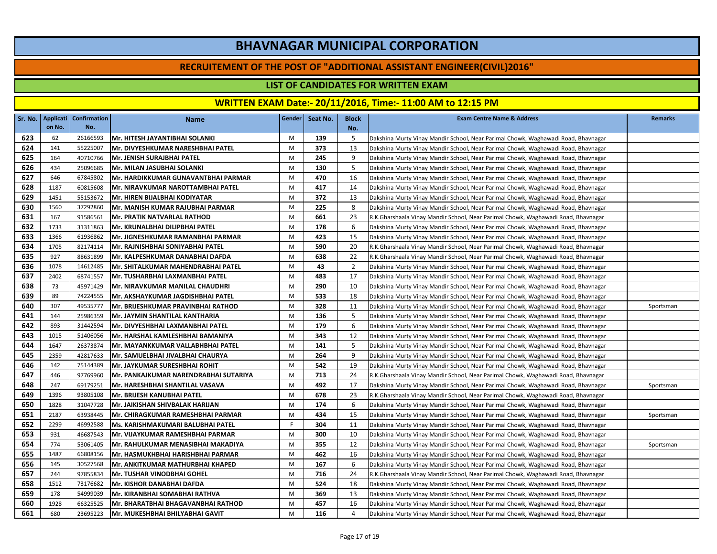#### **RECRUITEMENT OF THE POST OF "ADDITIONAL ASSISTANT ENGINEER(CIVIL)2016"**

### **LIST OF CANDIDATES FOR WRITTEN EXAM**

|     | Sr. No.   Applicati | <b>Confirmation</b> | <b>Name</b>                               | <b>Gender</b> | Seat No. | <b>Block</b>   | <b>Exam Centre Name &amp; Address</b>                                             | <b>Remarks</b> |
|-----|---------------------|---------------------|-------------------------------------------|---------------|----------|----------------|-----------------------------------------------------------------------------------|----------------|
|     | on No.              | No.                 |                                           |               |          | No.            |                                                                                   |                |
| 623 | 62                  | 26166593            | Mr. HITESH JAYANTIBHAI SOLANKI            | M             | 139      | 5              | Dakshina Murty Vinay Mandir School, Near Parimal Chowk, Waghawadi Road, Bhavnagar |                |
| 624 | 141                 | 55225007            | lMr. DIVYESHKUMAR NARESHBHAI PATEL        | M             | 373      | 13             | Dakshina Murty Vinay Mandir School, Near Parimal Chowk, Waghawadi Road, Bhavnagar |                |
| 625 | 164                 | 40710766            | Mr. JENISH SURAJBHAI PATEL                | M             | 245      | 9              | Dakshina Murty Vinay Mandir School, Near Parimal Chowk, Waghawadi Road, Bhavnagar |                |
| 626 | 434                 | 25096685            | Mr. MILAN JASUBHAI SOLANKI                | M             | 130      | 5              | Dakshina Murty Vinay Mandir School, Near Parimal Chowk, Waghawadi Road, Bhavnagar |                |
| 627 | 646                 | 67845802            | Mr. HARDIKKUMAR GUNAVANTBHAI PARMAR       | M             | 470      | 16             | Dakshina Murty Vinay Mandir School, Near Parimal Chowk, Waghawadi Road, Bhavnagar |                |
| 628 | 1187                | 60815608            | İMr. NIRAVKUMAR NAROTTAMBHAI PATEL        | M             | 417      | 14             | Dakshina Murty Vinay Mandir School, Near Parimal Chowk, Waghawadi Road, Bhavnagar |                |
| 629 | 1451                | 55153672            | İMr. HIREN BIJALBHAI KODIYATAR            | M             | 372      | 13             | Dakshina Murty Vinay Mandir School, Near Parimal Chowk, Waghawadi Road, Bhavnagar |                |
| 630 | 1560                | 37292860            | Mr. MANISH KUMAR RAJUBHAI PARMAR          | M             | 225      | 8              | Dakshina Murty Vinay Mandir School, Near Parimal Chowk, Waghawadi Road, Bhavnagar |                |
| 631 | 167                 | 91586561            | Mr. PRATIK NATVARLAL RATHOD               | M             | 661      | 23             | R.K.Gharshaala Vinay Mandir School, Near Parimal Chowk, Waghawadi Road, Bhavnagar |                |
| 632 | 1733                | 31311863            | Mr. KRUNALBHAI DILIPBHAI PATEL            | M             | 178      | 6              | Dakshina Murty Vinay Mandir School, Near Parimal Chowk, Waghawadi Road, Bhavnagar |                |
| 633 | 1366                | 61936862            | IMr. JIGNESHKUMAR RAMANBHAI PARMAR        | M             | 423      | 15             | Dakshina Murty Vinay Mandir School, Near Parimal Chowk, Waghawadi Road, Bhavnagar |                |
| 634 | 1705                | 82174114            | Mr. RAJNISHBHAI SONIYABHAI PATEL          | M             | 590      | 20             | R.K.Gharshaala Vinay Mandir School, Near Parimal Chowk, Waghawadi Road, Bhavnagar |                |
| 635 | 927                 | 88631899            | Mr. KALPESHKUMAR DANABHAI DAFDA           | M             | 638      | 22             | R.K.Gharshaala Vinay Mandir School, Near Parimal Chowk, Waghawadi Road, Bhavnagar |                |
| 636 | 1078                | 14612485            | Mr. SHITALKUMAR MAHENDRABHAI PATEL        | M             | 43       | $\overline{2}$ | Dakshina Murty Vinay Mandir School, Near Parimal Chowk, Waghawadi Road, Bhavnagar |                |
| 637 | 2402                | 68741557            | Mr. TUSHARBHAI LAXMANBHAI PATEL           | M             | 483      | 17             | Dakshina Murty Vinay Mandir School, Near Parimal Chowk, Waghawadi Road, Bhavnagar |                |
| 638 | 73                  | 45971429            | İMr. NIRAVKUMAR MANILAL CHAUDHRI          | M             | 290      | 10             | Dakshina Murty Vinay Mandir School, Near Parimal Chowk, Waghawadi Road, Bhavnagar |                |
| 639 | 89                  | 74224555            | <b>Mr. AKSHAYKUMAR JAGDISHBHAI PATEL</b>  | M             | 533      | 18             | Dakshina Murty Vinay Mandir School, Near Parimal Chowk, Waghawadi Road, Bhavnagar |                |
| 640 | 307                 | 49535777            | <b>Mr. BRIJESHKUMAR PRAVINBHAI RATHOD</b> | M             | 328      | 11             | Dakshina Murty Vinay Mandir School, Near Parimal Chowk, Waghawadi Road, Bhavnagar | Sportsman      |
| 641 | 144                 | 25986359            | Mr. JAYMIN SHANTILAL KANTHARIA            | M             | 136      | 5              | Dakshina Murty Vinay Mandir School, Near Parimal Chowk, Waghawadi Road, Bhavnagar |                |
| 642 | 893                 | 31442594            | Mr. DIVYESHBHAI LAXMANBHAI PATEL          | M             | 179      | 6              | Dakshina Murty Vinay Mandir School, Near Parimal Chowk, Waghawadi Road, Bhavnagar |                |
| 643 | 1015                | 51406056            | Mr. HARSHAL KAMLESHBHAI BAMANIYA          | M             | 343      | 12             | Dakshina Murty Vinay Mandir School, Near Parimal Chowk, Waghawadi Road, Bhavnagar |                |
| 644 | 1647                | 26373874            | Mr. MAYANKKUMAR VALLABHBHAI PATEL         | M             | 141      | 5              | Dakshina Murty Vinay Mandir School, Near Parimal Chowk, Waghawadi Road, Bhavnagar |                |
| 645 | 2359                | 42817633            | Mr. SAMUELBHAI JIVALBHAI CHAURYA          | M             | 264      | 9              | Dakshina Murty Vinay Mandir School, Near Parimal Chowk, Waghawadi Road, Bhavnagar |                |
| 646 | 142                 | 75144389            | İMr. JAYKUMAR SURESHBHAI ROHIT            | M             | 542      | 19             | Dakshina Murty Vinay Mandir School, Near Parimal Chowk, Waghawadi Road, Bhavnagar |                |
| 647 | 446                 | 97769960            | Mr. PANKAJKUMAR NARENDRABHAI SUTARIYA     | M             | 713      | 24             | R.K.Gharshaala Vinay Mandir School, Near Parimal Chowk, Waghawadi Road, Bhavnagar |                |
| 648 | 247                 | 69179251            | Mr. HARESHBHAI SHANTILAL VASAVA           | M             | 492      | 17             | Dakshina Murty Vinay Mandir School, Near Parimal Chowk, Waghawadi Road, Bhavnagar | Sportsman      |
| 649 | 1396                | 93805108            | Mr. BRIJESH KANUBHAI PATEL                | M             | 678      | 23             | R.K.Gharshaala Vinay Mandir School, Near Parimal Chowk, Waghawadi Road, Bhavnagar |                |
| 650 | 1828                | 31047728            | Mr. JAIKISHAN SHIVBALAK HARIJAN           | M             | 174      | 6              | Dakshina Murty Vinay Mandir School, Near Parimal Chowk, Waghawadi Road, Bhavnagar |                |
| 651 | 2187                | 63938445            | lMr. CHIRAGKUMAR RAMESHBHAI PARMAR        | M             | 434      | 15             | Dakshina Murty Vinay Mandir School, Near Parimal Chowk, Waghawadi Road, Bhavnagar | Sportsman      |
| 652 | 2299                | 46992588            | Ms. KARISHMAKUMARI BALUBHAI PATEL         | F.            | 304      | 11             | Dakshina Murty Vinay Mandir School, Near Parimal Chowk, Waghawadi Road, Bhavnagar |                |
| 653 | 931                 | 46687543            | Mr. VIJAYKUMAR RAMESHBHAI PARMAR          | M             | 300      | 10             | Dakshina Murty Vinay Mandir School, Near Parimal Chowk, Waghawadi Road, Bhavnagar |                |
| 654 | 774                 | 53061405            | Mr. RAHULKUMAR MENASIBHAI MAKADIYA        | M             | 355      | 12             | Dakshina Murty Vinay Mandir School, Near Parimal Chowk, Waghawadi Road, Bhavnagar | Sportsman      |
| 655 | 1487                | 66808156            | Mr. HASMUKHBHAI HARISHBHAI PARMAR         | M             | 462      | 16             | Dakshina Murty Vinay Mandir School, Near Parimal Chowk, Waghawadi Road, Bhavnagar |                |
| 656 | 145                 | 30527568            | Mr. ANKITKUMAR MATHURBHAI KHAPED          | M             | 167      | 6              | Dakshina Murty Vinay Mandir School, Near Parimal Chowk, Waghawadi Road, Bhavnagar |                |
| 657 | 244                 | 97855834            | Mr. TUSHAR VINODBHAI GOHEL                | M             | 716      | 24             | R.K.Gharshaala Vinay Mandir School, Near Parimal Chowk, Waghawadi Road, Bhavnagar |                |
| 658 | 1512                | 73176682            | <b>Mr. KISHOR DANABHAI DAFDA</b>          | M             | 524      | 18             | Dakshina Murty Vinay Mandir School, Near Parimal Chowk, Waghawadi Road, Bhavnagar |                |
| 659 | 178                 | 54999039            | Mr. KIRANBHAI SOMABHAI RATHVA             | M             | 369      | 13             | Dakshina Murty Vinay Mandir School, Near Parimal Chowk, Waghawadi Road, Bhavnagar |                |
| 660 | 1928                | 66325525            | IMr. BHARATBHAI BHAGAVANBHAI RATHOD       | M             | 457      | 16             | Dakshina Murty Vinay Mandir School, Near Parimal Chowk, Waghawadi Road, Bhavnagar |                |
| 661 | 680                 | 23695223            | Mr. MUKESHBHAI BHILYABHAI GAVIT           | M             | 116      | $\overline{4}$ | Dakshina Murty Vinay Mandir School, Near Parimal Chowk, Waghawadi Road, Bhavnagar |                |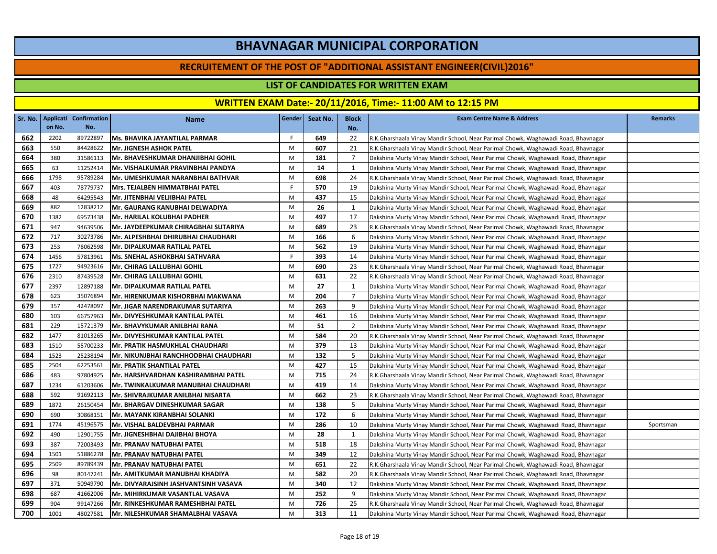#### **RECRUITEMENT OF THE POST OF "ADDITIONAL ASSISTANT ENGINEER(CIVIL)2016"**

### **LIST OF CANDIDATES FOR WRITTEN EXAM**

|     | Sr. No.   Applicati | <b>Confirmation</b> | <b>Name</b>                               |    | Gender   Seat No. | <b>Block</b>   | <b>Exam Centre Name &amp; Address</b>                                             | <b>Remarks</b> |
|-----|---------------------|---------------------|-------------------------------------------|----|-------------------|----------------|-----------------------------------------------------------------------------------|----------------|
|     | on No.              | No.                 |                                           |    |                   | No.            |                                                                                   |                |
| 662 | 2202                | 89722897            | <b>Ms. BHAVIKA JAYANTILAL PARMAR</b>      | F. | 649               | 22             | R.K.Gharshaala Vinay Mandir School, Near Parimal Chowk, Waghawadi Road, Bhavnagar |                |
| 663 | 550                 | 84428622            | <b>IMr. JIGNESH ASHOK PATEL</b>           | M  | 607               | 21             | R.K.Gharshaala Vinay Mandir School, Near Parimal Chowk, Waghawadi Road, Bhavnagar |                |
| 664 | 380                 | 31586113            | Mr. BHAVESHKUMAR DHANJIBHAI GOHIL         | M  | 181               | $\overline{7}$ | Dakshina Murty Vinay Mandir School, Near Parimal Chowk, Waghawadi Road, Bhavnagar |                |
| 665 | 63                  | 11252414            | Mr. VISHALKUMAR PRAVINBHAI PANDYA         | M  | 14                | 1              | Dakshina Murty Vinay Mandir School, Near Parimal Chowk, Waghawadi Road, Bhavnagar |                |
| 666 | 1798                | 95789284            | Mr. UMESHKUMAR NARANBHAI BATHVAR          | M  | 698               | 24             | R.K.Gharshaala Vinay Mandir School, Near Parimal Chowk, Waghawadi Road, Bhavnagar |                |
| 667 | 403                 | 78779737            | Mrs. TEJALBEN HIMMATBHAI PATEL            | F. | 570               | 19             | Dakshina Murty Vinay Mandir School, Near Parimal Chowk, Waghawadi Road, Bhavnagar |                |
| 668 | 48                  | 64295543            | <b>Mr. JITENBHAI VELJIBHAI PATEL</b>      | M  | 437               | 15             | Dakshina Murty Vinay Mandir School, Near Parimal Chowk, Waghawadi Road, Bhavnagar |                |
| 669 | 882                 | 12838212            | Mr. GAURANG KANUBHAI DELWADIYA            | M  | 26                | 1              | Dakshina Murty Vinay Mandir School, Near Parimal Chowk, Waghawadi Road, Bhavnagar |                |
| 670 | 1382                | 69573438            | Mr. HARILAL KOLUBHAI PADHER               | M  | 497               | 17             | Dakshina Murty Vinay Mandir School, Near Parimal Chowk, Waghawadi Road, Bhavnagar |                |
| 671 | 947                 | 94639506            | Mr. JAYDEEPKUMAR CHIRAGBHAI SUTARIYA      | M  | 689               | 23             | R.K.Gharshaala Vinay Mandir School, Near Parimal Chowk, Waghawadi Road, Bhavnagar |                |
| 672 | 717                 | 30273786            | Mr. ALPESHBHAI DHIRUBHAI CHAUDHARI        | M  | 166               | 6              | Dakshina Murty Vinay Mandir School, Near Parimal Chowk, Waghawadi Road, Bhavnagar |                |
| 673 | 253                 | 78062598            | Mr. DIPALKUMAR RATILAL PATEL              | M  | 562               | 19             | Dakshina Murty Vinay Mandir School, Near Parimal Chowk, Waghawadi Road, Bhavnagar |                |
| 674 | 1456                | 57813961            | Ms. SNEHAL ASHOKBHAI SATHVARA             | F. | 393               | 14             | Dakshina Murty Vinay Mandir School, Near Parimal Chowk, Waghawadi Road, Bhavnagar |                |
| 675 | 1727                | 94923616            | lMr. CHIRAG LALLUBHAI GOHIL               | M  | 690               | 23             | R.K.Gharshaala Vinay Mandir School, Near Parimal Chowk, Waghawadi Road, Bhavnagar |                |
| 676 | 2310                | 87439528            | Mr. CHIRAG LALLUBHAI GOHIL                | M  | 631               | 22             | R.K.Gharshaala Vinay Mandir School, Near Parimal Chowk, Waghawadi Road, Bhavnagar |                |
| 677 | 2397                | 12897188            | Mr. DIPALKUMAR RATILAL PATEL              | M  | 27                | 1              | Dakshina Murty Vinay Mandir School, Near Parimal Chowk, Waghawadi Road, Bhavnagar |                |
| 678 | 623                 | 35076894            | Mr. HIRENKUMAR KISHORBHAI MAKWANA         | M  | 204               | $\overline{7}$ | Dakshina Murty Vinay Mandir School, Near Parimal Chowk, Waghawadi Road, Bhavnagar |                |
| 679 | 357                 | 42478097            | Mr. JIGAR NARENDRAKUMAR SUTARIYA          | M  | 263               | 9              | Dakshina Murty Vinay Mandir School, Near Parimal Chowk, Waghawadi Road, Bhavnagar |                |
| 680 | 103                 | 66757963            | Mr. DIVYESHKUMAR KANTILAL PATEL           | M  | 461               | 16             | Dakshina Murty Vinay Mandir School, Near Parimal Chowk, Waghawadi Road, Bhavnagar |                |
| 681 | 229                 | 15721379            | <b>Mr. BHAVYKUMAR ANILBHAI RANA</b>       | M  | 51                | 2              | Dakshina Murty Vinay Mandir School, Near Parimal Chowk, Waghawadi Road, Bhavnagar |                |
| 682 | 1477                | 81013265            | Mr. DIVYESHKUMAR KANTILAL PATEL           | M  | 584               | 20             | R.K.Gharshaala Vinay Mandir School, Near Parimal Chowk, Waghawadi Road, Bhavnagar |                |
| 683 | 1510                | 55700233            | Mr. PRATIK HASMUKHLAL CHAUDHARI           | M  | 379               | 13             | Dakshina Murty Vinay Mandir School, Near Parimal Chowk, Waghawadi Road, Bhavnagar |                |
| 684 | 1523                | 25238194            | Mr. NIKUNJBHAI RANCHHODBHAI CHAUDHARI     | M  | 132               | 5              | Dakshina Murty Vinay Mandir School, Near Parimal Chowk, Waghawadi Road, Bhavnagar |                |
| 685 | 2504                | 62253561            | Mr. PRATIK SHANTILAL PATEL                | M  | 427               | 15             | Dakshina Murty Vinay Mandir School, Near Parimal Chowk, Waghawadi Road, Bhavnagar |                |
| 686 | 483                 | 97804925            | Mr. HARSHVARDHAN KASHIRAMBHAI PATEL       | M  | 715               | 24             | R.K.Gharshaala Vinay Mandir School, Near Parimal Chowk, Waghawadi Road, Bhavnagar |                |
| 687 | 1234                | 61203606            | Mr. TWINKALKUMAR MANUBHAI CHAUDHARI       | M  | 419               | 14             | Dakshina Murty Vinay Mandir School, Near Parimal Chowk, Waghawadi Road, Bhavnagar |                |
| 688 | 592                 | 91692113            | IMr. SHIVRAJKUMAR ANILBHAI NISARTA        | M  | 662               | 23             | R.K.Gharshaala Vinay Mandir School, Near Parimal Chowk, Waghawadi Road, Bhavnagar |                |
| 689 | 1872                | 26150454            | Mr. BHARGAV DINESHKUMAR SAGAR             | M  | 138               | 5              | Dakshina Murty Vinay Mandir School, Near Parimal Chowk, Waghawadi Road, Bhavnagar |                |
| 690 | 690                 | 30868151            | Mr. MAYANK KIRANBHAI SOLANKI              | M  | 172               | 6              | Dakshina Murty Vinay Mandir School, Near Parimal Chowk, Waghawadi Road, Bhavnagar |                |
| 691 | 1774                | 45196575            | Mr. VISHAL BALDEVBHAI PARMAR              | M  | 286               | 10             | Dakshina Murty Vinay Mandir School, Near Parimal Chowk, Waghawadi Road, Bhavnagar | Sportsman      |
| 692 | 490                 | 12901755            | <b>Mr. JIGNESHBHAI DAJIBHAI BHOYA</b>     | M  | 28                | 1              | Dakshina Murty Vinay Mandir School, Near Parimal Chowk, Waghawadi Road, Bhavnagar |                |
| 693 | 387                 | 72003493            | Mr. PRANAV NATUBHAI PATEL                 | M  | 518               | 18             | Dakshina Murty Vinay Mandir School, Near Parimal Chowk, Waghawadi Road, Bhavnagar |                |
| 694 | 1501                | 51886278            | Mr. PRANAV NATUBHAI PATEL                 | M  | 349               | 12             | Dakshina Murty Vinay Mandir School, Near Parimal Chowk, Waghawadi Road, Bhavnagar |                |
| 695 | 2509                | 89789439            | Mr. PRANAV NATUBHAI PATEL                 | M  | 651               | 22             | R.K.Gharshaala Vinay Mandir School, Near Parimal Chowk, Waghawadi Road, Bhavnagar |                |
| 696 | 98                  | 80147241            | Mr. AMITKUMAR MANUBHAI KHADIYA            | M  | 582               | 20             | R.K.Gharshaala Vinay Mandir School, Near Parimal Chowk, Waghawadi Road, Bhavnagar |                |
| 697 | 371                 | 50949790            | Mr. DIVYARAJSINH JASHVANTSINH VASAVA      | M  | 340               | 12             | Dakshina Murty Vinay Mandir School, Near Parimal Chowk, Waghawadi Road, Bhavnagar |                |
| 698 | 687                 | 41662006            | Mr. MIHIRKUMAR VASANTLAL VASAVA           | M  | 252               | 9              | Dakshina Murty Vinay Mandir School, Near Parimal Chowk, Waghawadi Road, Bhavnagar |                |
| 699 | 904                 | 99147266            | Mr. RINKESHKUMAR RAMESHBHAI PATEL         | M  | 726               | 25             | R.K.Gharshaala Vinay Mandir School, Near Parimal Chowk, Waghawadi Road, Bhavnagar |                |
| 700 | 1001                | 48027581            | <b>IMr. NILESHKUMAR SHAMALBHAI VASAVA</b> | M  | 313               | 11             | Dakshina Murty Vinay Mandir School, Near Parimal Chowk, Waghawadi Road, Bhavnagar |                |